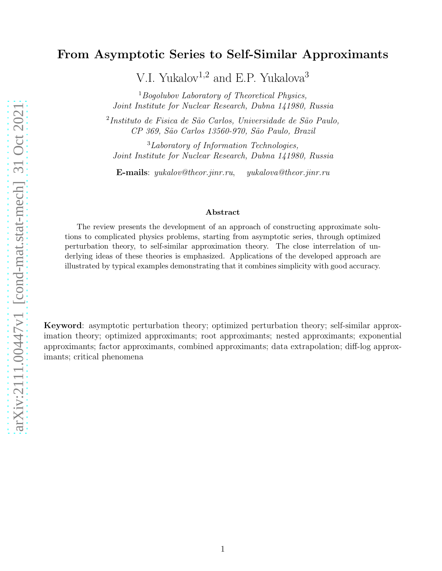# From Asymptotic Series to Self-Similar Approximants

V.I. Yukalov<sup>1,2</sup> and E.P. Yukalova<sup>3</sup>

 $1$ Bogolubov Laboratory of Theoretical Physics, Joint Institute for Nuclear Research, Dubna 141980, Russia

<sup>2</sup>Instituto de Fisica de São Carlos, Universidade de São Paulo, CP 369, S˜ao Carlos 13560-970, S˜ao Paulo, Brazil

<sup>3</sup>Laboratory of Information Technologies, Joint Institute for Nuclear Research, Dubna 141980, Russia

E-mails: yukalov@theor.jinr.ru, yukalova@theor.jinr.ru

#### Abstract

The review presents the development of an approach of constructing approximate solutions to complicated physics problems, starting from asymptotic series, through optimized perturbation theory, to self-similar approximation theory. The close interrelation of underlying ideas of these theories is emphasized. Applications of the developed approach are illustrated by typical examples demonstrating that it combines simplicity with good accuracy.

Keyword: asymptotic perturbation theory; optimized perturbation theory; self-similar approximation theory; optimized approximants; root approximants; nested approximants; exponential approximants; factor approximants, combined approximants; data extrapolation; diff-log approximants; critical phenomena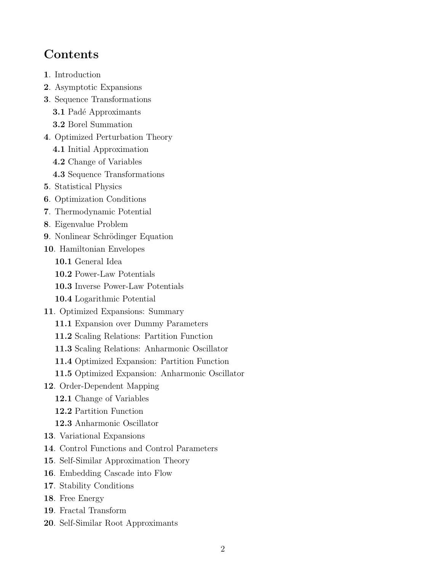# **Contents**

- 1. Introduction
- 2. Asymptotic Expansions
- 3. Sequence Transformations
	- 3.1 Padé Approximants
	- 3.2 Borel Summation
- 4. Optimized Perturbation Theory
	- 4.1 Initial Approximation
	- 4.2 Change of Variables
	- 4.3 Sequence Transformations
- 5. Statistical Physics
- 6. Optimization Conditions
- 7. Thermodynamic Potential
- 8. Eigenvalue Problem
- 9. Nonlinear Schrödinger Equation
- 10. Hamiltonian Envelopes
	- 10.1 General Idea
	- 10.2 Power-Law Potentials
	- 10.3 Inverse Power-Law Potentials
	- 10.4 Logarithmic Potential
- 11. Optimized Expansions: Summary
	- 11.1 Expansion over Dummy Parameters
	- 11.2 Scaling Relations: Partition Function
	- 11.3 Scaling Relations: Anharmonic Oscillator
	- 11.4 Optimized Expansion: Partition Function
	- 11.5 Optimized Expansion: Anharmonic Oscillator
- 12. Order-Dependent Mapping
	- 12.1 Change of Variables
	- 12.2 Partition Function
	- 12.3 Anharmonic Oscillator
- 13. Variational Expansions
- 14. Control Functions and Control Parameters
- 15. Self-Similar Approximation Theory
- 16. Embedding Cascade into Flow
- 17. Stability Conditions
- 18. Free Energy
- 19. Fractal Transform
- 20. Self-Similar Root Approximants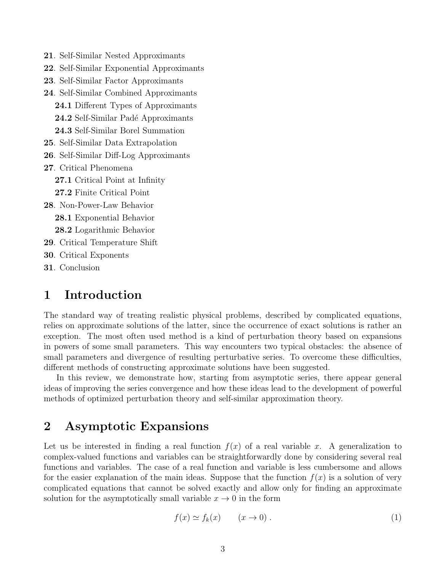- 21. Self-Similar Nested Approximants
- 22. Self-Similar Exponential Approximants
- 23. Self-Similar Factor Approximants
- 24. Self-Similar Combined Approximants 24.1 Different Types of Approximants 24.2 Self-Similar Padé Approximants
	- 24.3 Self-Similar Borel Summation
- 25. Self-Similar Data Extrapolation
- 26. Self-Similar Diff-Log Approximants
- 27. Critical Phenomena
	- 27.1 Critical Point at Infinity
	- 27.2 Finite Critical Point
- 28. Non-Power-Law Behavior
	- 28.1 Exponential Behavior
	- 28.2 Logarithmic Behavior
- 29. Critical Temperature Shift
- 30. Critical Exponents
- 31. Conclusion

## 1 Introduction

The standard way of treating realistic physical problems, described by complicated equations, relies on approximate solutions of the latter, since the occurrence of exact solutions is rather an exception. The most often used method is a kind of perturbation theory based on expansions in powers of some small parameters. This way encounters two typical obstacles: the absence of small parameters and divergence of resulting perturbative series. To overcome these difficulties, different methods of constructing approximate solutions have been suggested.

In this review, we demonstrate how, starting from asymptotic series, there appear general ideas of improving the series convergence and how these ideas lead to the development of powerful methods of optimized perturbation theory and self-similar approximation theory.

## 2 Asymptotic Expansions

Let us be interested in finding a real function  $f(x)$  of a real variable x. A generalization to complex-valued functions and variables can be straightforwardly done by considering several real functions and variables. The case of a real function and variable is less cumbersome and allows for the easier explanation of the main ideas. Suppose that the function  $f(x)$  is a solution of very complicated equations that cannot be solved exactly and allow only for finding an approximate solution for the asymptotically small variable  $x \to 0$  in the form

$$
f(x) \simeq f_k(x) \qquad (x \to 0). \tag{1}
$$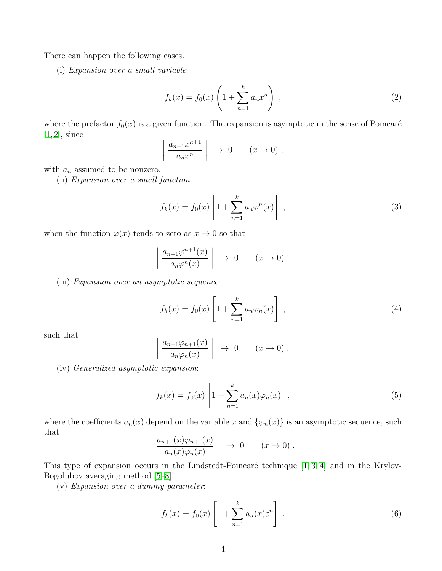There can happen the following cases.

(i) Expansion over a small variable:

$$
f_k(x) = f_0(x) \left( 1 + \sum_{n=1}^k a_n x^n \right) , \qquad (2)
$$

where the prefactor  $f_0(x)$  is a given function. The expansion is asymptotic in the sense of Poincaré  $[1, 2]$  $[1, 2]$ , since

$$
\left| \frac{a_{n+1}x^{n+1}}{a_n x^n} \right| \rightarrow 0 \quad (x \rightarrow 0),
$$

with  $a_n$  assumed to be nonzero.

(ii) Expansion over a small function:

$$
f_k(x) = f_0(x) \left[ 1 + \sum_{n=1}^k a_n \varphi^n(x) \right], \qquad (3)
$$

when the function  $\varphi(x)$  tends to zero as  $x \to 0$  so that

$$
\left| \frac{a_{n+1}\varphi^{n+1}(x)}{a_n\varphi^n(x)} \right| \rightarrow 0 \quad (x \rightarrow 0).
$$

(iii) Expansion over an asymptotic sequence:

 $\overline{\phantom{a}}$  $\Big\}$  $\Big\}$  $\vert$ 

$$
f_k(x) = f_0(x) \left[ 1 + \sum_{n=1}^k a_n \varphi_n(x) \right], \qquad (4)
$$

such that

$$
\frac{a_{n+1}\varphi_{n+1}(x)}{a_n\varphi_n(x)} \Big| \to 0 \qquad (x \to 0) .
$$

(iv) Generalized asymptotic expansion:

$$
f_k(x) = f_0(x) \left[ 1 + \sum_{n=1}^{k} a_n(x) \varphi_n(x) \right],
$$
 (5)

where the coefficients  $a_n(x)$  depend on the variable x and  $\{\varphi_n(x)\}\$ is an asymptotic sequence, such that

$$
\left| \frac{a_{n+1}(x)\varphi_{n+1}(x)}{a_n(x)\varphi_n(x)} \right| \to 0 \quad (x \to 0).
$$

This type of expansion occurs in the Lindstedt-Poincaré technique  $[1, 3, 4]$  $[1, 3, 4]$  $[1, 3, 4]$  and in the Krylov-Bogolubov averaging method [\[5–](#page-54-4)[8\]](#page-54-5).

(v) Expansion over a dummy parameter:

$$
f_k(x) = f_0(x) \left[ 1 + \sum_{n=1}^k a_n(x) \varepsilon^n \right] \tag{6}
$$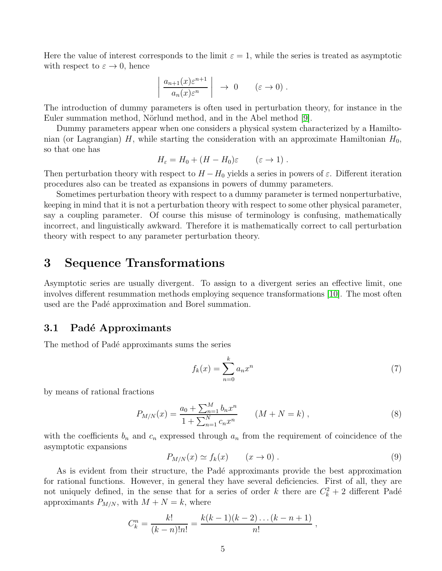Here the value of interest corresponds to the limit  $\varepsilon = 1$ , while the series is treated as asymptotic with respect to  $\varepsilon \to 0$ , hence

$$
\left| \frac{a_{n+1}(x)\varepsilon^{n+1}}{a_n(x)\varepsilon^n} \right| \to 0 \quad (\varepsilon \to 0).
$$

The introduction of dummy parameters is often used in perturbation theory, for instance in the Euler summation method, Nörlund method, and in the Abel method [\[9\]](#page-54-6).

Dummy parameters appear when one considers a physical system characterized by a Hamiltonian (or Lagrangian) H, while starting the consideration with an approximate Hamiltonian  $H_0$ , so that one has

$$
H_{\varepsilon} = H_0 + (H - H_0)\varepsilon \qquad (\varepsilon \to 1) .
$$

Then perturbation theory with respect to  $H - H_0$  yields a series in powers of  $\varepsilon$ . Different iteration procedures also can be treated as expansions in powers of dummy parameters.

Sometimes perturbation theory with respect to a dummy parameter is termed nonperturbative, keeping in mind that it is not a perturbation theory with respect to some other physical parameter, say a coupling parameter. Of course this misuse of terminology is confusing, mathematically incorrect, and linguistically awkward. Therefore it is mathematically correct to call perturbation theory with respect to any parameter perturbation theory.

### 3 Sequence Transformations

Asymptotic series are usually divergent. To assign to a divergent series an effective limit, one involves different resummation methods employing sequence transformations [\[10\]](#page-54-7). The most often used are the Padé approximation and Borel summation.

#### 3.1 Padé Approximants

The method of Padé approximants sums the series

<span id="page-4-0"></span>
$$
f_k(x) = \sum_{n=0}^{k} a_n x^n \tag{7}
$$

by means of rational fractions

<span id="page-4-1"></span>
$$
P_{M/N}(x) = \frac{a_0 + \sum_{n=1}^{M} b_n x^n}{1 + \sum_{n=1}^{N} c_n x^n} \qquad (M + N = k) ,
$$
\n(8)

with the coefficients  $b_n$  and  $c_n$  expressed through  $a_n$  from the requirement of coincidence of the asymptotic expansions

$$
P_{M/N}(x) \simeq f_k(x) \qquad (x \to 0) \ . \tag{9}
$$

As is evident from their structure, the Padé approximants provide the best approximation for rational functions. However, in general they have several deficiencies. First of all, they are not uniquely defined, in the sense that for a series of order k there are  $C_k^2 + 2$  different Padé approximants  $P_{M/N}$ , with  $M + N = k$ , where

$$
C_k^n = \frac{k!}{(k-n)!n!} = \frac{k(k-1)(k-2)\dots(k-n+1)}{n!},
$$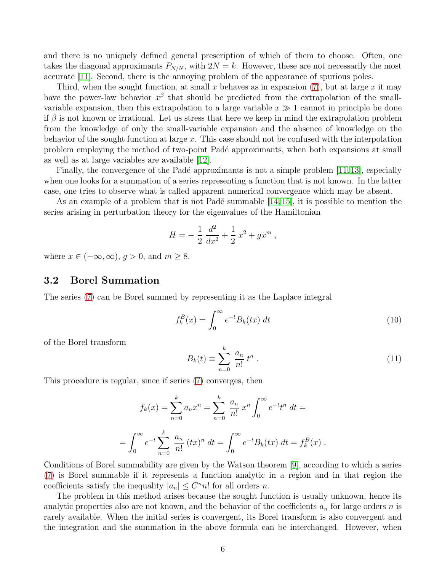and there is no uniquely defined general prescription of which of them to choose. Often, one takes the diagonal approximants  $P_{N/N}$ , with  $2N = k$ . However, these are not necessarily the most accurate [\[11\]](#page-54-8). Second, there is the annoying problem of the appearance of spurious poles.

Third, when the sought function, at small x behaves as in expansion  $(7)$ , but at large x it may have the power-law behavior  $x^{\beta}$  that should be predicted from the extrapolation of the smallvariable expansion, then this extrapolation to a large variable  $x \gg 1$  cannot in principle be done if  $\beta$  is not known or irrational. Let us stress that here we keep in mind the extrapolation problem from the knowledge of only the small-variable expansion and the absence of knowledge on the behavior of the sought function at large  $x$ . This case should not be confused with the interpolation problem employing the method of two-point Padé approximants, when both expansions at small as well as at large variables are available [\[12\]](#page-54-9).

Finally, the convergence of the Padé approximants is not a simple problem  $[11, 13]$  $[11, 13]$ , especially when one looks for a summation of a series representing a function that is not known. In the latter case, one tries to observe what is called apparent numerical convergence which may be absent.

As an example of a problem that is not Padé summable  $[14, 15]$  $[14, 15]$ , it is possible to mention the series arising in perturbation theory for the eigenvalues of the Hamiltonian

$$
H = -\frac{1}{2} \frac{d^2}{dx^2} + \frac{1}{2} x^2 + g x^m ,
$$

where  $x \in (-\infty, \infty)$ ,  $g > 0$ , and  $m \geq 8$ .

=

#### 3.2 Borel Summation

The series [\(7\)](#page-4-0) can be Borel summed by representing it as the Laplace integral

$$
f_k^B(x) = \int_0^\infty e^{-t} B_k(tx) dt
$$
\n(10)

of the Borel transform

$$
B_k(t) \equiv \sum_{n=0}^k \frac{a_n}{n!} t^n . \tag{11}
$$

This procedure is regular, since if series [\(7\)](#page-4-0) converges, then

$$
f_k(x) = \sum_{n=0}^k a_n x^n = \sum_{n=0}^k \frac{a_n}{n!} x^n \int_0^\infty e^{-t} t^n dt =
$$
  

$$
\int_0^\infty e^{-t} \sum_{n=0}^k \frac{a_n}{n!} (tx)^n dt = \int_0^\infty e^{-t} B_k(tx) dt = f_k^B(x).
$$

Conditions of Borel summability are given by the Watson theorem [\[9\]](#page-54-6), according to which a series [\(7\)](#page-4-0) is Borel summable if it represents a function analytic in a region and in that region the coefficients satisfy the inequality  $|a_n| \leq C^n n!$  for all orders *n*.

The problem in this method arises because the sought function is usually unknown, hence its analytic properties also are not known, and the behavior of the coefficients  $a_n$  for large orders n is rarely available. When the initial series is convergent, its Borel transform is also convergent and the integration and the summation in the above formula can be interchanged. However, when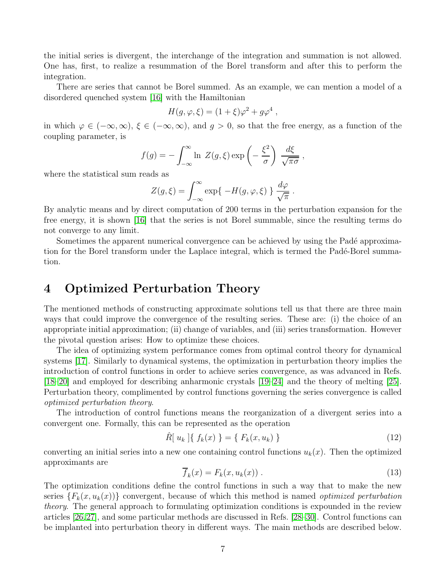the initial series is divergent, the interchange of the integration and summation is not allowed. One has, first, to realize a resummation of the Borel transform and after this to perform the integration.

There are series that cannot be Borel summed. As an example, we can mention a model of a disordered quenched system [\[16\]](#page-54-13) with the Hamiltonian

$$
H(g, \varphi, \xi) = (1 + \xi)\varphi^2 + g\varphi^4,
$$

in which  $\varphi \in (-\infty, \infty)$ ,  $\xi \in (-\infty, \infty)$ , and  $g > 0$ , so that the free energy, as a function of the coupling parameter, is

$$
f(g) = -\int_{-\infty}^{\infty} \ln Z(g,\xi) \exp\left(-\frac{\xi^2}{\sigma}\right) \frac{d\xi}{\sqrt{\pi\sigma}},
$$

where the statistical sum reads as

$$
Z(g,\xi) = \int_{-\infty}^{\infty} \exp\{-H(g,\varphi,\xi)\} \frac{d\varphi}{\sqrt{\pi}}.
$$

By analytic means and by direct computation of 200 terms in the perturbation expansion for the free energy, it is shown [\[16\]](#page-54-13) that the series is not Borel summable, since the resulting terms do not converge to any limit.

Sometimes the apparent numerical convergence can be achieved by using the Padé approximation for the Borel transform under the Laplace integral, which is termed the Padé-Borel summation.

### 4 Optimized Perturbation Theory

The mentioned methods of constructing approximate solutions tell us that there are three main ways that could improve the convergence of the resulting series. These are: (i) the choice of an appropriate initial approximation; (ii) change of variables, and (iii) series transformation. However the pivotal question arises: How to optimize these choices.

The idea of optimizing system performance comes from optimal control theory for dynamical systems [\[17\]](#page-54-14). Similarly to dynamical systems, the optimization in perturbation theory implies the introduction of control functions in order to achieve series convergence, as was advanced in Refs. [\[18](#page-54-15)[–20\]](#page-55-0) and employed for describing anharmonic crystals [\[19](#page-54-16)[–24\]](#page-55-1) and the theory of melting [\[25\]](#page-55-2). Perturbation theory, complimented by control functions governing the series convergence is called optimized perturbation theory.

The introduction of control functions means the reorganization of a divergent series into a convergent one. Formally, this can be represented as the operation

$$
\hat{R}[u_k] \{ f_k(x) \} = \{ F_k(x, u_k) \}
$$
\n(12)

converting an initial series into a new one containing control functions  $u_k(x)$ . Then the optimized approximants are

<span id="page-6-0"></span>
$$
\overline{f}_k(x) = F_k(x, u_k(x)) \tag{13}
$$

The optimization conditions define the control functions in such a way that to make the new series  ${F_k(x, u_k(x))}$  convergent, because of which this method is named *optimized perturbation* theory. The general approach to formulating optimization conditions is expounded in the review articles [\[26,](#page-55-3)[27\]](#page-55-4), and some particular methods are discussed in Refs. [\[28](#page-55-5)[–30\]](#page-55-6). Control functions can be implanted into perturbation theory in different ways. The main methods are described below.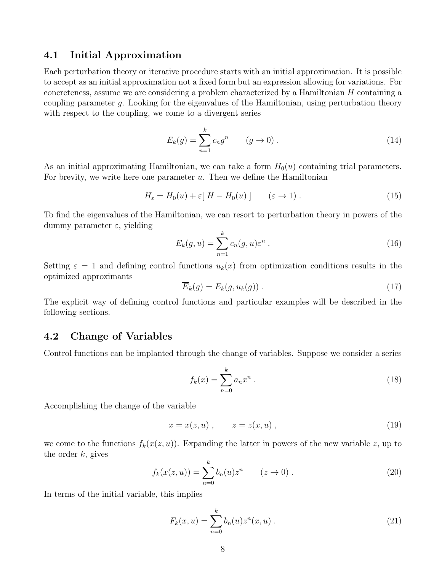#### 4.1 Initial Approximation

Each perturbation theory or iterative procedure starts with an initial approximation. It is possible to accept as an initial approximation not a fixed form but an expression allowing for variations. For concreteness, assume we are considering a problem characterized by a Hamiltonian  $H$  containing a coupling parameter g. Looking for the eigenvalues of the Hamiltonian, using perturbation theory with respect to the coupling, we come to a divergent series

$$
E_k(g) = \sum_{n=1}^k c_n g^n \qquad (g \to 0).
$$
 (14)

As an initial approximating Hamiltonian, we can take a form  $H_0(u)$  containing trial parameters. For brevity, we write here one parameter  $u$ . Then we define the Hamiltonian

$$
H_{\varepsilon} = H_0(u) + \varepsilon [H - H_0(u)] \qquad (\varepsilon \to 1).
$$
 (15)

To find the eigenvalues of the Hamiltonian, we can resort to perturbation theory in powers of the dummy parameter  $\varepsilon$ , yielding

$$
E_k(g, u) = \sum_{n=1}^k c_n(g, u) \varepsilon^n.
$$
\n(16)

Setting  $\varepsilon = 1$  and defining control functions  $u_k(x)$  from optimization conditions results in the optimized approximants

$$
\overline{E}_k(g) = E_k(g, u_k(g)) \tag{17}
$$

The explicit way of defining control functions and particular examples will be described in the following sections.

#### 4.2 Change of Variables

Control functions can be implanted through the change of variables. Suppose we consider a series

<span id="page-7-0"></span>
$$
f_k(x) = \sum_{n=0}^{k} a_n x^n
$$
 (18)

Accomplishing the change of the variable

$$
x = x(z, u) , \qquad z = z(x, u) , \qquad (19)
$$

we come to the functions  $f_k(x(z, u))$ . Expanding the latter in powers of the new variable z, up to the order  $k$ , gives

$$
f_k(x(z, u)) = \sum_{n=0}^{k} b_n(u) z^n \qquad (z \to 0).
$$
 (20)

In terms of the initial variable, this implies

$$
F_k(x, u) = \sum_{n=0}^{k} b_n(u) z^n(x, u) .
$$
 (21)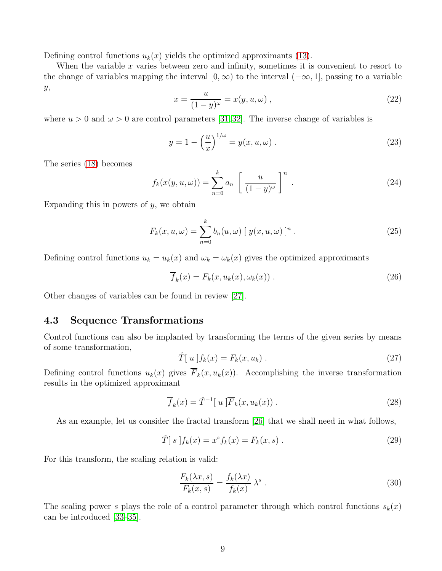Defining control functions  $u_k(x)$  yields the optimized approximants [\(13\)](#page-6-0).

When the variable  $x$  varies between zero and infinity, sometimes it is convenient to resort to the change of variables mapping the interval  $[0, \infty)$  to the interval  $(-\infty, 1]$ , passing to a variable y,

$$
x = \frac{u}{(1-y)^{\omega}} = x(y, u, \omega) , \qquad (22)
$$

where  $u > 0$  and  $\omega > 0$  are control parameters [\[31,](#page-55-7) [32\]](#page-55-8). The inverse change of variables is

$$
y = 1 - \left(\frac{u}{x}\right)^{1/\omega} = y(x, u, \omega) \tag{23}
$$

The series [\(18\)](#page-7-0) becomes

$$
f_k(x(y, u, \omega)) = \sum_{n=0}^k a_n \left[ \frac{u}{(1-y)^{\omega}} \right]^n.
$$
 (24)

Expanding this in powers of  $y$ , we obtain

$$
F_k(x, u, \omega) = \sum_{n=0}^k b_n(u, \omega) [y(x, u, \omega)]^n.
$$
 (25)

Defining control functions  $u_k = u_k(x)$  and  $\omega_k = \omega_k(x)$  gives the optimized approximants

$$
\overline{f}_k(x) = F_k(x, u_k(x), \omega_k(x)) .
$$
 (26)

Other changes of variables can be found in review [\[27\]](#page-55-4).

#### 4.3 Sequence Transformations

Control functions can also be implanted by transforming the terms of the given series by means of some transformation,

<span id="page-8-0"></span>
$$
\hat{T}[u]f_k(x) = F_k(x, u_k).
$$
\n(27)

Defining control functions  $u_k(x)$  gives  $\overline{F}_k(x, u_k(x))$ . Accomplishing the inverse transformation results in the optimized approximant

$$
\overline{f}_k(x) = \hat{T}^{-1}[u]\overline{F}_k(x, u_k(x)).
$$
\n(28)

As an example, let us consider the fractal transform [\[26\]](#page-55-3) that we shall need in what follows,

$$
\hat{T}[s]f_k(x) = x^s f_k(x) = F_k(x, s) .
$$
\n(29)

For this transform, the scaling relation is valid:

<span id="page-8-1"></span>
$$
\frac{F_k(\lambda x, s)}{F_k(x, s)} = \frac{f_k(\lambda x)}{f_k(x)} \lambda^s.
$$
\n(30)

The scaling power s plays the role of a control parameter through which control functions  $s_k(x)$ can be introduced [\[33](#page-55-9)[–35\]](#page-55-10).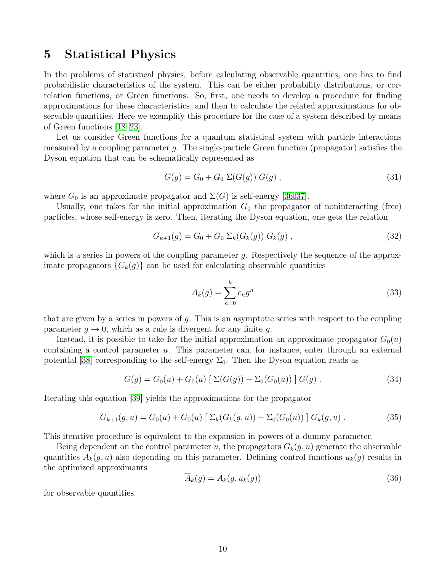### 5 Statistical Physics

In the problems of statistical physics, before calculating observable quantities, one has to find probabilistic characteristics of the system. This can be either probability distributions, or correlation functions, or Green functions. So, first, one needs to develop a procedure for finding approximations for these characteristics, and then to calculate the related approximations for observable quantities. Here we exemplify this procedure for the case of a system described by means of Green functions [\[18–](#page-54-15)[23\]](#page-55-11).

Let us consider Green functions for a quantum statistical system with particle interactions measured by a coupling parameter q. The single-particle Green function (propagator) satisfies the Dyson equation that can be schematically represented as

$$
G(g) = G_0 + G_0 \Sigma(G(g)) G(g) , \qquad (31)
$$

where  $G_0$  is an approximate propagator and  $\Sigma(G)$  is self-energy [\[36,](#page-55-12) [37\]](#page-55-13).

Usually, one takes for the initial approximation  $G_0$  the propagator of noninteracting (free) particles, whose self-energy is zero. Then, iterating the Dyson equation, one gets the relation

$$
G_{k+1}(g) = G_0 + G_0 \ \Sigma_k(G_k(g)) \ G_k(g) \ , \tag{32}
$$

which is a series in powers of the coupling parameter  $g$ . Respectively the sequence of the approximate propagators  ${G_k(g)}$  can be used for calculating observable quantities

$$
A_k(g) = \sum_{n=0}^k c_n g^n \tag{33}
$$

that are given by a series in powers of  $g$ . This is an asymptotic series with respect to the coupling parameter  $g \to 0$ , which as a rule is divergent for any finite g.

Instead, it is possible to take for the initial approximation an approximate propagator  $G_0(u)$ containing a control parameter  $u$ . This parameter can, for instance, enter through an external potential [\[38\]](#page-55-14) corresponding to the self-energy  $\Sigma_0$ . Then the Dyson equation reads as

$$
G(g) = G_0(u) + G_0(u) [\Sigma(G(g)) - \Sigma_0(G_0(u))] G(g).
$$
 (34)

Iterating this equation [\[39\]](#page-55-15) yields the approximations for the propagator

$$
G_{k+1}(g, u) = G_0(u) + G_0(u) [\Sigma_k(G_k(g, u)) - \Sigma_0(G_0(u))] G_k(g, u).
$$
 (35)

This iterative procedure is equivalent to the expansion in powers of a dummy parameter.

Being dependent on the control parameter u, the propagators  $G_k(g, u)$  generate the observable quantities  $A_k(q, u)$  also depending on this parameter. Defining control functions  $u_k(q)$  results in the optimized approximants

$$
\overline{A}_k(g) = A_k(g, u_k(g)) \tag{36}
$$

for observable quantities.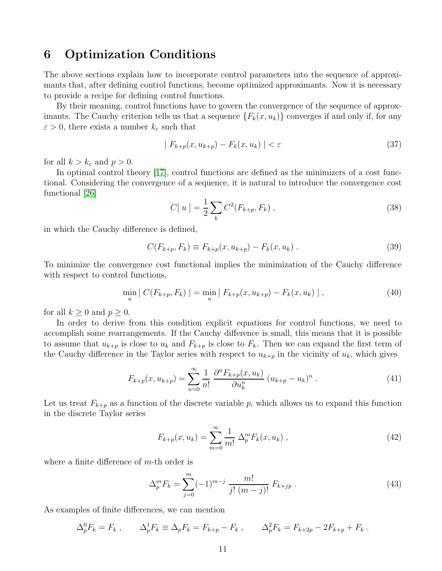### 6 Optimization Conditions

The above sections explain how to incorporate control parameters into the sequence of approximants that, after defining control functions, become optimized approximants. Now it is necessary to provide a recipe for defining control functions.

By their meaning, control functions have to govern the convergence of the sequence of approximants. The Cauchy criterion tells us that a sequence  $\{F_k(x, u_k)\}\)$  converges if and only if, for any  $\varepsilon > 0$ , there exists a number  $k_{\varepsilon}$  such that

$$
|F_{k+p}(x, u_{k+p}) - F_k(x, u_k)| < \varepsilon \tag{37}
$$

for all  $k > k_{\varepsilon}$  and  $p > 0$ .

In optimal control theory [\[17\]](#page-54-14), control functions are defined as the minimizers of a cost functional. Considering the convergence of a sequence, it is natural to introduce the convergence cost functional [\[26\]](#page-55-3)

$$
C[u] = \frac{1}{2} \sum_{k} C^{2}(F_{k+p}, F_{k}), \qquad (38)
$$

in which the Cauchy difference is defined,

<span id="page-10-0"></span>
$$
C(F_{k+p}, F_k) \equiv F_{k+p}(x, u_{k+p}) - F_k(x, u_k) \,. \tag{39}
$$

To minimize the convergence cost functional implies the minimization of the Cauchy difference with respect to control functions,

$$
\min_{u} | C(F_{k+p}, F_k) | = \min_{u} | F_{k+p}(x, u_{k+p}) - F_k(x, u_k) |,
$$
\n(40)

for all  $k \geq 0$  and  $p \geq 0$ .

In order to derive from this condition explicit equations for control functions, we need to accomplish some rearrangements. If the Cauchy difference is small, this means that it is possible to assume that  $u_{k+p}$  is close to  $u_k$  and  $F_{k+p}$  is close to  $F_k$ . Then we can expand the first term of the Cauchy difference in the Taylor series with respect to  $u_{k+p}$  in the vicinity of  $u_k$ , which gives

$$
F_{k+p}(x, u_{k+p}) = \sum_{n=0}^{\infty} \frac{1}{n!} \frac{\partial^n F_{k+p}(x, u_k)}{\partial u_k^n} (u_{k+p} - u_k)^n.
$$
 (41)

Let us treat  $F_{k+p}$  as a function of the discrete variable p, which allows us to expand this function in the discrete Taylor series

$$
F_{k+p}(x, u_k) = \sum_{m=0}^{\infty} \frac{1}{m!} \Delta_p^m F_k(x, u_k) , \qquad (42)
$$

where a finite difference of  $m$ -th order is

$$
\Delta_p^m F_k = \sum_{j=0}^m (-1)^{m-j} \frac{m!}{j! \ (m-j)!} F_{k+jp} . \tag{43}
$$

As examples of finite differences, we can mention

$$
\Delta_p^0 F_k = F_k , \qquad \Delta_p^1 F_k \equiv \Delta_p F_k = F_{k+p} - F_k , \qquad \Delta_p^2 F_k = F_{k+2p} - 2F_{k+p} + F_k .
$$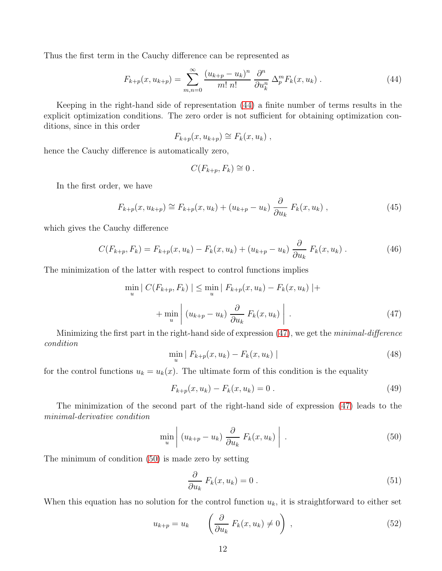Thus the first term in the Cauchy difference can be represented as

<span id="page-11-0"></span>
$$
F_{k+p}(x, u_{k+p}) = \sum_{m,n=0}^{\infty} \frac{(u_{k+p} - u_k)^n}{m! n!} \frac{\partial^n}{\partial u_k^n} \Delta_p^m F_k(x, u_k).
$$
 (44)

Keeping in the right-hand side of representation [\(44\)](#page-11-0) a finite number of terms results in the explicit optimization conditions. The zero order is not sufficient for obtaining optimization conditions, since in this order

$$
F_{k+p}(x, u_{k+p}) \cong F_k(x, u_k) ,
$$

hence the Cauchy difference is automatically zero,

$$
C(F_{k+p}, F_k) \cong 0.
$$

In the first order, we have

$$
F_{k+p}(x, u_{k+p}) \cong F_{k+p}(x, u_k) + (u_{k+p} - u_k) \frac{\partial}{\partial u_k} F_k(x, u_k) ,
$$
 (45)

which gives the Cauchy difference

<span id="page-11-3"></span>
$$
C(F_{k+p}, F_k) = F_{k+p}(x, u_k) - F_k(x, u_k) + (u_{k+p} - u_k) \frac{\partial}{\partial u_k} F_k(x, u_k) .
$$
 (46)

The minimization of the latter with respect to control functions implies

<span id="page-11-1"></span>
$$
\min_{u} | C(F_{k+p}, F_k) | \leq \min_{u} | F_{k+p}(x, u_k) - F_k(x, u_k) | +
$$
  
+ 
$$
\min_{u} | (u_{k+p} - u_k) \frac{\partial}{\partial u_k} F_k(x, u_k) |.
$$
 (47)

Minimizing the first part in the right-hand side of expression [\(47\)](#page-11-1), we get the minimal-difference condition

$$
\min_{u} | F_{k+p}(x, u_k) - F_k(x, u_k) |
$$
\n(48)

for the control functions  $u_k = u_k(x)$ . The ultimate form of this condition is the equality

$$
F_{k+p}(x, u_k) - F_k(x, u_k) = 0.
$$
\n(49)

The minimization of the second part of the right-hand side of expression [\(47\)](#page-11-1) leads to the minimal-derivative condition

<span id="page-11-2"></span>
$$
\min_{u} \left( u_{k+p} - u_k \right) \frac{\partial}{\partial u_k} F_k(x, u_k) \right).
$$
 (50)

The minimum of condition [\(50\)](#page-11-2) is made zero by setting

$$
\frac{\partial}{\partial u_k} F_k(x, u_k) = 0.
$$
\n(51)

When this equation has no solution for the control function  $u_k$ , it is straightforward to either set

$$
u_{k+p} = u_k \qquad \left(\frac{\partial}{\partial u_k} F_k(x, u_k) \neq 0\right) , \qquad (52)
$$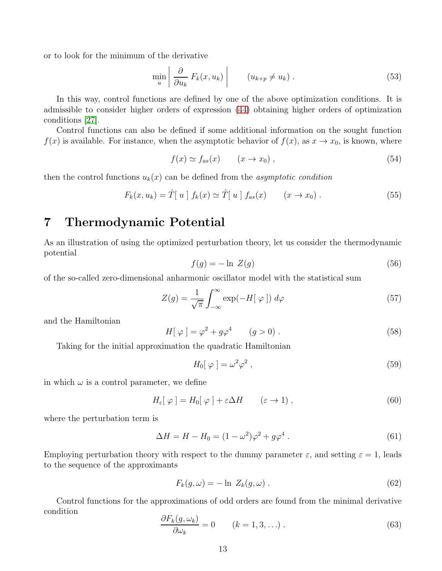or to look for the minimum of the derivative

$$
\min_{u} \left| \frac{\partial}{\partial u_k} F_k(x, u_k) \right| \qquad (u_{k+p} \neq u_k). \tag{53}
$$

In this way, control functions are defined by one of the above optimization conditions. It is admissible to consider higher orders of expression [\(44\)](#page-11-0) obtaining higher orders of optimization conditions [\[27\]](#page-55-4).

Control functions can also be defined if some additional information on the sought function  $f(x)$  is available. For instance, when the asymptotic behavior of  $f(x)$ , as  $x \to x_0$ , is known, where

$$
f(x) \simeq f_{as}(x) \qquad (x \to x_0) , \qquad (54)
$$

then the control functions  $u_k(x)$  can be defined from the *asymptotic condition* 

$$
F_k(x, u_k) = \hat{T}[u] f_k(x) \simeq \hat{T}[u] f_{as}(x) \qquad (x \to x_0).
$$
 (55)

## 7 Thermodynamic Potential

As an illustration of using the optimized perturbation theory, let us consider the thermodynamic potential

<span id="page-12-0"></span>
$$
f(g) = -\ln\ Z(g) \tag{56}
$$

of the so-called zero-dimensional anharmonic oscillator model with the statistical sum

<span id="page-12-1"></span>
$$
Z(g) = \frac{1}{\sqrt{\pi}} \int_{-\infty}^{\infty} \exp(-H[\varphi]) d\varphi \tag{57}
$$

and the Hamiltonian

$$
H[\varphi] = \varphi^2 + g\varphi^4 \qquad (g > 0) \ . \tag{58}
$$

Taking for the initial approximation the quadratic Hamiltonian

<span id="page-12-2"></span>
$$
H_0[\varphi] = \omega^2 \varphi^2 \,, \tag{59}
$$

in which  $\omega$  is a control parameter, we define

<span id="page-12-3"></span>
$$
H_{\varepsilon}[\varphi] = H_0[\varphi] + \varepsilon \Delta H \qquad (\varepsilon \to 1) , \qquad (60)
$$

where the perturbation term is

$$
\Delta H = H - H_0 = (1 - \omega^2)\varphi^2 + g\varphi^4 \,. \tag{61}
$$

Employing perturbation theory with respect to the dummy parameter  $\varepsilon$ , and setting  $\varepsilon = 1$ , leads to the sequence of the approximants

<span id="page-12-4"></span>
$$
F_k(g,\omega) = -\ln Z_k(g,\omega) \,. \tag{62}
$$

Control functions for the approximations of odd orders are found from the minimal derivative condition

<span id="page-12-5"></span>
$$
\frac{\partial F_k(g,\omega_k)}{\partial \omega_k} = 0 \qquad (k = 1, 3, \ldots) \; . \tag{63}
$$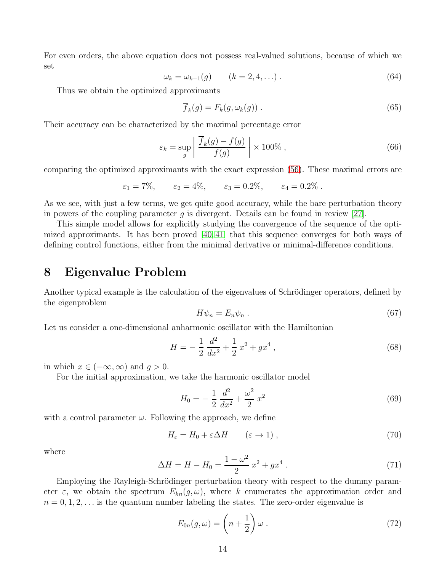For even orders, the above equation does not possess real-valued solutions, because of which we set

<span id="page-13-0"></span>
$$
\omega_k = \omega_{k-1}(g) \qquad (k = 2, 4, \ldots) \tag{64}
$$

Thus we obtain the optimized approximants

$$
\overline{f}_k(g) = F_k(g, \omega_k(g)) . \tag{65}
$$

Their accuracy can be characterized by the maximal percentage error

$$
\varepsilon_k = \sup_g \left| \frac{\overline{f}_k(g) - f(g)}{f(g)} \right| \times 100\%,\tag{66}
$$

comparing the optimized approximants with the exact expression [\(56\)](#page-12-0). These maximal errors are

$$
\varepsilon_1 = 7\%,
$$
  $\varepsilon_2 = 4\%,$   $\varepsilon_3 = 0.2\%,$   $\varepsilon_4 = 0.2\%.$ 

As we see, with just a few terms, we get quite good accuracy, while the bare perturbation theory in powers of the coupling parameter g is divergent. Details can be found in review [\[27\]](#page-55-4).

This simple model allows for explicitly studying the convergence of the sequence of the optimized approximants. It has been proved [\[40,](#page-56-0) [41\]](#page-56-1) that this sequence converges for both ways of defining control functions, either from the minimal derivative or minimal-difference conditions.

### 8 Eigenvalue Problem

Another typical example is the calculation of the eigenvalues of Schrödinger operators, defined by the eigenproblem

$$
H\psi_n = E_n \psi_n \tag{67}
$$

Let us consider a one-dimensional anharmonic oscillator with the Hamiltonian

$$
H = -\frac{1}{2}\frac{d^2}{dx^2} + \frac{1}{2}x^2 + gx^4\,,\tag{68}
$$

in which  $x \in (-\infty, \infty)$  and  $q > 0$ .

For the initial approximation, we take the harmonic oscillator model

$$
H_0 = -\frac{1}{2}\frac{d^2}{dx^2} + \frac{\omega^2}{2}x^2\tag{69}
$$

with a control parameter  $\omega$ . Following the approach, we define

$$
H_{\varepsilon} = H_0 + \varepsilon \Delta H \qquad (\varepsilon \to 1) , \qquad (70)
$$

where

$$
\Delta H = H - H_0 = \frac{1 - \omega^2}{2} x^2 + g x^4 \,. \tag{71}
$$

Employing the Rayleigh-Schrödinger perturbation theory with respect to the dummy parameter  $\varepsilon$ , we obtain the spectrum  $E_{kn}(g,\omega)$ , where k enumerates the approximation order and  $n = 0, 1, 2, \ldots$  is the quantum number labeling the states. The zero-order eigenvalue is

$$
E_{0n}(g,\omega) = \left(n + \frac{1}{2}\right)\omega.
$$
\n(72)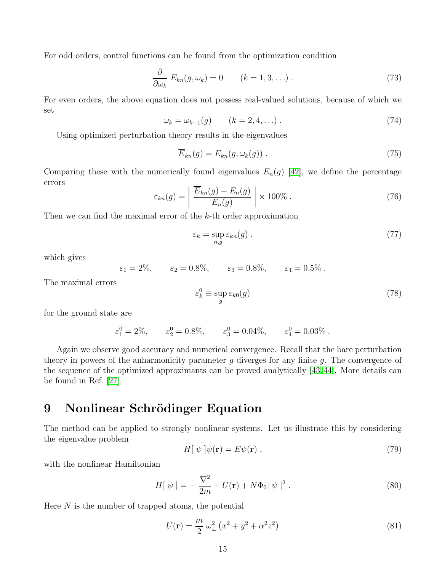For odd orders, control functions can be found from the optimization condition

$$
\frac{\partial}{\partial \omega_k} E_{kn}(g, \omega_k) = 0 \qquad (k = 1, 3, \ldots) \,. \tag{73}
$$

For even orders, the above equation does not possess real-valued solutions, because of which we set

$$
\omega_k = \omega_{k-1}(g) \qquad (k = 2, 4, \ldots) \tag{74}
$$

Using optimized perturbation theory results in the eigenvalues

$$
\overline{E}_{kn}(g) = E_{kn}(g, \omega_k(g)) . \tag{75}
$$

Comparing these with the numerically found eigenvalues  $E_n(g)$  [\[42\]](#page-56-2), we define the percentage errors

$$
\varepsilon_{kn}(g) = \left| \frac{\overline{E}_{kn}(g) - E_n(g)}{E_n(g)} \right| \times 100\% . \tag{76}
$$

Then we can find the maximal error of the k-th order approximation

$$
\varepsilon_k = \sup_{n,g} \varepsilon_{kn}(g) \;, \tag{77}
$$

which gives

 $\varepsilon_1 = 2\%, \quad \varepsilon_2 = 0.8\%, \quad \varepsilon_3 = 0.8\%, \quad \varepsilon_4 = 0.5\%$ .

The maximal errors

$$
\varepsilon_k^0 \equiv \sup_g \varepsilon_{k0}(g) \tag{78}
$$

for the ground state are

 $\varepsilon_1^0 = 2\%, \qquad \varepsilon_2^0 = 0.8\%, \qquad \varepsilon_3^0 = 0.04\%, \qquad \varepsilon_4^0 = 0.03\%$ .

Again we observe good accuracy and numerical convergence. Recall that the bare perturbation theory in powers of the anharmonicity parameter  $g$  diverges for any finite  $g$ . The convergence of the sequence of the optimized approximants can be proved analytically [\[43,](#page-56-3) [44\]](#page-56-4). More details can be found in Ref. [\[27\]](#page-55-4).

### 9 Nonlinear Schrödinger Equation

The method can be applied to strongly nonlinear systems. Let us illustrate this by considering the eigenvalue problem

$$
H[\psi]\psi(\mathbf{r}) = E\psi(\mathbf{r})\,,\tag{79}
$$

with the nonlinear Hamiltonian

$$
H[\psi] = -\frac{\nabla^2}{2m} + U(\mathbf{r}) + N\Phi_0 |\psi|^2.
$$
 (80)

Here  $N$  is the number of trapped atoms, the potential

$$
U(\mathbf{r}) = \frac{m}{2} \omega_{\perp}^2 \left( x^2 + y^2 + \alpha^2 z^2 \right) \tag{81}
$$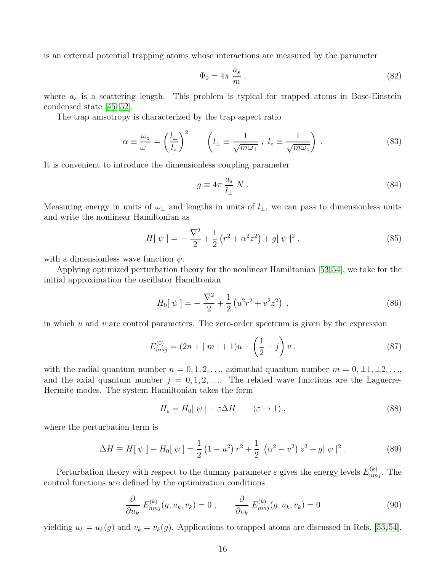is an external potential trapping atoms whose interactions are measured by the parameter

$$
\Phi_0 = 4\pi \, \frac{a_s}{m} \,,\tag{82}
$$

where  $a_s$  is a scattering length. This problem is typical for trapped atoms in Bose-Einstein condensed state [\[45](#page-56-5)[–52\]](#page-56-6).

The trap anisotropy is characterized by the trap aspect ratio

$$
\alpha \equiv \frac{\omega_z}{\omega_\perp} = \left(\frac{l_\perp}{l_z}\right)^2 \qquad \left(l_\perp \equiv \frac{1}{\sqrt{m\omega_\perp}}, \ l_z \equiv \frac{1}{\sqrt{m\omega_z}}\right) \,. \tag{83}
$$

It is convenient to introduce the dimensionless coupling parameter

$$
g \equiv 4\pi \frac{a_s}{l_\perp} N \ . \tag{84}
$$

Measuring energy in units of  $\omega_{\perp}$  and lengths in units of  $l_{\perp}$ , we can pass to dimensionless units and write the nonlinear Hamiltonian as

$$
H[\psi] = -\frac{\nabla^2}{2} + \frac{1}{2} (r^2 + \alpha^2 z^2) + g|\psi|^2 , \qquad (85)
$$

with a dimensionless wave function  $\psi$ .

Applying optimized perturbation theory for the nonlinear Hamiltonian [\[53,](#page-56-7)[54\]](#page-56-8), we take for the initial approximation the oscillator Hamiltonian

$$
H_0[\psi] = -\frac{\nabla^2}{2} + \frac{1}{2} \left( u^2 r^2 + v^2 z^2 \right) , \qquad (86)
$$

in which  $u$  and  $v$  are control parameters. The zero-order spectrum is given by the expression

$$
E_{nmj}^{(0)} = (2n + |m| + 1)u + \left(\frac{1}{2} + j\right)v,
$$
\n(87)

with the radial quantum number  $n = 0, 1, 2, \ldots$ , azimuthal quantum number  $m = 0, \pm 1, \pm 2, \ldots$ , and the axial quantum number  $j = 0, 1, 2, \ldots$  The related wave functions are the Laguerre-Hermite modes. The system Hamiltonian takes the form

$$
H_{\varepsilon} = H_0[\ \psi \ ] + \varepsilon \Delta H \qquad (\varepsilon \to 1) \ , \tag{88}
$$

where the perturbation term is

$$
\Delta H \equiv H[\psi] - H_0[\psi] = \frac{1}{2} (1 - u^2) r^2 + \frac{1}{2} ( \alpha^2 - v^2) z^2 + g |\psi|^2.
$$
 (89)

Perturbation theory with respect to the dummy parameter  $\varepsilon$  gives the energy levels  $E_{nmj}^{(k)}$ . The control functions are defined by the optimization conditions

$$
\frac{\partial}{\partial u_k} E_{nmj}^{(k)}(g, u_k, v_k) = 0 , \qquad \frac{\partial}{\partial v_k} E_{nmj}^{(k)}(g, u_k, v_k) = 0
$$
\n(90)

yielding  $u_k = u_k(g)$  and  $v_k = v_k(g)$ . Applications to trapped atoms are discussed in Refs. [\[53,](#page-56-7)[54\]](#page-56-8).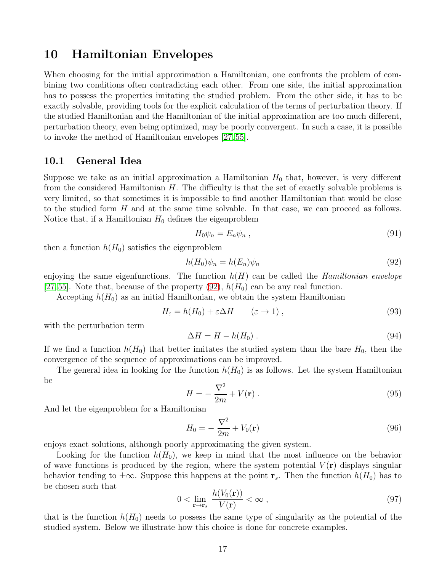### 10 Hamiltonian Envelopes

When choosing for the initial approximation a Hamiltonian, one confronts the problem of combining two conditions often contradicting each other. From one side, the initial approximation has to possess the properties imitating the studied problem. From the other side, it has to be exactly solvable, providing tools for the explicit calculation of the terms of perturbation theory. If the studied Hamiltonian and the Hamiltonian of the initial approximation are too much different, perturbation theory, even being optimized, may be poorly convergent. In such a case, it is possible to invoke the method of Hamiltonian envelopes [\[27,](#page-55-4) [55\]](#page-56-9).

#### 10.1 General Idea

Suppose we take as an initial approximation a Hamiltonian  $H_0$  that, however, is very different from the considered Hamiltonian  $H$ . The difficulty is that the set of exactly solvable problems is very limited, so that sometimes it is impossible to find another Hamiltonian that would be close to the studied form H and at the same time solvable. In that case, we can proceed as follows. Notice that, if a Hamiltonian  $H_0$  defines the eigenproblem

$$
H_0 \psi_n = E_n \psi_n \t{91}
$$

then a function  $h(H_0)$  satisfies the eigenproblem

<span id="page-16-0"></span>
$$
h(H_0)\psi_n = h(E_n)\psi_n \tag{92}
$$

enjoying the same eigenfunctions. The function  $h(H)$  can be called the *Hamiltonian envelope* [\[27,](#page-55-4) [55\]](#page-56-9). Note that, because of the property  $(92)$ ,  $h(H_0)$  can be any real function.

Accepting  $h(H_0)$  as an initial Hamiltonian, we obtain the system Hamiltonian

$$
H_{\varepsilon} = h(H_0) + \varepsilon \Delta H \qquad (\varepsilon \to 1) , \qquad (93)
$$

with the perturbation term

$$
\Delta H = H - h(H_0) \tag{94}
$$

If we find a function  $h(H_0)$  that better imitates the studied system than the bare  $H_0$ , then the convergence of the sequence of approximations can be improved.

The general idea in looking for the function  $h(H_0)$  is as follows. Let the system Hamiltonian be

$$
H = -\frac{\nabla^2}{2m} + V(\mathbf{r}) \,. \tag{95}
$$

And let the eigenproblem for a Hamiltonian

$$
H_0 = -\frac{\nabla^2}{2m} + V_0(\mathbf{r})\tag{96}
$$

enjoys exact solutions, although poorly approximating the given system.

Looking for the function  $h(H_0)$ , we keep in mind that the most influence on the behavior of wave functions is produced by the region, where the system potential  $V(\mathbf{r})$  displays singular behavior tending to  $\pm \infty$ . Suppose this happens at the point  $\mathbf{r}_s$ . Then the function  $h(H_0)$  has to be chosen such that

<span id="page-16-1"></span>
$$
0 < \lim_{\mathbf{r} \to \mathbf{r}_s} \frac{h(V_0(\mathbf{r}))}{V(\mathbf{r})} < \infty \,, \tag{97}
$$

that is the function  $h(H_0)$  needs to possess the same type of singularity as the potential of the studied system. Below we illustrate how this choice is done for concrete examples.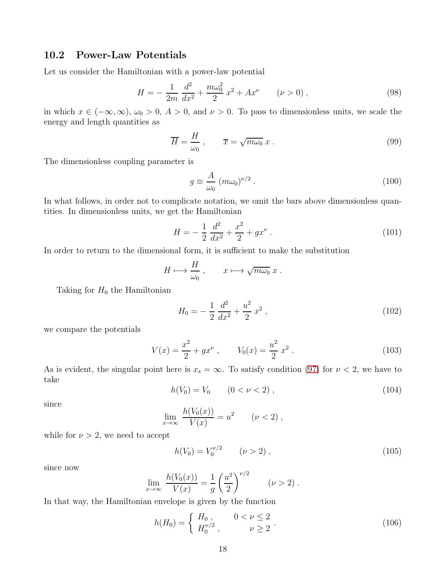#### 10.2 Power-Law Potentials

Let us consider the Hamiltonian with a power-law potential

$$
H = -\frac{1}{2m} \frac{d^2}{dx^2} + \frac{m\omega_0^2}{2} x^2 + Ax^{\nu} \qquad (\nu > 0) ,
$$
 (98)

in which  $x \in (-\infty, \infty)$ ,  $\omega_0 > 0$ ,  $A > 0$ , and  $\nu > 0$ . To pass to dimensionless units, we scale the energy and length quantities as

$$
\overline{H} = \frac{H}{\omega_0}, \qquad \overline{x} = \sqrt{m\omega_0} x. \tag{99}
$$

The dimensionless coupling parameter is

$$
g \equiv \frac{A}{\omega_0} \left( m \omega_0 \right)^{\nu/2} . \tag{100}
$$

In what follows, in order not to complicate notation, we omit the bars above dimensionless quantities. In dimensionless units, we get the Hamiltonian

$$
H = -\frac{1}{2}\frac{d^2}{dx^2} + \frac{x^2}{2} + gx^{\nu} \,. \tag{101}
$$

In order to return to the dimensional form, it is sufficient to make the substitution

$$
H \longmapsto \frac{H}{\omega_0} , \qquad x \longmapsto \sqrt{m\omega_0} \; x \; .
$$

Taking for  $H_0$  the Hamiltonian

$$
H_0 = -\frac{1}{2} \frac{d^2}{dx^2} + \frac{u^2}{2} x^2 , \qquad (102)
$$

we compare the potentials

$$
V(x) = \frac{x^2}{2} + gx^{\nu} , \qquad V_0(x) = \frac{u^2}{2} x^2 . \qquad (103)
$$

As is evident, the singular point here is  $x_s = \infty$ . To satisfy condition [\(97\)](#page-16-1) for  $\nu < 2$ , we have to take

$$
h(V_0) = V_0 \qquad (0 < \nu < 2) \tag{104}
$$

since

$$
\lim_{x \to \infty} \frac{h(V_0(x))}{V(x)} = u^2 \qquad (\nu < 2) ,
$$

while for  $\nu > 2$ , we need to accept

$$
h(V_0) = V_0^{\nu/2} \qquad (\nu > 2) \; , \tag{105}
$$

since now

$$
\lim_{x \to \infty} \frac{h(V_0(x))}{V(x)} = \frac{1}{g} \left(\frac{u^2}{2}\right)^{\nu/2} \qquad (\nu > 2) .
$$

In that way, the Hamiltonian envelope is given by the function

$$
h(H_0) = \begin{cases} H_0, & 0 < \nu \le 2 \\ H_0^{\nu/2}, & \nu \ge 2 \end{cases}.
$$
 (106)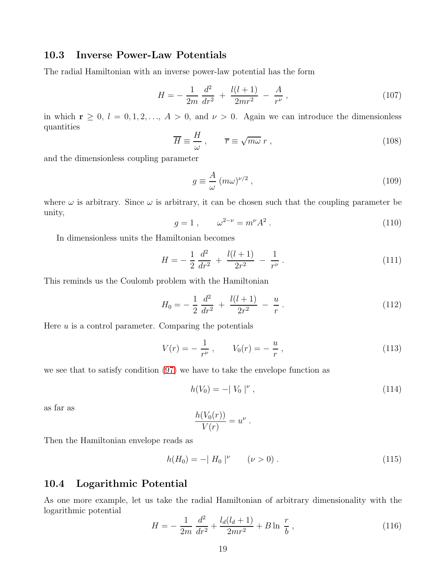#### 10.3 Inverse Power-Law Potentials

The radial Hamiltonian with an inverse power-law potential has the form

$$
H = -\frac{1}{2m} \frac{d^2}{dr^2} + \frac{l(l+1)}{2mr^2} - \frac{A}{r^{\nu}},
$$
\n(107)

in which  $\mathbf{r} \geq 0$ ,  $l = 0, 1, 2, \ldots, A > 0$ , and  $\nu > 0$ . Again we can introduce the dimensionless quantities

$$
\overline{H} \equiv \frac{H}{\omega}, \qquad \overline{r} \equiv \sqrt{m\omega} \, r \,, \tag{108}
$$

and the dimensionless coupling parameter

$$
g \equiv \frac{A}{\omega} \left( m\omega \right)^{\nu/2},\tag{109}
$$

where  $\omega$  is arbitrary. Since  $\omega$  is arbitrary, it can be chosen such that the coupling parameter be unity,

$$
g = 1 , \qquad \omega^{2-\nu} = m^{\nu} A^2 . \tag{110}
$$

In dimensionless units the Hamiltonian becomes

$$
H = -\frac{1}{2}\frac{d^2}{dr^2} + \frac{l(l+1)}{2r^2} - \frac{1}{r^{\nu}}.
$$
\n(111)

This reminds us the Coulomb problem with the Hamiltonian

$$
H_0 = -\frac{1}{2} \frac{d^2}{dr^2} + \frac{l(l+1)}{2r^2} - \frac{u}{r}.
$$
 (112)

Here  $u$  is a control parameter. Comparing the potentials

$$
V(r) = -\frac{1}{r^{\nu}} , \qquad V_0(r) = -\frac{u}{r} , \qquad (113)
$$

we see that to satisfy condition [\(97\)](#page-16-1) we have to take the envelope function as

$$
h(V_0) = -|V_0|^\nu , \qquad (114)
$$

as far as

$$
\frac{h(V_0(r))}{V(r)} = u^{\nu}
$$

.

Then the Hamiltonian envelope reads as

$$
h(H_0) = -|H_0|^\nu \qquad (\nu > 0) \ . \tag{115}
$$

#### 10.4 Logarithmic Potential

As one more example, let us take the radial Hamiltonian of arbitrary dimensionality with the logarithmic potential

$$
H = -\frac{1}{2m} \frac{d^2}{dr^2} + \frac{l_d(l_d+1)}{2mr^2} + B \ln \frac{r}{b} , \qquad (116)
$$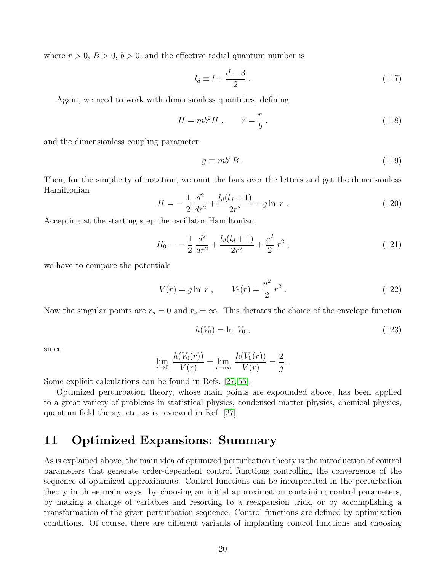where  $r > 0$ ,  $B > 0$ ,  $b > 0$ , and the effective radial quantum number is

$$
l_d \equiv l + \frac{d-3}{2} \tag{117}
$$

Again, we need to work with dimensionless quantities, defining

$$
\overline{H} = mb^2 H , \qquad \overline{r} = \frac{r}{b} , \qquad (118)
$$

and the dimensionless coupling parameter

$$
g \equiv mb^2 B \tag{119}
$$

Then, for the simplicity of notation, we omit the bars over the letters and get the dimensionless Hamiltonian

$$
H = -\frac{1}{2}\frac{d^2}{dr^2} + \frac{l_d(l_d+1)}{2r^2} + g\ln r \ . \tag{120}
$$

Accepting at the starting step the oscillator Hamiltonian

$$
H_0 = -\frac{1}{2} \frac{d^2}{dr^2} + \frac{l_d(l_d+1)}{2r^2} + \frac{u^2}{2}r^2 ,\qquad (121)
$$

we have to compare the potentials

$$
V(r) = g \ln r , \qquad V_0(r) = \frac{u^2}{2} r^2 . \qquad (122)
$$

Now the singular points are  $r_s = 0$  and  $r_s = \infty$ . This dictates the choice of the envelope function

$$
h(V_0) = \ln V_0, \t\t(123)
$$

since

$$
\lim_{r \to 0} \frac{h(V_0(r))}{V(r)} = \lim_{r \to \infty} \frac{h(V_0(r))}{V(r)} = \frac{2}{g}.
$$

Some explicit calculations can be found in Refs. [\[27,](#page-55-4) [55\]](#page-56-9).

Optimized perturbation theory, whose main points are expounded above, has been applied to a great variety of problems in statistical physics, condensed matter physics, chemical physics, quantum field theory, etc, as is reviewed in Ref. [\[27\]](#page-55-4).

### 11 Optimized Expansions: Summary

As is explained above, the main idea of optimized perturbation theory is the introduction of control parameters that generate order-dependent control functions controlling the convergence of the sequence of optimized approximants. Control functions can be incorporated in the perturbation theory in three main ways: by choosing an initial approximation containing control parameters, by making a change of variables and resorting to a reexpansion trick, or by accomplishing a transformation of the given perturbation sequence. Control functions are defined by optimization conditions. Of course, there are different variants of implanting control functions and choosing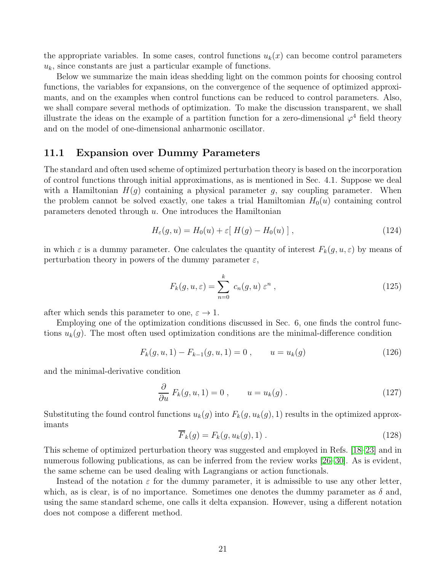the appropriate variables. In some cases, control functions  $u_k(x)$  can become control parameters  $u_k$ , since constants are just a particular example of functions.

Below we summarize the main ideas shedding light on the common points for choosing control functions, the variables for expansions, on the convergence of the sequence of optimized approximants, and on the examples when control functions can be reduced to control parameters. Also, we shall compare several methods of optimization. To make the discussion transparent, we shall illustrate the ideas on the example of a partition function for a zero-dimensional  $\varphi^4$  field theory and on the model of one-dimensional anharmonic oscillator.

#### 11.1 Expansion over Dummy Parameters

The standard and often used scheme of optimized perturbation theory is based on the incorporation of control functions through initial approximations, as is mentioned in Sec. 4.1. Suppose we deal with a Hamiltonian  $H(q)$  containing a physical parameter q, say coupling parameter. When the problem cannot be solved exactly, one takes a trial Hamiltomian  $H_0(u)$  containing control parameters denoted through  $u$ . One introduces the Hamiltonian

<span id="page-20-0"></span>
$$
H_{\varepsilon}(g, u) = H_0(u) + \varepsilon [ H(g) - H_0(u) ], \qquad (124)
$$

in which  $\varepsilon$  is a dummy parameter. One calculates the quantity of interest  $F_k(g, u, \varepsilon)$  by means of perturbation theory in powers of the dummy parameter  $\varepsilon$ ,

$$
F_k(g, u, \varepsilon) = \sum_{n=0}^k c_n(g, u) \varepsilon^n , \qquad (125)
$$

after which sends this parameter to one,  $\varepsilon \to 1$ .

Employing one of the optimization conditions discussed in Sec. 6, one finds the control functions  $u_k(g)$ . The most often used optimization conditions are the minimal-difference condition

$$
F_k(g, u, 1) - F_{k-1}(g, u, 1) = 0, \qquad u = u_k(g) \tag{126}
$$

and the minimal-derivative condition

$$
\frac{\partial}{\partial u} F_k(g, u, 1) = 0 , \qquad u = u_k(g) . \qquad (127)
$$

Substituting the found control functions  $u_k(g)$  into  $F_k(g, u_k(g), 1)$  results in the optimized approximants

$$
F_k(g) = F_k(g, u_k(g), 1) \tag{128}
$$

This scheme of optimized perturbation theory was suggested and employed in Refs. [\[18–](#page-54-15)[23\]](#page-55-11) and in numerous following publications, as can be inferred from the review works [\[26](#page-55-3)[–30\]](#page-55-6). As is evident, the same scheme can be used dealing with Lagrangians or action functionals.

Instead of the notation  $\varepsilon$  for the dummy parameter, it is admissible to use any other letter, which, as is clear, is of no importance. Sometimes one denotes the dummy parameter as  $\delta$  and, using the same standard scheme, one calls it delta expansion. However, using a different notation does not compose a different method.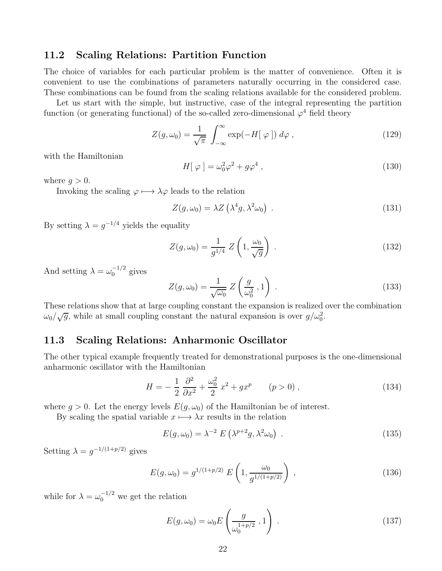#### 11.2 Scaling Relations: Partition Function

The choice of variables for each particular problem is the matter of convenience. Often it is convenient to use the combinations of parameters naturally occurring in the considered case. These combinations can be found from the scaling relations available for the considered problem.

Let us start with the simple, but instructive, case of the integral representing the partition function (or generating functional) of the so-called zero-dimensional  $\varphi^4$  field theory

<span id="page-21-0"></span>
$$
Z(g,\omega_0) = \frac{1}{\sqrt{\pi}} \int_{-\infty}^{\infty} \exp(-H[\varphi]) d\varphi , \qquad (129)
$$

with the Hamiltonian

<span id="page-21-1"></span>
$$
H[\varphi] = \omega_0^2 \varphi^2 + g\varphi^4 , \qquad (130)
$$

where  $q > 0$ .

Invoking the scaling  $\varphi \mapsto \lambda \varphi$  leads to the relation

$$
Z(g,\omega_0) = \lambda Z\left(\lambda^4 g, \lambda^2 \omega_0\right) \tag{131}
$$

By setting  $\lambda = g^{-1/4}$  yields the equality

$$
Z(g,\omega_0) = \frac{1}{g^{1/4}} Z\left(1, \frac{\omega_0}{\sqrt{g}}\right) . \tag{132}
$$

And setting  $\lambda = \omega_0^{-1/2}$  $_0$ <sup>-1/2</sup> gives

$$
Z(g,\omega_0) = \frac{1}{\sqrt{\omega_0}} Z\left(\frac{g}{\omega_0^2}, 1\right) . \tag{133}
$$

These relations show that at large coupling constant the expansion is realized over the combination  $\omega_0/\sqrt{g}$ , while at small coupling constant the natural expansion is over  $g/\omega_0^2$ .

#### 11.3 Scaling Relations: Anharmonic Oscillator

The other typical example frequently treated for demonstrational purposes is the one-dimensional anharmonic oscillator with the Hamiltonian

<span id="page-21-2"></span>
$$
H = -\frac{1}{2}\frac{\partial^2}{\partial x^2} + \frac{\omega_0^2}{2}x^2 + gx^p \qquad (p > 0) ,
$$
 (134)

where  $g > 0$ . Let the energy levels  $E(g, \omega_0)$  of the Hamiltonian be of interest.

By scaling the spatial variable  $x \mapsto \lambda x$  results in the relation

$$
E(g,\omega_0) = \lambda^{-2} E\left(\lambda^{p+2}g, \lambda^2 \omega_0\right) . \tag{135}
$$

Setting  $\lambda = g^{-1/(1+p/2)}$  gives

$$
E(g,\omega_0) = g^{1/(1+p/2)} E\left(1, \frac{\omega_0}{g^{1/(1+p/2)}}\right) ,
$$
\n(136)

while for  $\lambda = \omega_0^{-1/2}$  we get the relation

$$
E(g,\omega_0) = \omega_0 E\left(\frac{g}{\omega_0^{1+p/2}}, 1\right) \tag{137}
$$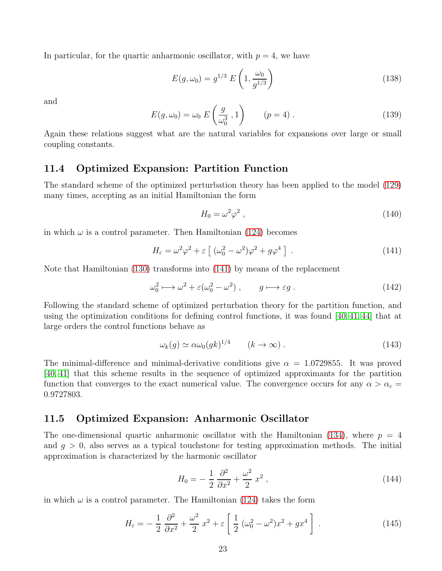In particular, for the quartic anharmonic oscillator, with  $p = 4$ , we have

$$
E(g,\omega_0) = g^{1/3} E\left(1, \frac{\omega_0}{g^{1/3}}\right)
$$
\n(138)

and

$$
E(g,\omega_0) = \omega_0 \ E\left(\frac{g}{\omega_0^3}, 1\right) \qquad (p=4).
$$
 (139)

Again these relations suggest what are the natural variables for expansions over large or small coupling constants.

#### 11.4 Optimized Expansion: Partition Function

The standard scheme of the optimized perturbation theory has been applied to the model [\(129\)](#page-21-0) many times, accepting as an initial Hamiltonian the form

$$
H_0 = \omega^2 \varphi^2 \,,\tag{140}
$$

in which  $\omega$  is a control parameter. Then Hamiltonian [\(124\)](#page-20-0) becomes

<span id="page-22-0"></span>
$$
H_{\varepsilon} = \omega^2 \varphi^2 + \varepsilon \left[ \left( \omega_0^2 - \omega^2 \right) \varphi^2 + g \varphi^4 \right] \,. \tag{141}
$$

Note that Hamiltonian [\(130\)](#page-21-1) transforms into [\(141\)](#page-22-0) by means of the replacement

<span id="page-22-2"></span>
$$
\omega_0^2 \longmapsto \omega^2 + \varepsilon (\omega_0^2 - \omega^2) , \qquad g \longmapsto \varepsilon g . \tag{142}
$$

Following the standard scheme of optimized perturbation theory for the partition function, and using the optimization conditions for defining control functions, it was found [\[40,](#page-56-0) [41,](#page-56-1) [44\]](#page-56-4) that at large orders the control functions behave as

$$
\omega_k(g) \simeq \alpha \omega_0(gk)^{1/4} \qquad (k \to \infty) \ . \tag{143}
$$

The minimal-difference and minimal-derivative conditions give  $\alpha = 1.0729855$ . It was proved [\[40,](#page-56-0) [41\]](#page-56-1) that this scheme results in the sequence of optimized approximants for the partition function that converges to the exact numerical value. The convergence occurs for any  $\alpha > \alpha_c =$ 0.9727803.

#### 11.5 Optimized Expansion: Anharmonic Oscillator

The one-dimensional quartic anharmonic oscillator with the Hamiltonian [\(134\)](#page-21-2), where  $p = 4$ and  $q > 0$ , also serves as a typical touchstone for testing approximation methods. The initial approximation is characterized by the harmonic oscillator

$$
H_0 = -\frac{1}{2} \frac{\partial^2}{\partial x^2} + \frac{\omega^2}{2} x^2 , \qquad (144)
$$

in which  $\omega$  is a control parameter. The Hamiltonian [\(124\)](#page-20-0) takes the form

<span id="page-22-1"></span>
$$
H_{\varepsilon} = -\frac{1}{2} \frac{\partial^2}{\partial x^2} + \frac{\omega^2}{2} x^2 + \varepsilon \left[ \frac{1}{2} \left( \omega_0^2 - \omega^2 \right) x^2 + g x^4 \right]. \tag{145}
$$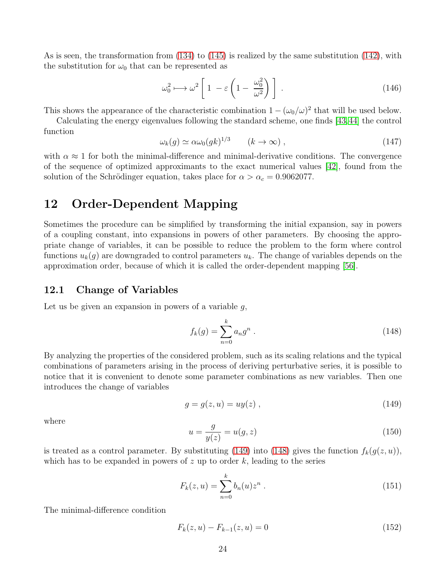As is seen, the transformation from [\(134\)](#page-21-2) to [\(145\)](#page-22-1) is realized by the same substitution [\(142\)](#page-22-2), with the substitution for  $\omega_0$  that can be represented as

<span id="page-23-5"></span>
$$
\omega_0^2 \longmapsto \omega^2 \left[ 1 - \varepsilon \left( 1 - \frac{\omega_0^2}{\omega^2} \right) \right] \,. \tag{146}
$$

This shows the appearance of the characteristic combination  $1 - (\omega_0/\omega)^2$  that will be used below.

Calculating the energy eigenvalues following the standard scheme, one finds [\[43,](#page-56-3)[44\]](#page-56-4) the control function

$$
\omega_k(g) \simeq \alpha \omega_0(gk)^{1/3} \qquad (k \to \infty) , \qquad (147)
$$

with  $\alpha \approx 1$  for both the minimal-difference and minimal-derivative conditions. The convergence of the sequence of optimized approximants to the exact numerical values [\[42\]](#page-56-2), found from the solution of the Schrödinger equation, takes place for  $\alpha > \alpha_c = 0.9062077$ .

# 12 Order-Dependent Mapping

Sometimes the procedure can be simplified by transforming the initial expansion, say in powers of a coupling constant, into expansions in powers of other parameters. By choosing the appropriate change of variables, it can be possible to reduce the problem to the form where control functions  $u_k(g)$  are downgraded to control parameters  $u_k$ . The change of variables depends on the approximation order, because of which it is called the order-dependent mapping [\[56\]](#page-56-10).

#### 12.1 Change of Variables

Let us be given an expansion in powers of a variable  $q$ ,

<span id="page-23-1"></span>
$$
f_k(g) = \sum_{n=0}^{k} a_n g^n
$$
 (148)

By analyzing the properties of the considered problem, such as its scaling relations and the typical combinations of parameters arising in the process of deriving perturbative series, it is possible to notice that it is convenient to denote some parameter combinations as new variables. Then one introduces the change of variables

<span id="page-23-0"></span>
$$
g = g(z, u) = uy(z) , \qquad (149)
$$

where

<span id="page-23-2"></span>
$$
u = \frac{g}{y(z)} = u(g, z)
$$
 (150)

is treated as a control parameter. By substituting [\(149\)](#page-23-0) into [\(148\)](#page-23-1) gives the function  $f_k(g(z, u))$ , which has to be expanded in powers of z up to order  $k$ , leading to the series

<span id="page-23-3"></span>
$$
F_k(z, u) = \sum_{n=0}^{k} b_n(u) z^n .
$$
 (151)

The minimal-difference condition

<span id="page-23-4"></span>
$$
F_k(z, u) - F_{k-1}(z, u) = 0
$$
\n(152)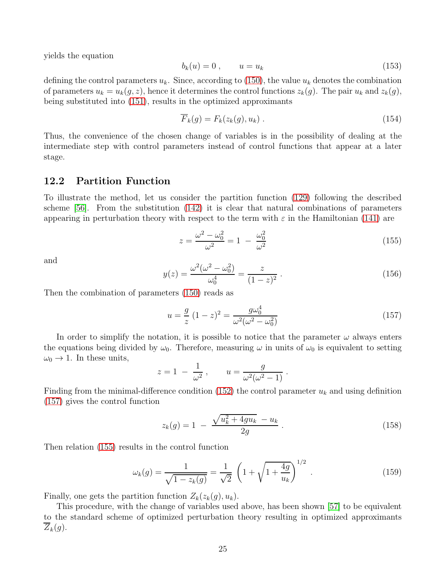yields the equation

$$
b_k(u) = 0, \qquad u = u_k \tag{153}
$$

defining the control parameters  $u_k$ . Since, according to [\(150\)](#page-23-2), the value  $u_k$  denotes the combination of parameters  $u_k = u_k(g, z)$ , hence it determines the control functions  $z_k(g)$ . The pair  $u_k$  and  $z_k(g)$ , being substituted into [\(151\)](#page-23-3), results in the optimized approximants

$$
\overline{F}_k(g) = F_k(z_k(g), u_k) \tag{154}
$$

Thus, the convenience of the chosen change of variables is in the possibility of dealing at the intermediate step with control parameters instead of control functions that appear at a later stage.

#### 12.2 Partition Function

To illustrate the method, let us consider the partition function [\(129\)](#page-21-0) following the described scheme [\[56\]](#page-56-10). From the substitution [\(142\)](#page-22-2) it is clear that natural combinations of parameters appearing in perturbation theory with respect to the term with  $\varepsilon$  in the Hamiltonian [\(141\)](#page-22-0) are

<span id="page-24-1"></span>
$$
z = \frac{\omega^2 - \omega_0^2}{\omega^2} = 1 - \frac{\omega_0^2}{\omega^2}
$$
 (155)

and

$$
y(z) = \frac{\omega^2(\omega^2 - \omega_0^2)}{\omega_0^4} = \frac{z}{(1 - z)^2}.
$$
 (156)

Then the combination of parameters [\(150\)](#page-23-2) reads as

<span id="page-24-0"></span>
$$
u = \frac{g}{z} (1 - z)^2 = \frac{g\omega_0^4}{\omega^2(\omega^2 - \omega_0^2)}
$$
(157)

In order to simplify the notation, it is possible to notice that the parameter  $\omega$  always enters the equations being divided by  $\omega_0$ . Therefore, measuring  $\omega$  in units of  $\omega_0$  is equivalent to setting  $\omega_0 \rightarrow 1$ . In these units,

$$
z = 1 - \frac{1}{\omega^2}
$$
,  $u = \frac{g}{\omega^2(\omega^2 - 1)}$ .

Finding from the minimal-difference condition [\(152\)](#page-23-4) the control parameter  $u_k$  and using definition [\(157\)](#page-24-0) gives the control function

$$
z_k(g) = 1 - \frac{\sqrt{u_k^2 + 4gu_k} - u_k}{2g} \,. \tag{158}
$$

Then relation [\(155\)](#page-24-1) results in the control function

$$
\omega_k(g) = \frac{1}{\sqrt{1 - z_k(g)}} = \frac{1}{\sqrt{2}} \left( 1 + \sqrt{1 + \frac{4g}{u_k}} \right)^{1/2} . \tag{159}
$$

Finally, one gets the partition function  $Z_k(z_k(g), u_k)$ .

This procedure, with the change of variables used above, has been shown [\[57\]](#page-56-11) to be equivalent to the standard scheme of optimized perturbation theory resulting in optimized approximants  $Z_k(g)$ .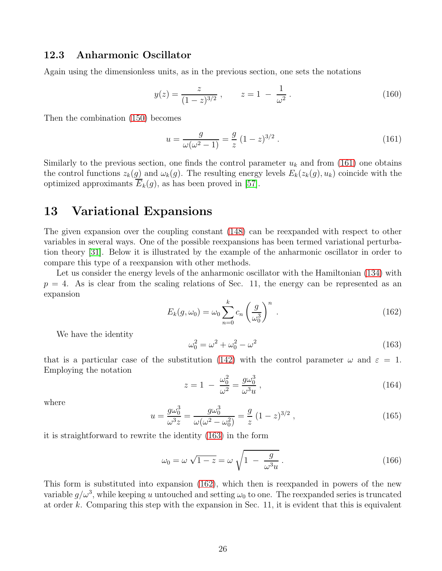#### 12.3 Anharmonic Oscillator

Again using the dimensionless units, as in the previous section, one sets the notations

$$
y(z) = \frac{z}{(1-z)^{3/2}}, \qquad z = 1 - \frac{1}{\omega^2}.
$$
 (160)

Then the combination [\(150\)](#page-23-2) becomes

<span id="page-25-0"></span>
$$
u = \frac{g}{\omega(\omega^2 - 1)} = \frac{g}{z} (1 - z)^{3/2} . \tag{161}
$$

Similarly to the previous section, one finds the control parameter  $u_k$  and from [\(161\)](#page-25-0) one obtains the control functions  $z_k(g)$  and  $\omega_k(g)$ . The resulting energy levels  $E_k(z_k(g), u_k)$  coincide with the optimized approximants  $\overline{E}_k(g)$ , as has been proved in [\[57\]](#page-56-11).

### 13 Variational Expansions

The given expansion over the coupling constant [\(148\)](#page-23-1) can be reexpanded with respect to other variables in several ways. One of the possible reexpansions has been termed variational perturbation theory [\[31\]](#page-55-7). Below it is illustrated by the example of the anharmonic oscillator in order to compare this type of a reexpansion with other methods.

Let us consider the energy levels of the anharmonic oscillator with the Hamiltonian  $(134)$  with  $p = 4$ . As is clear from the scaling relations of Sec. 11, the energy can be represented as an expansion

<span id="page-25-2"></span>
$$
E_k(g,\omega_0) = \omega_0 \sum_{n=0}^k c_n \left(\frac{g}{\omega_0^3}\right)^n . \tag{162}
$$

We have the identity

<span id="page-25-1"></span>
$$
\omega_0^2 = \omega^2 + \omega_0^2 - \omega^2 \tag{163}
$$

that is a particular case of the substitution [\(142\)](#page-22-2) with the control parameter  $\omega$  and  $\varepsilon = 1$ . Employing the notation

$$
z = 1 - \frac{\omega_0^2}{\omega^2} = \frac{g\omega_0^3}{\omega^3 u},
$$
\n(164)

where

<span id="page-25-3"></span>
$$
u = \frac{g\omega_0^3}{\omega^3 z} = \frac{g\omega_0^3}{\omega(\omega^2 - \omega_0^2)} = \frac{g}{z} (1 - z)^{3/2}, \qquad (165)
$$

it is straightforward to rewrite the identity [\(163\)](#page-25-1) in the form

$$
\omega_0 = \omega \sqrt{1 - z} = \omega \sqrt{1 - \frac{g}{\omega^3 u}}.
$$
\n(166)

This form is substituted into expansion [\(162\)](#page-25-2), which then is reexpanded in powers of the new variable  $g/\omega^3$ , while keeping u untouched and setting  $\omega_0$  to one. The reexpanded series is truncated at order k. Comparing this step with the expansion in Sec. 11, it is evident that this is equivalent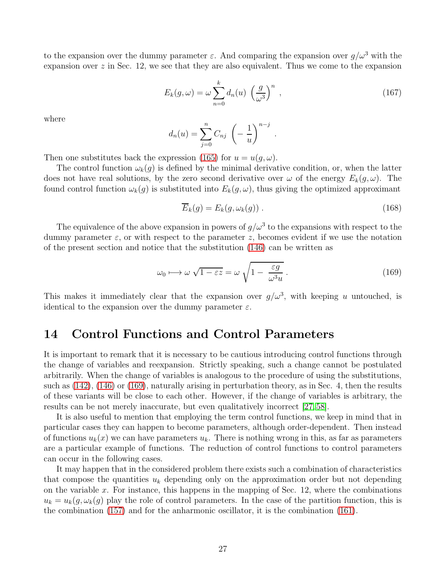to the expansion over the dummy parameter  $\varepsilon$ . And comparing the expansion over  $g/\omega^3$  with the expansion over  $z$  in Sec. 12, we see that they are also equivalent. Thus we come to the expansion

$$
E_k(g,\omega) = \omega \sum_{n=0}^k d_n(u) \left(\frac{g}{\omega^3}\right)^n , \qquad (167)
$$

.

where

$$
d_n(u) = \sum_{j=0}^n C_{nj} \left( -\frac{1}{u} \right)^{n-j}
$$

Then one substitutes back the expression [\(165\)](#page-25-3) for  $u = u(q, \omega)$ .

The control function  $\omega_k(g)$  is defined by the minimal derivative condition, or, when the latter does not have real solutions, by the zero second derivative over  $\omega$  of the energy  $E_k(q,\omega)$ . The found control function  $\omega_k(g)$  is substituted into  $E_k(g,\omega)$ , thus giving the optimized approximant

$$
\overline{E}_k(g) = E_k(g, \omega_k(g)) . \tag{168}
$$

The equivalence of the above expansion in powers of  $g/\omega^3$  to the expansions with respect to the dummy parameter  $\varepsilon$ , or with respect to the parameter z, becomes evident if we use the notation of the present section and notice that the substitution [\(146\)](#page-23-5) can be written as

<span id="page-26-0"></span>
$$
\omega_0 \mapsto \omega \sqrt{1 - \varepsilon z} = \omega \sqrt{1 - \frac{\varepsilon g}{\omega^3 u}}.
$$
\n(169)

This makes it immediately clear that the expansion over  $g/\omega^3$ , with keeping u untouched, is identical to the expansion over the dummy parameter  $\varepsilon$ .

### 14 Control Functions and Control Parameters

It is important to remark that it is necessary to be cautious introducing control functions through the change of variables and reexpansion. Strictly speaking, such a change cannot be postulated arbitrarily. When the change of variables is analogous to the procedure of using the substitutions, such as [\(142\)](#page-22-2), [\(146\)](#page-23-5) or [\(169\)](#page-26-0), naturally arising in perturbation theory, as in Sec. 4, then the results of these variants will be close to each other. However, if the change of variables is arbitrary, the results can be not merely inaccurate, but even qualitatively incorrect [\[27,](#page-55-4) [58\]](#page-57-0).

It is also useful to mention that employing the term control functions, we keep in mind that in particular cases they can happen to become parameters, although order-dependent. Then instead of functions  $u_k(x)$  we can have parameters  $u_k$ . There is nothing wrong in this, as far as parameters are a particular example of functions. The reduction of control functions to control parameters can occur in the following cases.

It may happen that in the considered problem there exists such a combination of characteristics that compose the quantities  $u_k$  depending only on the approximation order but not depending on the variable  $x$ . For instance, this happens in the mapping of Sec. 12, where the combinations  $u_k = u_k(g, \omega_k(g))$  play the role of control parameters. In the case of the partition function, this is the combination [\(157\)](#page-24-0) and for the anharmonic oscillator, it is the combination [\(161\)](#page-25-0).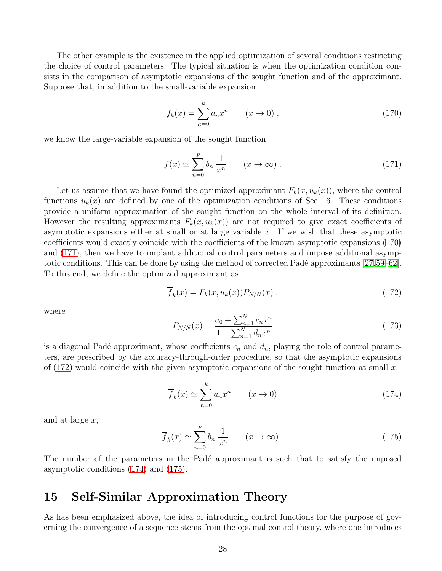The other example is the existence in the applied optimization of several conditions restricting the choice of control parameters. The typical situation is when the optimization condition consists in the comparison of asymptotic expansions of the sought function and of the approximant. Suppose that, in addition to the small-variable expansion

<span id="page-27-0"></span>
$$
f_k(x) = \sum_{n=0}^{k} a_n x^n \qquad (x \to 0) ,
$$
 (170)

we know the large-variable expansion of the sought function

<span id="page-27-1"></span>
$$
f(x) \simeq \sum_{n=0}^{p} b_n \frac{1}{x^n} \qquad (x \to \infty) \ . \tag{171}
$$

Let us assume that we have found the optimized approximant  $F_k(x, u_k(x))$ , where the control functions  $u_k(x)$  are defined by one of the optimization conditions of Sec. 6. These conditions provide a uniform approximation of the sought function on the whole interval of its definition. However the resulting approximants  $F_k(x, u_k(x))$  are not required to give exact coefficients of asymptotic expansions either at small or at large variable  $x$ . If we wish that these asymptotic coefficients would exactly coincide with the coefficients of the known asymptotic expansions [\(170\)](#page-27-0) and [\(171\)](#page-27-1), then we have to implant additional control parameters and impose additional asymptotic conditions. This can be done by using the method of corrected Padé approximants  $[27,59-62]$  $[27,59-62]$ . To this end, we define the optimized approximant as

<span id="page-27-2"></span>
$$
\overline{f}_k(x) = F_k(x, u_k(x)) P_{N/N}(x) , \qquad (172)
$$

where

$$
P_{N/N}(x) = \frac{a_0 + \sum_{n=1}^{N} c_n x^n}{1 + \sum_{n=1}^{N} d_n x^n}
$$
\n(173)

is a diagonal Padé approximant, whose coefficients  $c_n$  and  $d_n$ , playing the role of control parameters, are prescribed by the accuracy-through-order procedure, so that the asymptotic expansions of  $(172)$  would coincide with the given asymptotic expansions of the sought function at small x,

<span id="page-27-3"></span>
$$
\overline{f}_k(x) \simeq \sum_{n=0}^k a_n x^n \qquad (x \to 0)
$$
\n(174)

and at large x,

<span id="page-27-4"></span>
$$
\overline{f}_k(x) \simeq \sum_{n=0}^p b_n \frac{1}{x^n} \qquad (x \to \infty) \ . \tag{175}
$$

The number of the parameters in the Padé approximant is such that to satisfy the imposed asymptotic conditions [\(174\)](#page-27-3) and [\(175\)](#page-27-4).

### 15 Self-Similar Approximation Theory

As has been emphasized above, the idea of introducing control functions for the purpose of governing the convergence of a sequence stems from the optimal control theory, where one introduces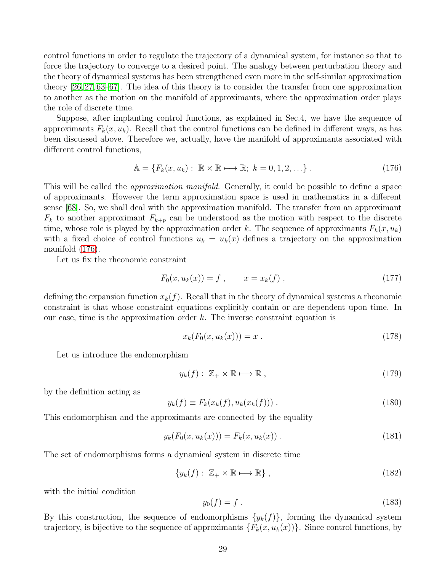control functions in order to regulate the trajectory of a dynamical system, for instance so that to force the trajectory to converge to a desired point. The analogy between perturbation theory and the theory of dynamical systems has been strengthened even more in the self-similar approximation theory [\[26,](#page-55-3) [27,](#page-55-4) [63–](#page-57-3)[67\]](#page-57-4). The idea of this theory is to consider the transfer from one approximation to another as the motion on the manifold of approximants, where the approximation order plays the role of discrete time.

Suppose, after implanting control functions, as explained in Sec.4, we have the sequence of approximants  $F_k(x, u_k)$ . Recall that the control functions can be defined in different ways, as has been discussed above. Therefore we, actually, have the manifold of approximants associated with different control functions,

<span id="page-28-0"></span>
$$
\mathbb{A} = \{F_k(x, u_k): \ \mathbb{R} \times \mathbb{R} \longmapsto \mathbb{R}; \ k = 0, 1, 2, \ldots\} \ .
$$
 (176)

This will be called the *approximation manifold*. Generally, it could be possible to define a space of approximants. However the term approximation space is used in mathematics in a different sense [\[68\]](#page-57-5). So, we shall deal with the approximation manifold. The transfer from an approximant  $F_k$  to another approximant  $F_{k+p}$  can be understood as the motion with respect to the discrete time, whose role is played by the approximation order k. The sequence of approximants  $F_k(x, u_k)$ with a fixed choice of control functions  $u_k = u_k(x)$  defines a trajectory on the approximation manifold [\(176\)](#page-28-0).

Let us fix the rheonomic constraint

<span id="page-28-3"></span>
$$
F_0(x, u_k(x)) = f , \t x = x_k(f) , \t (177)
$$

defining the expansion function  $x_k(f)$ . Recall that in the theory of dynamical systems a rheonomic constraint is that whose constraint equations explicitly contain or are dependent upon time. In our case, time is the approximation order  $k$ . The inverse constraint equation is

$$
x_k(F_0(x, u_k(x))) = x . \t(178)
$$

Let us introduce the endomorphism

$$
y_k(f): \mathbb{Z}_+ \times \mathbb{R} \longmapsto \mathbb{R} \,, \tag{179}
$$

by the definition acting as

<span id="page-28-4"></span>
$$
y_k(f) \equiv F_k(x_k(f), u_k(x_k(f))) \tag{180}
$$

This endomorphism and the approximants are connected by the equality

<span id="page-28-2"></span>
$$
y_k(F_0(x, u_k(x))) = F_k(x, u_k(x)) . \t(181)
$$

The set of endomorphisms forms a dynamical system in discrete time

<span id="page-28-1"></span>
$$
\{y_k(f): \mathbb{Z}_+ \times \mathbb{R} \longmapsto \mathbb{R}\},\qquad(182)
$$

with the initial condition

$$
y_0(f) = f \tag{183}
$$

By this construction, the sequence of endomorphisms  $\{y_k(f)\}\$ , forming the dynamical system trajectory, is bijective to the sequence of approximants  $\{F_k(x, u_k(x))\}$ . Since control functions, by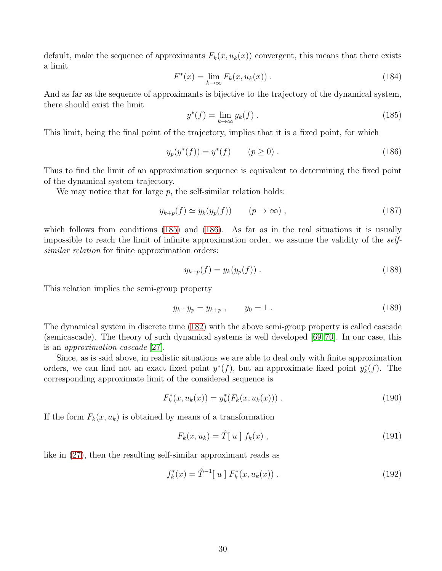default, make the sequence of approximants  $F_k(x, u_k(x))$  convergent, this means that there exists a limit

$$
F^*(x) = \lim_{k \to \infty} F_k(x, u_k(x)) \tag{184}
$$

And as far as the sequence of approximants is bijective to the trajectory of the dynamical system, there should exist the limit

<span id="page-29-0"></span>
$$
y^*(f) = \lim_{k \to \infty} y_k(f).
$$
 (185)

This limit, being the final point of the trajectory, implies that it is a fixed point, for which

<span id="page-29-1"></span>
$$
y_p(y^*(f)) = y^*(f) \qquad (p \ge 0).
$$
 (186)

Thus to find the limit of an approximation sequence is equivalent to determining the fixed point of the dynamical system trajectory.

We may notice that for large  $p$ , the self-similar relation holds:

$$
y_{k+p}(f) \simeq y_k(y_p(f)) \qquad (p \to \infty) , \qquad (187)
$$

which follows from conditions [\(185\)](#page-29-0) and [\(186\)](#page-29-1). As far as in the real situations it is usually impossible to reach the limit of infinite approximation order, we assume the validity of the selfsimilar relation for finite approximation orders:

$$
y_{k+p}(f) = y_k(y_p(f)).
$$
\n(188)

This relation implies the semi-group property

$$
y_k \cdot y_p = y_{k+p} \,, \qquad y_0 = 1 \,. \tag{189}
$$

The dynamical system in discrete time [\(182\)](#page-28-1) with the above semi-group property is called cascade (semicascade). The theory of such dynamical systems is well developed [\[69,](#page-57-6) [70\]](#page-57-7). In our case, this is an approximation cascade [\[27\]](#page-55-4).

Since, as is said above, in realistic situations we are able to deal only with finite approximation orders, we can find not an exact fixed point  $y^*(f)$ , but an approximate fixed point  $y^*_k$  $_{k}^{*}(f)$ . The corresponding approximate limit of the considered sequence is

<span id="page-29-2"></span>
$$
F_k^*(x, u_k(x)) = y_k^*(F_k(x, u_k(x)))
$$
 (190)

If the form  $F_k(x, u_k)$  is obtained by means of a transformation

$$
F_k(x, u_k) = \hat{T}[u] f_k(x), \qquad (191)
$$

like in [\(27\)](#page-8-0), then the resulting self-similar approximant reads as

$$
f_k^*(x) = \hat{T}^{-1}[u] F_k^*(x, u_k(x)) .
$$
 (192)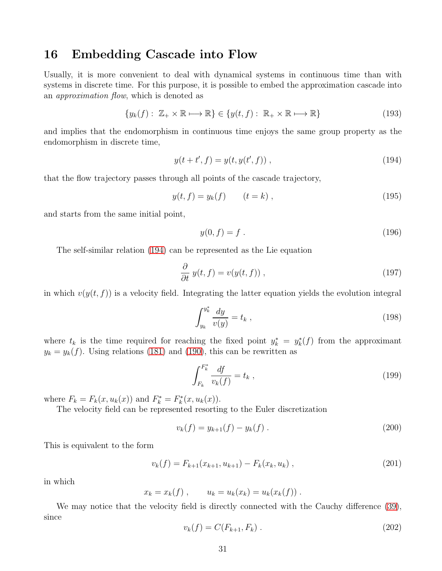### 16 Embedding Cascade into Flow

Usually, it is more convenient to deal with dynamical systems in continuous time than with systems in discrete time. For this purpose, it is possible to embed the approximation cascade into an approximation flow, which is denoted as

$$
\{y_k(f): \mathbb{Z}_+ \times \mathbb{R} \longmapsto \mathbb{R}\} \in \{y(t,f): \mathbb{R}_+ \times \mathbb{R} \longmapsto \mathbb{R}\}\tag{193}
$$

and implies that the endomorphism in continuous time enjoys the same group property as the endomorphism in discrete time,

<span id="page-30-0"></span>
$$
y(t + t', f) = y(t, y(t', f)),
$$
\n(194)

that the flow trajectory passes through all points of the cascade trajectory,

$$
y(t, f) = y_k(f) \qquad (t = k) , \qquad (195)
$$

and starts from the same initial point,

$$
y(0, f) = f . \t\t(196)
$$

The self-similar relation [\(194\)](#page-30-0) can be represented as the Lie equation

<span id="page-30-3"></span>
$$
\frac{\partial}{\partial t} y(t, f) = v(y(t, f)), \qquad (197)
$$

in which  $v(y(t, f))$  is a velocity field. Integrating the latter equation yields the evolution integral

$$
\int_{y_k}^{y_k^*} \frac{dy}{v(y)} = t_k , \qquad (198)
$$

where  $t_k$  is the time required for reaching the fixed point  $y_k^* = y_k^*$  $k(t)$  from the approximant  $y_k = y_k(f)$ . Using relations [\(181\)](#page-28-2) and [\(190\)](#page-29-2), this can be rewritten as

<span id="page-30-2"></span>
$$
\int_{F_k}^{F_k^*} \frac{df}{v_k(f)} = t_k \tag{199}
$$

where  $F_k = F_k(x, u_k(x))$  and  $F_k^* = F_k^*$  $k^*(x, u_k(x)).$ 

The velocity field can be represented resorting to the Euler discretization

<span id="page-30-1"></span>
$$
v_k(f) = y_{k+1}(f) - y_k(f).
$$
\n(200)

This is equivalent to the form

$$
v_k(f) = F_{k+1}(x_{k+1}, u_{k+1}) - F_k(x_k, u_k), \qquad (201)
$$

in which

$$
x_k = x_k(f) , \qquad u_k = u_k(x_k) = u_k(x_k(f)) .
$$

We may notice that the velocity field is directly connected with the Cauchy difference [\(39\)](#page-10-0), since

$$
v_k(f) = C(F_{k+1}, F_k) \tag{202}
$$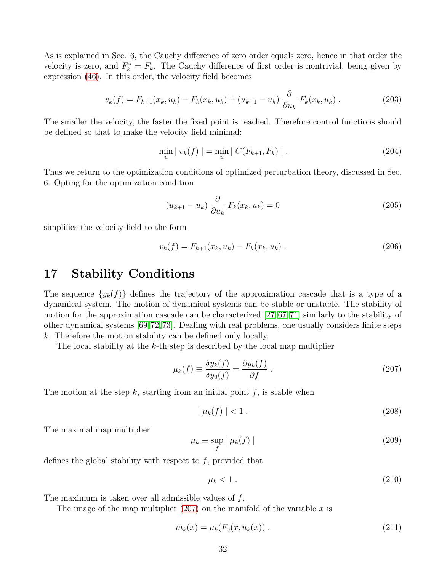As is explained in Sec. 6, the Cauchy difference of zero order equals zero, hence in that order the velocity is zero, and  $F_k^* = F_k$ . The Cauchy difference of first order is nontrivial, being given by expression [\(46\)](#page-11-3). In this order, the velocity field becomes

$$
v_k(f) = F_{k+1}(x_k, u_k) - F_k(x_k, u_k) + (u_{k+1} - u_k) \frac{\partial}{\partial u_k} F_k(x_k, u_k).
$$
 (203)

The smaller the velocity, the faster the fixed point is reached. Therefore control functions should be defined so that to make the velocity field minimal:

$$
\min_{u} | v_{k}(f) | = \min_{u} | C(F_{k+1}, F_{k}) |.
$$
\n(204)

Thus we return to the optimization conditions of optimized perturbation theory, discussed in Sec. 6. Opting for the optimization condition

$$
(u_{k+1} - u_k) \frac{\partial}{\partial u_k} F_k(x_k, u_k) = 0
$$
\n(205)

simplifies the velocity field to the form

$$
v_k(f) = F_{k+1}(x_k, u_k) - F_k(x_k, u_k).
$$
 (206)

### 17 Stability Conditions

The sequence  $\{y_k(f)\}\$  defines the trajectory of the approximation cascade that is a type of a dynamical system. The motion of dynamical systems can be stable or unstable. The stability of motion for the approximation cascade can be characterized [\[27,](#page-55-4)[67,](#page-57-4)[71\]](#page-57-8) similarly to the stability of other dynamical systems [\[69,](#page-57-6)[72,](#page-57-9)[73\]](#page-57-10). Dealing with real problems, one usually considers finite steps k. Therefore the motion stability can be defined only locally.

The local stability at the  $k$ -th step is described by the local map multiplier

<span id="page-31-0"></span>
$$
\mu_k(f) \equiv \frac{\delta y_k(f)}{\delta y_0(f)} = \frac{\partial y_k(f)}{\partial f} \,. \tag{207}
$$

The motion at the step k, starting from an initial point f, is stable when

$$
|\mu_k(f)| < 1\,. \tag{208}
$$

The maximal map multiplier

<span id="page-31-1"></span>
$$
\mu_k \equiv \sup_f |\mu_k(f)| \tag{209}
$$

defines the global stability with respect to  $f$ , provided that

<span id="page-31-2"></span>
$$
\mu_k < 1 \tag{210}
$$

The maximum is taken over all admissible values of f.

The image of the map multiplier  $(207)$  on the manifold of the variable x is

$$
m_k(x) = \mu_k(F_0(x, u_k(x)) . \tag{211}
$$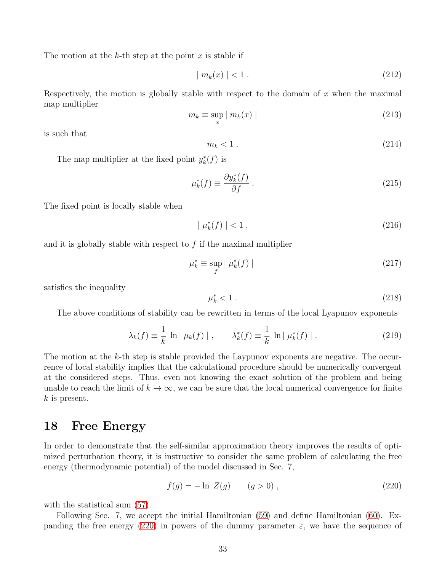The motion at the k-th step at the point x is stable if

$$
|m_k(x)| < 1. \tag{212}
$$

Respectively, the motion is globally stable with respect to the domain of  $x$  when the maximal map multiplier

$$
m_k \equiv \sup_x | m_k(x) | \tag{213}
$$

is such that

$$
m_k < 1 \tag{214}
$$

The map multiplier at the fixed point 
$$
y_k^*(f)
$$
 is

$$
\mu_k^*(f) \equiv \frac{\partial y_k^*(f)}{\partial f} \,. \tag{215}
$$

The fixed point is locally stable when

$$
|\mu_k^*(f)| < 1 \,,\tag{216}
$$

and it is globally stable with respect to  $f$  if the maximal multiplier

$$
\mu_k^* \equiv \sup_f |\mu_k^*(f)| \tag{217}
$$

satisfies the inequality

$$
\mu_k^* < 1 \tag{218}
$$

The above conditions of stability can be rewritten in terms of the local Lyapunov exponents

$$
\lambda_k(f) \equiv \frac{1}{k} \ln |\mu_k(f)| \,, \qquad \lambda_k^*(f) \equiv \frac{1}{k} \ln |\mu_k^*(f)| \,.
$$
 (219)

The motion at the k-th step is stable provided the Laypunov exponents are negative. The occurrence of local stability implies that the calculational procedure should be numerically convergent at the considered steps. Thus, even not knowing the exact solution of the problem and being unable to reach the limit of  $k \to \infty$ , we can be sure that the local numerical convergence for finite  $k$  is present.

#### 18 Free Energy

In order to demonstrate that the self-similar approximation theory improves the results of optimized perturbation theory, it is instructive to consider the same problem of calculating the free energy (thermodynamic potential) of the model discussed in Sec. 7,

<span id="page-32-0"></span>
$$
f(g) = -\ln Z(g) \qquad (g > 0) , \tag{220}
$$

with the statistical sum  $(57)$ .

Following Sec. 7, we accept the initial Hamiltonian [\(59\)](#page-12-2) and define Hamiltonian [\(60\)](#page-12-3). Ex-panding the free energy [\(220\)](#page-32-0) in powers of the dummy parameter  $\varepsilon$ , we have the sequence of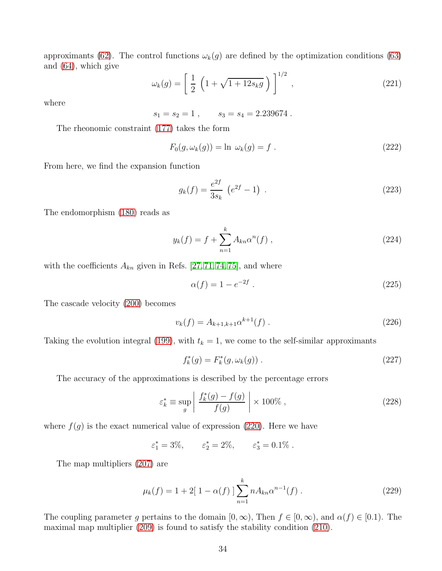approximants [\(62\)](#page-12-4). The control functions  $\omega_k(g)$  are defined by the optimization conditions [\(63\)](#page-12-5) and [\(64\)](#page-13-0), which give

$$
\omega_k(g) = \left[ \frac{1}{2} \left( 1 + \sqrt{1 + 12s_k g} \right) \right]^{1/2}, \qquad (221)
$$

where

 $s_1 = s_2 = 1$ ,  $s_3 = s_4 = 2.239674$ .

The rheonomic constraint [\(177\)](#page-28-3) takes the form

$$
F_0(g, \omega_k(g)) = \ln \omega_k(g) = f.
$$
\n(222)

From here, we find the expansion function

$$
g_k(f) = \frac{e^{2f}}{3s_k} \left( e^{2f} - 1 \right) \,. \tag{223}
$$

The endomorphism [\(180\)](#page-28-4) reads as

$$
y_k(f) = f + \sum_{n=1}^{k} A_{kn} \alpha^n(f) , \qquad (224)
$$

with the coefficients  $A_{kn}$  given in Refs. [\[27,](#page-55-4) [71,](#page-57-8) [74,](#page-57-11) [75\]](#page-57-12), and where

$$
\alpha(f) = 1 - e^{-2f} \,. \tag{225}
$$

The cascade velocity [\(200\)](#page-30-1) becomes

$$
v_k(f) = A_{k+1,k+1} \alpha^{k+1}(f) \tag{226}
$$

Taking the evolution integral [\(199\)](#page-30-2), with  $t_k = 1$ , we come to the self-similar approximants

$$
f_k^*(g) = F_k^*(g, \omega_k(g)) .
$$
 (227)

The accuracy of the approximations is described by the percentage errors

$$
\varepsilon_k^* \equiv \sup_g \left| \frac{f_k^*(g) - f(g)}{f(g)} \right| \times 100\%,\tag{228}
$$

where  $f(g)$  is the exact numerical value of expression [\(220\)](#page-32-0). Here we have

 $\varepsilon_1^* = 3\%, \qquad \varepsilon_2^* = 2\%, \qquad \varepsilon_3^* = 0.1\%$ .

The map multipliers [\(207\)](#page-31-0) are

$$
\mu_k(f) = 1 + 2[1 - \alpha(f)] \sum_{n=1}^{k} n A_{kn} \alpha^{n-1}(f).
$$
 (229)

The coupling parameter g pertains to the domain  $[0, \infty)$ , Then  $f \in [0, \infty)$ , and  $\alpha(f) \in [0, 1)$ . The maximal map multiplier [\(209\)](#page-31-1) is found to satisfy the stability condition [\(210\)](#page-31-2).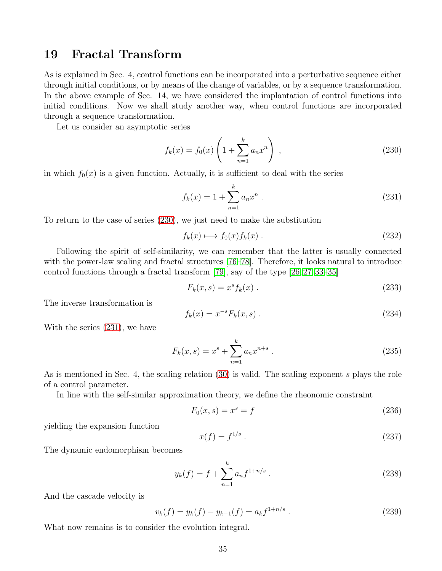### 19 Fractal Transform

As is explained in Sec. 4, control functions can be incorporated into a perturbative sequence either through initial conditions, or by means of the change of variables, or by a sequence transformation. In the above example of Sec. 14, we have considered the implantation of control functions into initial conditions. Now we shall study another way, when control functions are incorporated through a sequence transformation.

Let us consider an asymptotic series

<span id="page-34-0"></span>
$$
f_k(x) = f_0(x) \left( 1 + \sum_{n=1}^k a_n x^n \right) , \qquad (230)
$$

in which  $f_0(x)$  is a given function. Actually, it is sufficient to deal with the series

<span id="page-34-1"></span>
$$
f_k(x) = 1 + \sum_{n=1}^{k} a_n x^n
$$
 (231)

To return to the case of series [\(230\)](#page-34-0), we just need to make the substitution

$$
f_k(x) \longmapsto f_0(x) f_k(x) . \tag{232}
$$

Following the spirit of self-similarity, we can remember that the latter is usually connected with the power-law scaling and fractal structures [\[76–](#page-58-0)[78\]](#page-58-1). Therefore, it looks natural to introduce control functions through a fractal transform [\[79\]](#page-58-2), say of the type [\[26,](#page-55-3) [27,](#page-55-4) [33](#page-55-9)[–35\]](#page-55-10)

$$
F_k(x,s) = x^s f_k(x) \tag{233}
$$

The inverse transformation is

<span id="page-34-3"></span>
$$
f_k(x) = x^{-s} F_k(x, s) . \t\t(234)
$$

With the series [\(231\)](#page-34-1), we have

$$
F_k(x,s) = x^s + \sum_{n=1}^k a_n x^{n+s} .
$$
 (235)

As is mentioned in Sec. 4, the scaling relation [\(30\)](#page-8-1) is valid. The scaling exponent s plays the role of a control parameter.

In line with the self-similar approximation theory, we define the rheonomic constraint

$$
F_0(x,s) = x^s = f \tag{236}
$$

yielding the expansion function

$$
x(f) = f^{1/s} \tag{237}
$$

The dynamic endomorphism becomes

$$
y_k(f) = f + \sum_{n=1}^{k} a_n f^{1+n/s} . \tag{238}
$$

And the cascade velocity is

<span id="page-34-2"></span>
$$
v_k(f) = y_k(f) - y_{k-1}(f) = a_k f^{1+n/s} . \tag{239}
$$

What now remains is to consider the evolution integral.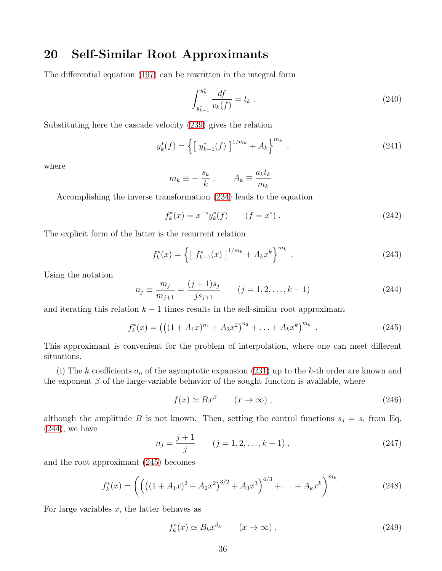### 20 Self-Similar Root Approximants

The differential equation [\(197\)](#page-30-3) can be rewritten in the integral form

$$
\int_{y_{k-1}^*}^{y_k^*} \frac{df}{v_k(f)} = t_k \tag{240}
$$

Substituting here the cascade velocity [\(239\)](#page-34-2) gives the relation

$$
y_k^*(f) = \left\{ \left[ \ y_{k-1}^*(f) \ \right]^{1/m_k} + A_k \right\}^{m_k},\tag{241}
$$

where

$$
m_k \equiv -\frac{s_k}{k} , \qquad A_k \equiv \frac{a_k t_k}{m_k} .
$$

Accomplishing the inverse transformation [\(234\)](#page-34-3) leads to the equation

$$
f_k^*(x) = x^{-s} y_k^*(f) \qquad (f = x^s). \tag{242}
$$

The explicit form of the latter is the recurrent relation

$$
f_k^*(x) = \left\{ \left[ f_{k-1}^*(x) \right]^{1/m_k} + A_k x^k \right\}^{m_k} . \tag{243}
$$

Using the notation

<span id="page-35-0"></span>
$$
n_j \equiv \frac{m_j}{m_{j+1}} = \frac{(j+1)s_j}{js_{j+1}} \qquad (j=1,2,\ldots,k-1)
$$
 (244)

and iterating this relation  $k - 1$  times results in the self-similar root approximant

<span id="page-35-1"></span>
$$
f_k^*(x) = \left( \left( (1 + A_1 x)^{n_1} + A_2 x^2 \right)^{n_2} + \ldots + A_k x^k \right)^{m_k} . \tag{245}
$$

This approximant is convenient for the problem of interpolation, where one can meet different situations.

(i) The k coefficients  $a_n$  of the asymptotic expansion [\(231\)](#page-34-1) up to the k-th order are known and the exponent  $\beta$  of the large-variable behavior of the sought function is available, where

<span id="page-35-3"></span>
$$
f(x) \simeq Bx^{\beta} \qquad (x \to \infty) , \qquad (246)
$$

although the amplitude B is not known. Then, setting the control functions  $s_j = s$ , from Eq.  $(244)$ , we have

$$
n_j = \frac{j+1}{j} \qquad (j = 1, 2, \dots, k-1) \tag{247}
$$

and the root approximant [\(245\)](#page-35-1) becomes

<span id="page-35-2"></span>
$$
f_k^*(x) = \left( \left( \left( (1 + A_1 x)^2 + A_2 x^2 \right)^{3/2} + A_3 x^3 \right)^{4/3} + \ldots + A_k x^k \right)^{m_k} . \tag{248}
$$

For large variables  $x$ , the latter behaves as

$$
f_k^*(x) \simeq B_k x^{\beta_k} \qquad (x \to \infty) , \qquad (249)
$$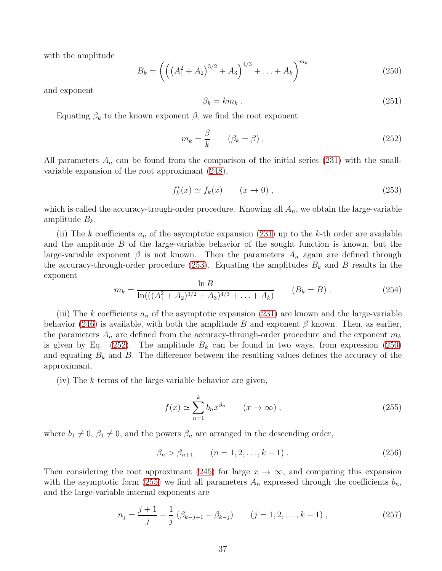with the amplitude

<span id="page-36-2"></span>
$$
B_k = \left( \left( \left( A_1^2 + A_2 \right)^{3/2} + A_3 \right)^{4/3} + \ldots + A_k \right)^{m_k} \tag{250}
$$

and exponent

$$
\beta_k = k m_k \tag{251}
$$

Equating  $\beta_k$  to the known exponent  $\beta$ , we find the root exponent

<span id="page-36-1"></span>
$$
m_k = \frac{\beta}{k} \qquad (\beta_k = \beta) \,. \tag{252}
$$

All parameters  $A_n$  can be found from the comparison of the initial series [\(231\)](#page-34-1) with the smallvariable expansion of the root approximant [\(248\)](#page-35-2),

<span id="page-36-0"></span>
$$
f_k^*(x) \simeq f_k(x) \qquad (x \to 0) \;, \tag{253}
$$

which is called the accuracy-trough-order procedure. Knowing all  $A_n$ , we obtain the large-variable amplitude  $B_k$ .

(ii) The k coefficients  $a_n$  of the asymptotic expansion [\(231\)](#page-34-1) up to the k-th order are available and the amplitude  $B$  of the large-variable behavior of the sought function is known, but the large-variable exponent  $\beta$  is not known. Then the parameters  $A_n$  again are defined through the accuracy-through-order procedure [\(253\)](#page-36-0). Equating the amplitudes  $B_k$  and B results in the exponent

$$
m_k = \frac{\ln B}{\ln(((A_1^2 + A_2)^{3/2} + A_3)^{4/3} + \ldots + A_k)} \qquad (B_k = B) \ . \tag{254}
$$

(iii) The k coefficients  $a_n$  of the asymptotic expansion [\(231\)](#page-34-1) are known and the large-variable behavior [\(246\)](#page-35-3) is available, with both the amplitude B and exponent  $\beta$  known. Then, as earlier, the parameters  $A_n$  are defined from the accuracy-through-order procedure and the exponent  $m_k$ is given by Eq. [\(252\)](#page-36-1). The amplitude  $B_k$  can be found in two ways, from expression [\(250\)](#page-36-2) and equating  $B_k$  and B. The difference between the resulting values defines the accuracy of the approximant.

 $(iv)$  The k terms of the large-variable behavior are given,

<span id="page-36-3"></span>
$$
f(x) \simeq \sum_{n=1}^{k} b_n x^{\beta_n} \qquad (x \to \infty) ,
$$
 (255)

where  $b_1 \neq 0$ ,  $\beta_1 \neq 0$ , and the powers  $\beta_n$  are arranged in the descending order,

$$
\beta_n > \beta_{n+1} \qquad (n = 1, 2, \dots, k - 1) \,. \tag{256}
$$

Then considering the root approximant [\(245\)](#page-35-1) for large  $x \to \infty$ , and comparing this expansion with the asymptotic form [\(255\)](#page-36-3) we find all parameters  $A_n$  expressed through the coefficients  $b_n$ , and the large-variable internal exponents are

$$
n_j = \frac{j+1}{j} + \frac{1}{j} \left( \beta_{k-j+1} - \beta_{k-j} \right) \qquad (j = 1, 2, \dots, k-1) , \qquad (257)
$$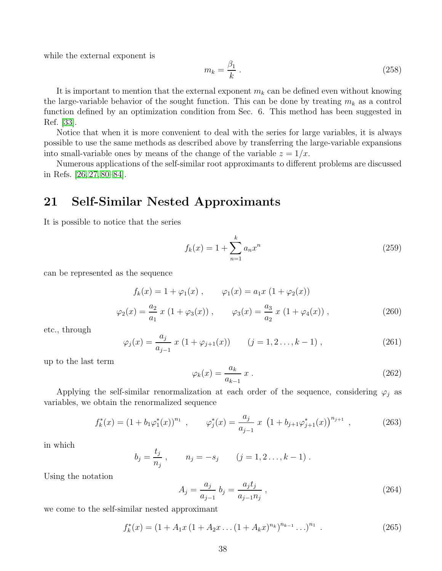while the external exponent is

$$
m_k = \frac{\beta_1}{k} \,. \tag{258}
$$

It is important to mention that the external exponent  $m_k$  can be defined even without knowing the large-variable behavior of the sought function. This can be done by treating  $m_k$  as a control function defined by an optimization condition from Sec. 6. This method has been suggested in Ref. [\[33\]](#page-55-9).

Notice that when it is more convenient to deal with the series for large variables, it is always possible to use the same methods as described above by transferring the large-variable expansions into small-variable ones by means of the change of the variable  $z = 1/x$ .

Numerous applications of the self-similar root approximants to different problems are discussed in Refs. [\[26,](#page-55-3) [27,](#page-55-4) [80](#page-58-3)[–84\]](#page-58-4).

### 21 Self-Similar Nested Approximants

It is possible to notice that the series

<span id="page-37-1"></span>
$$
f_k(x) = 1 + \sum_{n=1}^{k} a_n x^n
$$
 (259)

can be represented as the sequence

$$
f_k(x) = 1 + \varphi_1(x) , \qquad \varphi_1(x) = a_1 x (1 + \varphi_2(x))
$$
  

$$
\varphi_2(x) = \frac{a_2}{a_1} x (1 + \varphi_3(x)) , \qquad \varphi_3(x) = \frac{a_3}{a_2} x (1 + \varphi_4(x)) , \qquad (260)
$$

etc., through

$$
\varphi_j(x) = \frac{a_j}{a_{j-1}} x (1 + \varphi_{j+1}(x)) \qquad (j = 1, 2, \dots, k-1) , \qquad (261)
$$

up to the last term

$$
\varphi_k(x) = \frac{a_k}{a_{k-1}} x \,. \tag{262}
$$

Applying the self-similar renormalization at each order of the sequence, considering  $\varphi_j$  as variables, we obtain the renormalized sequence

$$
f_k^*(x) = (1 + b_1 \varphi_1^*(x))^{n_1} , \qquad \varphi_j^*(x) = \frac{a_j}{a_{j-1}} x \left(1 + b_{j+1} \varphi_{j+1}^*(x)\right)^{n_{j+1}}, \tag{263}
$$

in which

$$
b_j = \frac{t_j}{n_j}
$$
,  $n_j = -s_j$   $(j = 1, 2..., k-1)$ .

Using the notation

$$
A_j = \frac{a_j}{a_{j-1}} b_j = \frac{a_j t_j}{a_{j-1} n_j},
$$
\n(264)

we come to the self-similar nested approximant

<span id="page-37-0"></span>
$$
f_k^*(x) = (1 + A_1 x (1 + A_2 x ... (1 + A_k x)^{n_k})^{n_{k-1}} ...)^{n_1}.
$$
 (265)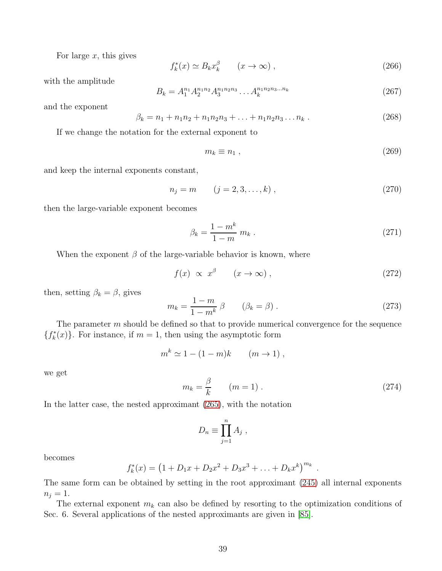For large  $x$ , this gives

$$
f_k^*(x) \simeq B_k x_k^{\beta} \qquad (x \to \infty) , \qquad (266)
$$

with the amplitude

$$
B_k = A_1^{n_1} A_2^{n_1 n_2} A_3^{n_1 n_2 n_3} \dots A_k^{n_1 n_2 n_3 \dots n_k}
$$
 (267)

and the exponent

$$
\beta_k = n_1 + n_1 n_2 + n_1 n_2 n_3 + \ldots + n_1 n_2 n_3 \ldots n_k \,. \tag{268}
$$

If we change the notation for the external exponent to

$$
m_k \equiv n_1 \,,\tag{269}
$$

and keep the internal exponents constant,

$$
n_j = m \t (j = 2, 3, ..., k), \t (270)
$$

then the large-variable exponent becomes

$$
\beta_k = \frac{1 - m^k}{1 - m} \, m_k \,. \tag{271}
$$

When the exponent  $\beta$  of the large-variable behavior is known, where

$$
f(x) \propto x^{\beta} \qquad (x \to \infty) , \qquad (272)
$$

then, setting  $\beta_k = \beta$ , gives

$$
m_k = \frac{1 - m}{1 - m^k} \beta \qquad (\beta_k = \beta) \,. \tag{273}
$$

The parameter m should be defined so that to provide numerical convergence for the sequence  $\{f_k^*\}$  $\binom{1}{k}(x)$ . For instance, if  $m = 1$ , then using the asymptotic form

$$
m^k \simeq 1 - (1 - m)k \qquad (m \to 1) ,
$$

we get

$$
m_k = \frac{\beta}{k} \qquad (m = 1) \tag{274}
$$

In the latter case, the nested approximant [\(265\)](#page-37-0), with the notation

$$
D_n \equiv \prod_{j=1}^n A_j \ ,
$$

becomes

$$
f_k^*(x) = (1 + D_1x + D_2x^2 + D_3x^3 + \ldots + D_kx^k)^{m_k}.
$$

The same form can be obtained by setting in the root approximant [\(245\)](#page-35-1) all internal exponents  $n_j = 1.$ 

The external exponent  $m_k$  can also be defined by resorting to the optimization conditions of Sec. 6. Several applications of the nested approximants are given in [\[85\]](#page-58-5).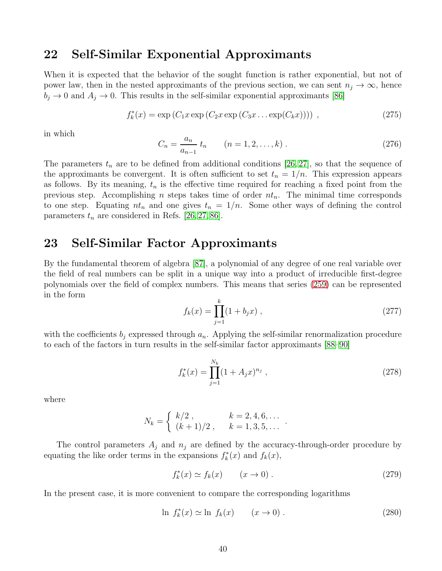### 22 Self-Similar Exponential Approximants

When it is expected that the behavior of the sought function is rather exponential, but not of power law, then in the nested approximants of the previous section, we can sent  $n_j \to \infty$ , hence  $b_j \rightarrow 0$  and  $A_j \rightarrow 0$ . This results in the self-similar exponential approximants [\[86\]](#page-58-6)

$$
f_k^*(x) = \exp(C_1 x \exp(C_2 x \exp(C_3 x \dots \exp(C_k x)))) ,
$$
 (275)

in which

$$
C_n = \frac{a_n}{a_{n-1}} t_n \qquad (n = 1, 2, \dots, k) \,. \tag{276}
$$

The parameters  $t_n$  are to be defined from additional conditions [\[26,](#page-55-3) [27\]](#page-55-4), so that the sequence of the approximants be convergent. It is often sufficient to set  $t_n = 1/n$ . This expression appears as follows. By its meaning,  $t_n$  is the effective time required for reaching a fixed point from the previous step. Accomplishing *n* steps takes time of order  $nt_n$ . The minimal time corresponds to one step. Equating  $nt_n$  and one gives  $t_n = 1/n$ . Some other ways of defining the control parameters  $t_n$  are considered in Refs. [\[26,](#page-55-3) [27,](#page-55-4) [86\]](#page-58-6).

### 23 Self-Similar Factor Approximants

By the fundamental theorem of algebra [\[87\]](#page-58-7), a polynomial of any degree of one real variable over the field of real numbers can be split in a unique way into a product of irreducible first-degree polynomials over the field of complex numbers. This means that series [\(259\)](#page-37-1) can be represented in the form

$$
f_k(x) = \prod_{j=1}^k (1 + b_j x) , \qquad (277)
$$

with the coefficients  $b_j$  expressed through  $a_n$ . Applying the self-similar renormalization procedure to each of the factors in turn results in the self-similar factor approximants [\[88](#page-58-8)[–90\]](#page-58-9)

<span id="page-39-0"></span>
$$
f_k^*(x) = \prod_{j=1}^{N_k} (1 + A_j x)^{n_j}, \qquad (278)
$$

where

$$
N_k = \begin{cases} k/2, & k = 2, 4, 6, \dots \\ (k+1)/2, & k = 1, 3, 5, \dots \end{cases}
$$

The control parameters  $A_j$  and  $n_j$  are defined by the accuracy-through-order procedure by equating the like order terms in the expansions  $f_k^*$  $f_k^*(x)$  and  $f_k(x)$ ,

$$
f_k^*(x) \simeq f_k(x) \qquad (x \to 0) \ . \tag{279}
$$

.

In the present case, it is more convenient to compare the corresponding logarithms

$$
\ln f_k^*(x) \simeq \ln f_k(x) \qquad (x \to 0).
$$
\n(280)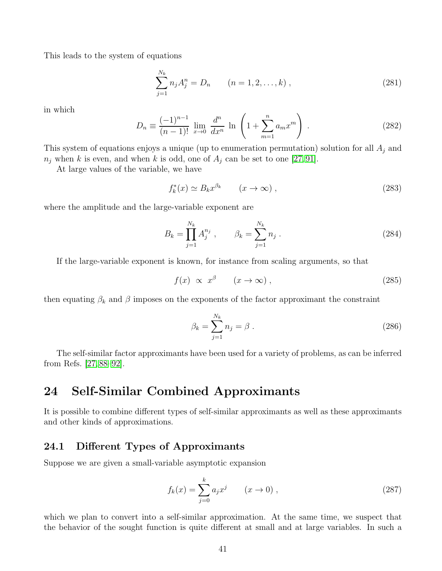This leads to the system of equations

$$
\sum_{j=1}^{N_k} n_j A_j^n = D_n \qquad (n = 1, 2, \dots, k) \,, \tag{281}
$$

in which

$$
D_n \equiv \frac{(-1)^{n-1}}{(n-1)!} \lim_{x \to 0} \frac{d^n}{dx^n} \ln \left( 1 + \sum_{m=1}^n a_m x^m \right) . \tag{282}
$$

This system of equations enjoys a unique (up to enumeration permutation) solution for all  $A_i$  and  $n_j$  when k is even, and when k is odd, one of  $A_j$  can be set to one [\[27,](#page-55-4)91].

At large values of the variable, we have

$$
f_k^*(x) \simeq B_k x^{\beta_k} \qquad (x \to \infty) ,
$$
 (283)

where the amplitude and the large-variable exponent are

$$
B_k = \prod_{j=1}^{N_k} A_j^{n_j}, \qquad \beta_k = \sum_{j=1}^{N_k} n_j.
$$
 (284)

If the large-variable exponent is known, for instance from scaling arguments, so that

$$
f(x) \propto x^{\beta} \qquad (x \to \infty) , \qquad (285)
$$

then equating  $\beta_k$  and  $\beta$  imposes on the exponents of the factor approximant the constraint

$$
\beta_k = \sum_{j=1}^{N_k} n_j = \beta \,. \tag{286}
$$

The self-similar factor approximants have been used for a variety of problems, as can be inferred from Refs. [\[27,](#page-55-4) [88–](#page-58-8)[92\]](#page-58-11).

## 24 Self-Similar Combined Approximants

It is possible to combine different types of self-similar approximants as well as these approximants and other kinds of approximations.

### 24.1 Different Types of Approximants

Suppose we are given a small-variable asymptotic expansion

<span id="page-40-0"></span>
$$
f_k(x) = \sum_{j=0}^k a_j x^j \qquad (x \to 0) ,
$$
 (287)

which we plan to convert into a self-similar approximation. At the same time, we suspect that the behavior of the sought function is quite different at small and at large variables. In such a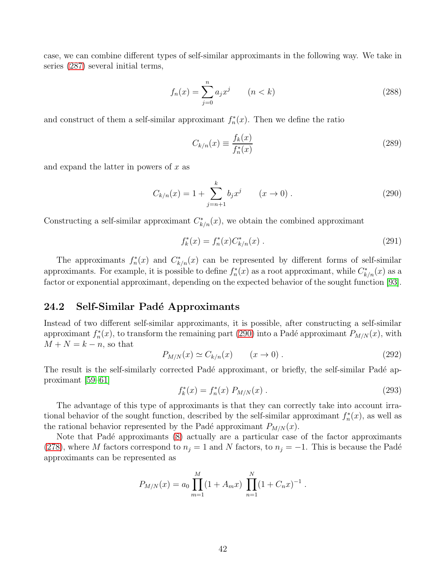case, we can combine different types of self-similar approximants in the following way. We take in series [\(287\)](#page-40-0) several initial terms,

$$
f_n(x) = \sum_{j=0}^n a_j x^j \qquad (n < k) \tag{288}
$$

and construct of them a self-similar approximant  $f_n^*$  $n_n^*(x)$ . Then we define the ratio

$$
C_{k/n}(x) \equiv \frac{f_k(x)}{f_n^*(x)}\tag{289}
$$

and expand the latter in powers of  $x$  as

<span id="page-41-0"></span>
$$
C_{k/n}(x) = 1 + \sum_{j=n+1}^{k} b_j x^j \qquad (x \to 0).
$$
 (290)

Constructing a self-similar approximant  $C^*_{k/n}(x)$ , we obtain the combined approximant

$$
f_k^*(x) = f_n^*(x) C_{k/n}^*(x) . \tag{291}
$$

The approximants  $f_n^*$ <sup>\*</sup>\*(x) and  $C^*_{k/n}(x)$  can be represented by different forms of self-similar approximants. For example, it is possible to define  $f_n^*$  $C_{k/n}^*(x)$  as a root approximant, while  $C_{k/n}^*(x)$  as a factor or exponential approximant, depending on the expected behavior of the sought function [\[93\]](#page-58-12).

#### 24.2 Self-Similar Padé Approximants

Instead of two different self-similar approximants, it is possible, after constructing a self-similar approximant  $f_n^*$  $n_n^*(x)$ , to transform the remaining part [\(290\)](#page-41-0) into a Padé approximant  $P_{M/N}(x)$ , with  $M + N = k - n$ , so that

$$
P_{M/N}(x) \simeq C_{k/n}(x) \qquad (x \to 0).
$$
 (292)

The result is the self-similarly corrected Padé approximant, or briefly, the self-similar Padé approximant [\[59–](#page-57-1)[61\]](#page-57-13)

$$
f_k^*(x) = f_n^*(x) P_{M/N}(x) . \tag{293}
$$

The advantage of this type of approximants is that they can correctly take into account irrational behavior of the sought function, described by the self-similar approximant  $f_n^*$  $n^*(x)$ , as well as the rational behavior represented by the Padé approximant  $P_{M/N}(x)$ .

Note that Padé approximants [\(8\)](#page-4-1) actually are a particular case of the factor approximants [\(278\)](#page-39-0), where M factors correspond to  $n_j = 1$  and N factors, to  $n_j = -1$ . This is because the Padé approximants can be represented as

$$
P_{M/N}(x) = a_0 \prod_{m=1}^{M} (1 + A_m x) \prod_{n=1}^{N} (1 + C_n x)^{-1}.
$$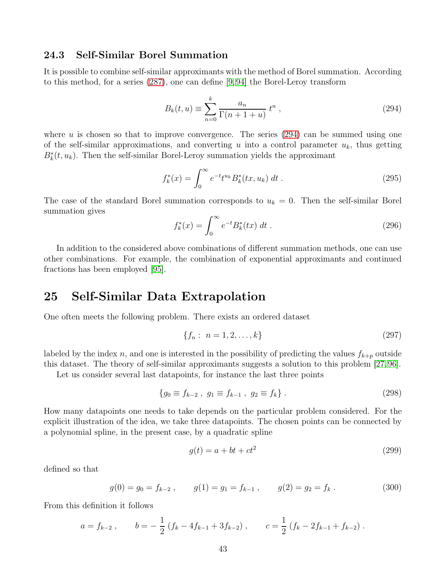#### 24.3 Self-Similar Borel Summation

It is possible to combine self-similar approximants with the method of Borel summation. According to this method, for a series [\(287\)](#page-40-0), one can define [\[9,](#page-54-6) [94\]](#page-58-13) the Borel-Leroy transform

<span id="page-42-0"></span>
$$
B_k(t, u) \equiv \sum_{n=0}^k \frac{a_n}{\Gamma(n+1+u)} t^n , \qquad (294)
$$

where  $u$  is chosen so that to improve convergence. The series  $(294)$  can be summed using one of the self-similar approximations, and converting u into a control parameter  $u_k$ , thus getting  $B_k^*(t, u_k)$ . Then the self-similar Borel-Leroy summation yields the approximant

$$
f_k^*(x) = \int_0^\infty e^{-t} t^{u_k} B_k^*(tx, u_k) dt.
$$
 (295)

The case of the standard Borel summation corresponds to  $u_k = 0$ . Then the self-similar Borel summation gives

$$
f_k^*(x) = \int_0^\infty e^{-t} B_k^*(tx) \, dt \,. \tag{296}
$$

In addition to the considered above combinations of different summation methods, one can use other combinations. For example, the combination of exponential approximants and continued fractions has been employed [\[95\]](#page-59-0).

### 25 Self-Similar Data Extrapolation

One often meets the following problem. There exists an ordered dataset

$$
\{f_n: n = 1, 2, \dots, k\}
$$
\n(297)

labeled by the index n, and one is interested in the possibility of predicting the values  $f_{k+p}$  outside this dataset. The theory of self-similar approximants suggests a solution to this problem [\[27,](#page-55-4) [96\]](#page-59-1).

Let us consider several last datapoints, for instance the last three points

$$
\{g_0 \equiv f_{k-2} , g_1 \equiv f_{k-1} , g_2 \equiv f_k \} . \tag{298}
$$

How many datapoints one needs to take depends on the particular problem considered. For the explicit illustration of the idea, we take three datapoints. The chosen points can be connected by a polynomial spline, in the present case, by a quadratic spline

<span id="page-42-1"></span>
$$
g(t) = a + bt + ct^2 \tag{299}
$$

defined so that

$$
g(0) = g_0 = f_{k-2}, \t g(1) = g_1 = f_{k-1}, \t g(2) = g_2 = f_k.
$$
\t(300)

From this definition it follows

$$
a = f_{k-2}
$$
,  $b = -\frac{1}{2}(f_k - 4f_{k-1} + 3f_{k-2})$ ,  $c = \frac{1}{2}(f_k - 2f_{k-1} + f_{k-2})$ .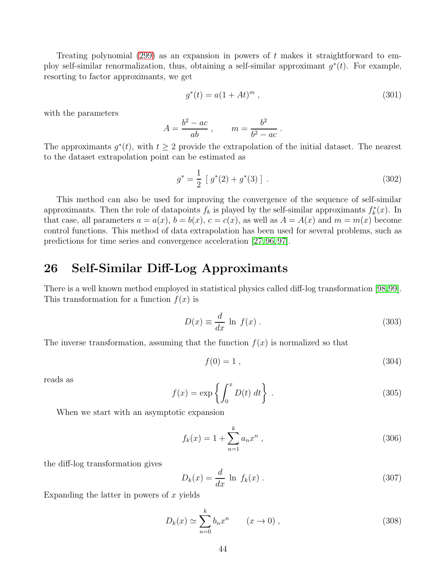Treating polynomial [\(299\)](#page-42-1) as an expansion in powers of  $t$  makes it straightforward to employ self-similar renormalization, thus, obtaining a self-similar approximant  $g^*(t)$ . For example, resorting to factor approximants, we get

$$
g^*(t) = a(1 + At)^m , \t\t(301)
$$

with the parameters

$$
A = \frac{b^2 - ac}{ab}, \qquad m = \frac{b^2}{b^2 - ac}.
$$

The approximants  $g^*(t)$ , with  $t \geq 2$  provide the extrapolation of the initial dataset. The nearest to the dataset extrapolation point can be estimated as

$$
g^* = \frac{1}{2} [g^*(2) + g^*(3)] . \tag{302}
$$

This method can also be used for improving the convergence of the sequence of self-similar approximants. Then the role of datapoints  $f_k$  is played by the self-similar approximants  $f_k^*$  $\mathfrak{f}_k^*(x)$ . In that case, all parameters  $a = a(x)$ ,  $b = b(x)$ ,  $c = c(x)$ , as well as  $A = A(x)$  and  $m = m(x)$  become control functions. This method of data extrapolation has been used for several problems, such as predictions for time series and convergence acceleration [\[27,](#page-55-4) [96,](#page-59-1) [97\]](#page-59-2).

# 26 Self-Similar Diff-Log Approximants

There is a well known method employed in statistical physics called diff-log transformation [\[98](#page-59-3)[,99\]](#page-59-4). This transformation for a function  $f(x)$  is

$$
D(x) \equiv \frac{d}{dx} \ln f(x) \,. \tag{303}
$$

The inverse transformation, assuming that the function  $f(x)$  is normalized so that

$$
f(0) = 1 \tag{304}
$$

reads as

<span id="page-43-0"></span>
$$
f(x) = \exp\left\{ \int_0^x D(t) dt \right\}.
$$
 (305)

When we start with an asymptotic expansion

<span id="page-43-1"></span>
$$
f_k(x) = 1 + \sum_{n=1}^{k} a_n x^n , \qquad (306)
$$

the diff-log transformation gives

$$
D_k(x) = \frac{d}{dx} \ln f_k(x) \tag{307}
$$

Expanding the latter in powers of  $x$  yields

$$
D_k(x) \simeq \sum_{n=0}^k b_n x^n \qquad (x \to 0) ,
$$
 (308)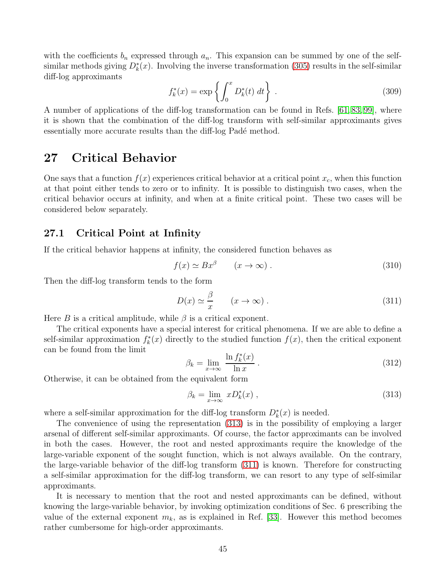with the coefficients  $b_n$  expressed through  $a_n$ . This expansion can be summed by one of the selfsimilar methods giving  $D_k^*(x)$ . Involving the inverse transformation [\(305\)](#page-43-0) results in the self-similar diff-log approximants

$$
f_k^*(x) = \exp\left\{ \int_0^x D_k^*(t) \, dt \right\} \,. \tag{309}
$$

A number of applications of the diff-log transformation can be found in Refs. [\[61,](#page-57-13) [83,](#page-58-14) [99\]](#page-59-4), where it is shown that the combination of the diff-log transform with self-similar approximants gives essentially more accurate results than the diff-log Padé method.

## 27 Critical Behavior

One says that a function  $f(x)$  experiences critical behavior at a critical point  $x_c$ , when this function at that point either tends to zero or to infinity. It is possible to distinguish two cases, when the critical behavior occurs at infinity, and when at a finite critical point. These two cases will be considered below separately.

#### 27.1 Critical Point at Infinity

If the critical behavior happens at infinity, the considered function behaves as

$$
f(x) \simeq Bx^{\beta} \qquad (x \to \infty) \ . \tag{310}
$$

Then the diff-log transform tends to the form

<span id="page-44-1"></span>
$$
D(x) \simeq \frac{\beta}{x} \qquad (x \to \infty) \,. \tag{311}
$$

Here B is a critical amplitude, while  $\beta$  is a critical exponent.

The critical exponents have a special interest for critical phenomena. If we are able to define a self-similar approximation  $f_k^*$  $f_k^*(x)$  directly to the studied function  $f(x)$ , then the critical exponent can be found from the limit

$$
\beta_k = \lim_{x \to \infty} \frac{\ln f_k^*(x)}{\ln x} \,. \tag{312}
$$

Otherwise, it can be obtained from the equivalent form

<span id="page-44-0"></span>
$$
\beta_k = \lim_{x \to \infty} x D_k^*(x) , \qquad (313)
$$

where a self-similar approximation for the diff-log transform  $D_k^*(x)$  is needed.

The convenience of using the representation [\(313\)](#page-44-0) is in the possibility of employing a larger arsenal of different self-similar approximants. Of course, the factor approximants can be involved in both the cases. However, the root and nested approximants require the knowledge of the large-variable exponent of the sought function, which is not always available. On the contrary, the large-variable behavior of the diff-log transform [\(311\)](#page-44-1) is known. Therefore for constructing a self-similar approximation for the diff-log transform, we can resort to any type of self-similar approximants.

It is necessary to mention that the root and nested approximants can be defined, without knowing the large-variable behavior, by invoking optimization conditions of Sec. 6 prescribing the value of the external exponent  $m_k$ , as is explained in Ref. [\[33\]](#page-55-9). However this method becomes rather cumbersome for high-order approximants.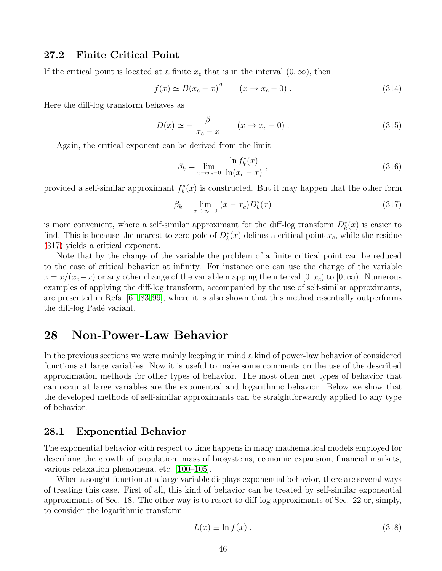#### 27.2 Finite Critical Point

If the critical point is located at a finite  $x_c$  that is in the interval  $(0, \infty)$ , then

$$
f(x) \simeq B(x_c - x)^{\beta} \qquad (x \to x_c - 0) \,. \tag{314}
$$

Here the diff-log transform behaves as

$$
D(x) \simeq -\frac{\beta}{x_c - x} \qquad (x \to x_c - 0) \,. \tag{315}
$$

Again, the critical exponent can be derived from the limit

$$
\beta_k = \lim_{x \to x_c - 0} \frac{\ln f_k^*(x)}{\ln(x_c - x)},
$$
\n(316)

provided a self-similar approximant  $f_k^*$  $\chi_k^*(x)$  is constructed. But it may happen that the other form

<span id="page-45-0"></span>
$$
\beta_k = \lim_{x \to x_c - 0} (x - x_c) D_k^*(x)
$$
\n(317)

is more convenient, where a self-similar approximant for the diff-log transform  $D_k^*(x)$  is easier to find. This is because the nearest to zero pole of  $D_k^*(x)$  defines a critical point  $x_c$ , while the residue [\(317\)](#page-45-0) yields a critical exponent.

Note that by the change of the variable the problem of a finite critical point can be reduced to the case of critical behavior at infinity. For instance one can use the change of the variable  $z = x/(x_c-x)$  or any other change of the variable mapping the interval  $[0, x_c)$  to  $[0, \infty)$ . Numerous examples of applying the diff-log transform, accompanied by the use of self-similar approximants, are presented in Refs. [\[61,](#page-57-13)[83,](#page-58-14)[99\]](#page-59-4), where it is also shown that this method essentially outperforms the diff-log Padé variant.

### 28 Non-Power-Law Behavior

In the previous sections we were mainly keeping in mind a kind of power-law behavior of considered functions at large variables. Now it is useful to make some comments on the use of the described approximation methods for other types of behavior. The most often met types of behavior that can occur at large variables are the exponential and logarithmic behavior. Below we show that the developed methods of self-similar approximants can be straightforwardly applied to any type of behavior.

#### 28.1 Exponential Behavior

The exponential behavior with respect to time happens in many mathematical models employed for describing the growth of population, mass of biosystems, economic expansion, financial markets, various relaxation phenomena, etc. [\[100–](#page-59-5)[105\]](#page-59-6).

When a sought function at a large variable displays exponential behavior, there are several ways of treating this case. First of all, this kind of behavior can be treated by self-similar exponential approximants of Sec. 18. The other way is to resort to diff-log approximants of Sec. 22 or, simply, to consider the logarithmic transform

$$
L(x) \equiv \ln f(x) . \tag{318}
$$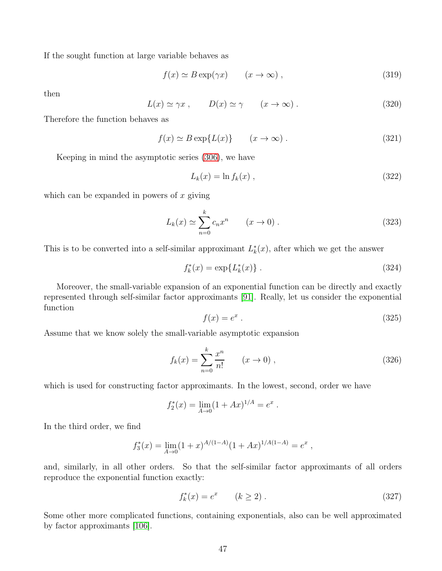If the sought function at large variable behaves as

$$
f(x) \simeq B \exp(\gamma x) \qquad (x \to \infty) , \qquad (319)
$$

then

$$
L(x) \simeq \gamma x \;, \qquad D(x) \simeq \gamma \qquad (x \to \infty) \; . \tag{320}
$$

Therefore the function behaves as

$$
f(x) \simeq B \exp\{L(x)\} \qquad (x \to \infty) \; . \tag{321}
$$

Keeping in mind the asymptotic series [\(306\)](#page-43-1), we have

$$
L_k(x) = \ln f_k(x) , \qquad (322)
$$

which can be expanded in powers of  $x$  giving

$$
L_k(x) \simeq \sum_{n=0}^k c_n x^n \qquad (x \to 0).
$$
 (323)

This is to be converted into a self-similar approximant  $L_k^*$  $\chi^*(x)$ , after which we get the answer

$$
f_k^*(x) = \exp\{L_k^*(x)\}.
$$
 (324)

Moreover, the small-variable expansion of an exponential function can be directly and exactly represented through self-similar factor approximants [\[91\]](#page-58-10). Really, let us consider the exponential function

$$
f(x) = e^x \tag{325}
$$

Assume that we know solely the small-variable asymptotic expansion

$$
f_k(x) = \sum_{n=0}^k \frac{x^n}{n!} \qquad (x \to 0) ,
$$
 (326)

which is used for constructing factor approximants. In the lowest, second, order we have

$$
f_2^*(x) = \lim_{A \to 0} (1 + Ax)^{1/A} = e^x.
$$

In the third order, we find

$$
f_3^*(x) = \lim_{A \to 0} (1+x)^{A/(1-A)} (1+Ax)^{1/A(1-A)} = e^x,
$$

and, similarly, in all other orders. So that the self-similar factor approximants of all orders reproduce the exponential function exactly:

$$
f_k^*(x) = e^x \qquad (k \ge 2) \,. \tag{327}
$$

Some other more complicated functions, containing exponentials, also can be well approximated by factor approximants [\[106\]](#page-59-7).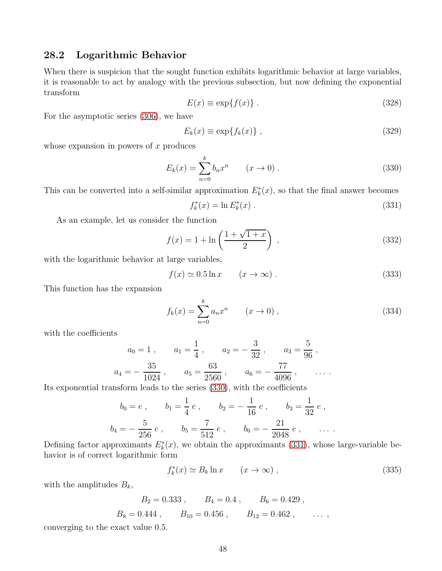#### 28.2 Logarithmic Behavior

When there is suspicion that the sought function exhibits logarithmic behavior at large variables, it is reasonable to act by analogy with the previous subsection, but now defining the exponential transform

$$
E(x) \equiv \exp\{f(x)\} \,. \tag{328}
$$

For the asymptotic series [\(306\)](#page-43-1), we have

$$
E_k(x) \equiv \exp\{f_k(x)\},\tag{329}
$$

whose expansion in powers of  $x$  produces

<span id="page-47-0"></span>
$$
E_k(x) = \sum_{n=0}^{k} b_n x^n \qquad (x \to 0).
$$
 (330)

This can be converted into a self-similar approximation  $E_k^*(x)$ , so that the final answer becomes

<span id="page-47-1"></span>
$$
f_k^*(x) = \ln E_k^*(x) . \tag{331}
$$

As an example, let us consider the function

$$
f(x) = 1 + \ln\left(\frac{1 + \sqrt{1 + x}}{2}\right) ,\qquad(332)
$$

with the logarithmic behavior at large variables,

$$
f(x) \simeq 0.5 \ln x \qquad (x \to \infty) \,. \tag{333}
$$

This function has the expansion

$$
f_k(x) = \sum_{n=0}^{k} a_n x^n \qquad (x \to 0) ,
$$
 (334)

with the coefficients

$$
a_0 = 1
$$
,  $a_1 = \frac{1}{4}$ ,  $a_2 = -\frac{3}{32}$ ,  $a_3 = \frac{5}{96}$ ,  
 $a_4 = -\frac{35}{1024}$ ,  $a_5 = \frac{63}{2560}$ ,  $a_6 = -\frac{77}{4096}$ , ...

Its exponential transform leads to the series [\(330\)](#page-47-0), with the coefficients

$$
b_0 = e
$$
,  $b_1 = \frac{1}{4}e$ ,  $b_2 = -\frac{1}{16}e$ ,  $b_3 = \frac{1}{32}e$ ,  
 $b_4 = -\frac{5}{256}e$ ,  $b_5 = \frac{7}{512}e$ ,  $b_6 = -\frac{21}{2048}e$ ,  $\dots$ 

Defining factor approximants  $E_k^*(x)$ , we obtain the approximants [\(331\)](#page-47-1), whose large-variable behavior is of correct logarithmic form

$$
f_k^*(x) \simeq B_k \ln x \qquad (x \to \infty) , \qquad (335)
$$

with the amplitudes  $B_k$ ,

$$
B_2 = 0.333
$$
,  $B_4 = 0.4$ ,  $B_6 = 0.429$ ,  
 $B_8 = 0.444$ ,  $B_{10} = 0.456$ ,  $B_{12} = 0.462$ , ...,

converging to the exact value 0.5.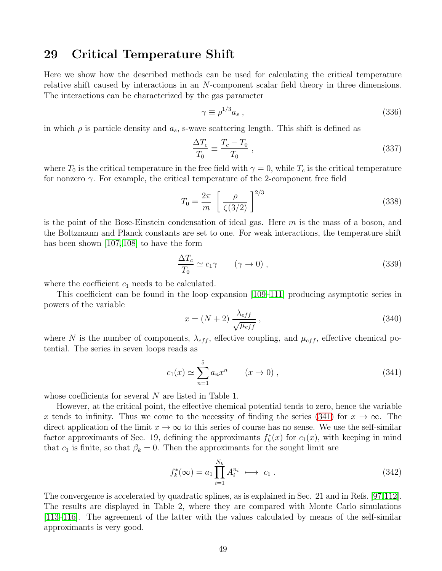#### 29 Critical Temperature Shift

Here we show how the described methods can be used for calculating the critical temperature relative shift caused by interactions in an N-component scalar field theory in three dimensions. The interactions can be characterized by the gas parameter

$$
\gamma \equiv \rho^{1/3} a_s \; , \tag{336}
$$

in which  $\rho$  is particle density and  $a_s$ , s-wave scattering length. This shift is defined as

$$
\frac{\Delta T_c}{T_0} \equiv \frac{T_c - T_0}{T_0} \,,\tag{337}
$$

where  $T_0$  is the critical temperature in the free field with  $\gamma = 0$ , while  $T_c$  is the critical temperature for nonzero  $\gamma$ . For example, the critical temperature of the 2-component free field

$$
T_0 = \frac{2\pi}{m} \left[ \frac{\rho}{\zeta(3/2)} \right]^{2/3} \tag{338}
$$

is the point of the Bose-Einstein condensation of ideal gas. Here  $m$  is the mass of a boson, and the Boltzmann and Planck constants are set to one. For weak interactions, the temperature shift has been shown [\[107,](#page-59-8) [108\]](#page-59-9) to have the form

$$
\frac{\Delta T_c}{T_0} \simeq c_1 \gamma \qquad (\gamma \to 0) , \qquad (339)
$$

where the coefficient  $c_1$  needs to be calculated.

This coefficient can be found in the loop expansion [\[109](#page-59-10)[–111\]](#page-59-11) producing asymptotic series in powers of the variable

$$
x = (N+2) \frac{\lambda_{eff}}{\sqrt{\mu_{eff}}}, \qquad (340)
$$

where N is the number of components,  $\lambda_{eff}$ , effective coupling, and  $\mu_{eff}$ , effective chemical potential. The series in seven loops reads as

<span id="page-48-0"></span>
$$
c_1(x) \simeq \sum_{n=1}^{5} a_n x^n \qquad (x \to 0) \; , \tag{341}
$$

whose coefficients for several N are listed in Table 1.

However, at the critical point, the effective chemical potential tends to zero, hence the variable x tends to infinity. Thus we come to the necessity of finding the series [\(341\)](#page-48-0) for  $x \to \infty$ . The direct application of the limit  $x \to \infty$  to this series of course has no sense. We use the self-similar factor approximants of Sec. 19, defining the approximants  $f_k^*$  $k<sub>k</sub><sup>*</sup>(x)$  for  $c<sub>1</sub>(x)$ , with keeping in mind that  $c_1$  is finite, so that  $\beta_k = 0$ . Then the approximants for the sought limit are

$$
f_k^*(\infty) = a_1 \prod_{i=1}^{N_k} A_i^{n_i} \longrightarrow c_1.
$$
 (342)

The convergence is accelerated by quadratic splines, as is explained in Sec. 21 and in Refs. [\[97,](#page-59-2)[112\]](#page-60-0). The results are displayed in Table 2, where they are compared with Monte Carlo simulations [\[113](#page-60-1)[–116\]](#page-60-2). The agreement of the latter with the values calculated by means of the self-similar approximants is very good.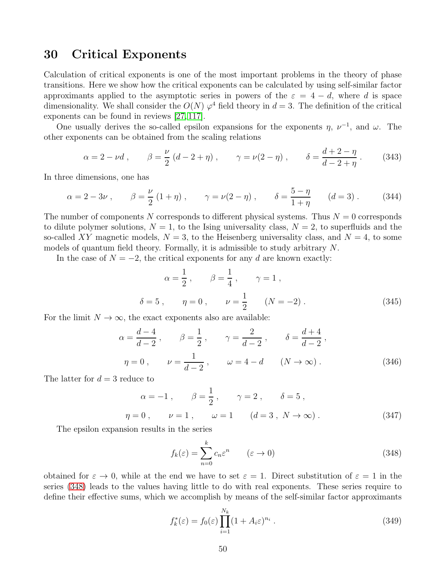### 30 Critical Exponents

Calculation of critical exponents is one of the most important problems in the theory of phase transitions. Here we show how the critical exponents can be calculated by using self-similar factor approximants applied to the asymptotic series in powers of the  $\varepsilon = 4 - d$ , where d is space dimensionality. We shall consider the  $O(N)$   $\varphi^4$  field theory in  $d=3$ . The definition of the critical exponents can be found in reviews [\[27,](#page-55-4) [117\]](#page-60-3).

One usually derives the so-called epsilon expansions for the exponents  $\eta$ ,  $\nu^{-1}$ , and  $\omega$ . The other exponents can be obtained from the scaling relations

$$
\alpha = 2 - \nu d
$$
,  $\beta = \frac{\nu}{2} (d - 2 + \eta)$ ,  $\gamma = \nu (2 - \eta)$ ,  $\delta = \frac{d + 2 - \eta}{d - 2 + \eta}$ . (343)

In three dimensions, one has

$$
\alpha = 2 - 3\nu
$$
,  $\beta = \frac{\nu}{2} (1 + \eta)$ ,  $\gamma = \nu(2 - \eta)$ ,  $\delta = \frac{5 - \eta}{1 + \eta}$   $(d = 3)$ . (344)

The number of components N corresponds to different physical systems. Thus  $N = 0$  corresponds to dilute polymer solutions,  $N = 1$ , to the Ising universality class,  $N = 2$ , to superfluids and the so-called XY magnetic models,  $N = 3$ , to the Heisenberg universality class, and  $N = 4$ , to some models of quantum field theory. Formally, it is admissible to study arbitrary N.

In the case of  $N = -2$ , the critical exponents for any d are known exactly:

$$
\alpha = \frac{1}{2}, \qquad \beta = \frac{1}{4}, \qquad \gamma = 1,
$$
  

$$
\delta = 5, \qquad \eta = 0, \qquad \nu = \frac{1}{2} \qquad (N = -2).
$$
 (345)

For the limit  $N \to \infty$ , the exact exponents also are available:

$$
\alpha = \frac{d-4}{d-2}, \qquad \beta = \frac{1}{2}, \qquad \gamma = \frac{2}{d-2}, \qquad \delta = \frac{d+4}{d-2},
$$
  
\n $\eta = 0, \qquad \nu = \frac{1}{d-2}, \qquad \omega = 4 - d \qquad (N \to \infty).$  (346)

The latter for  $d = 3$  reduce to

$$
\alpha = -1
$$
,  $\beta = \frac{1}{2}$ ,  $\gamma = 2$ ,  $\delta = 5$ ,  
\n $\eta = 0$ ,  $\nu = 1$ ,  $\omega = 1$   $(d = 3, N \to \infty)$ . (347)

The epsilon expansion results in the series

<span id="page-49-0"></span>
$$
f_k(\varepsilon) = \sum_{n=0}^k c_n \varepsilon^n \qquad (\varepsilon \to 0)
$$
\n(348)

obtained for  $\varepsilon \to 0$ , while at the end we have to set  $\varepsilon = 1$ . Direct substitution of  $\varepsilon = 1$  in the series [\(348\)](#page-49-0) leads to the values having little to do with real exponents. These series require to define their effective sums, which we accomplish by means of the self-similar factor approximants

$$
f_k^*(\varepsilon) = f_0(\varepsilon) \prod_{i=1}^{N_k} (1 + A_i \varepsilon)^{n_i} . \tag{349}
$$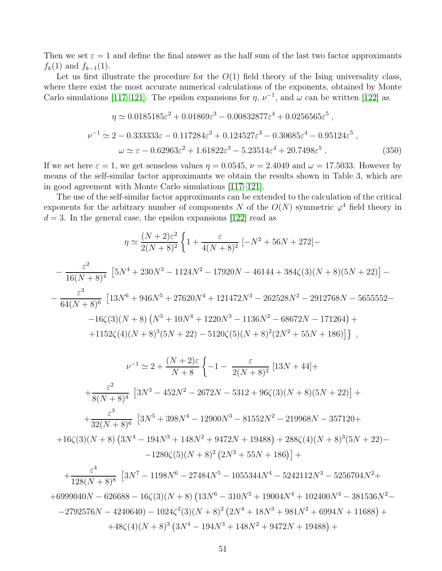Then we set  $\varepsilon = 1$  and define the final answer as the half sum of the last two factor approximants  $f_k(1)$  and  $f_{k-1}(1)$ .

Let us first illustrate the procedure for the  $O(1)$  field theory of the Ising universality class, where there exist the most accurate numerical calculations of the exponents, obtained by Monte Carlo simulations [\[117–](#page-60-3)[121\]](#page-60-4). The epsilon expansions for  $\eta$ ,  $\nu^{-1}$ , and  $\omega$  can be written [\[122\]](#page-60-5) as

$$
\eta \simeq 0.0185185\varepsilon^2 + 0.01869\varepsilon^3 - 0.00832877\varepsilon^4 + 0.0256565\varepsilon^5 ,
$$
  
\n
$$
\nu^{-1} \simeq 2 - 0.333333\varepsilon - 0.117284\varepsilon^2 + 0.124527\varepsilon^3 - 0.30685\varepsilon^4 - 0.95124\varepsilon^5 ,
$$
  
\n
$$
\omega \simeq \varepsilon - 0.62963\varepsilon^2 + 1.61822\varepsilon^3 - 5.23514\varepsilon^4 + 20.7498\varepsilon^5 .
$$
 (350)

If we set here  $\varepsilon = 1$ , we get senseless values  $\eta = 0.0545$ ,  $\nu = 2.4049$  and  $\omega = 17.5033$ . However by means of the self-similar factor approximants we obtain the results shown in Table 3, which are in good agreement with Monte Carlo simulations [\[117](#page-60-3)[–121\]](#page-60-4).

The use of the self-similar factor approximants can be extended to the calculation of the critical exponents for the arbitrary number of components N of the  $O(N)$  symmetric  $\varphi^4$  field theory in  $d = 3$ . In the general case, the epsilon expansions [\[122\]](#page-60-5) read as

$$
\eta \simeq \frac{(N+2)\varepsilon^2}{2(N+8)^2} \left\{ 1 + \frac{\varepsilon}{4(N+8)^2} \left[ -N^2 + 56N + 272 \right] - \frac{\varepsilon^2}{16(N+8)^4} \left[ 5N^4 + 230N^3 - 1124N^2 - 17920N - 46144 + 384\zeta(3)(N+8)(5N+22) \right] - \frac{\varepsilon^3}{64(N+8)^6} \left[ 13N^6 + 946N^5 + 27620N^4 + 121472N^3 - 262528N^2 - 2912768N - 5655552 - \right. \\ \left. - 16\zeta(3)(N+8)\left(N^5 + 10N^4 + 1220N^3 - 1136N^2 - 68672N - 171264 \right) + \right. \\ \left. + 1152\zeta(4)(N+8)^3(5N+22) - 5120\zeta(5)(N+8)^2(2N^2+55N+186) \right] \right\} \,,
$$
  

$$
\nu^{-1} \simeq 2 + \frac{(N+2)\varepsilon}{N+8} \left\{ -1 - \frac{\varepsilon}{2(N+8)^2} \left[ 13N + 44 \right] + \frac{\varepsilon^2}{8(N+8)^4} \left[ 3N^3 - 452N^2 - 2672N - 5312 + 96\zeta(3)(N+8)(5N+22) \right] + \right.
$$

$$
+\frac{\varepsilon^3}{32(N+8)^6}\left[3N^5+398N^4-12900N^3-81552N^2-219968N-357120+\right.\\ \left.+16\zeta(3)(N+8)\left(3N^4-194N^3+148N^2+9472N+19488\right)+288\zeta(4)(N+8)^3(5N+22)-\right.
$$

$$
-1280\zeta(5)(N+8)^2\left(2N^2+55N+186\right)\right]+
$$

 $+$  $\varepsilon^4$  $128(N+8)^8$  $[3N^7 - 1198N^6 - 27484N^5 - 1055344N^4 - 5242112N^3 - 5256704N^2 +$  $+6999040N - 626688 - 16\zeta(3)(N+8)(13N^6 - 310N^5 + 19004N^4 + 102400N^3 - 381536N^2 -2792576N - 4240640) - 1024\zeta^2(3)(N+8)^2(2N^4 + 18N^3 + 981N^2 + 6994N + 11688) +$  $+48\zeta(4)(N+8)^3(3N^4-194N^3+148N^2+9472N+19488)+$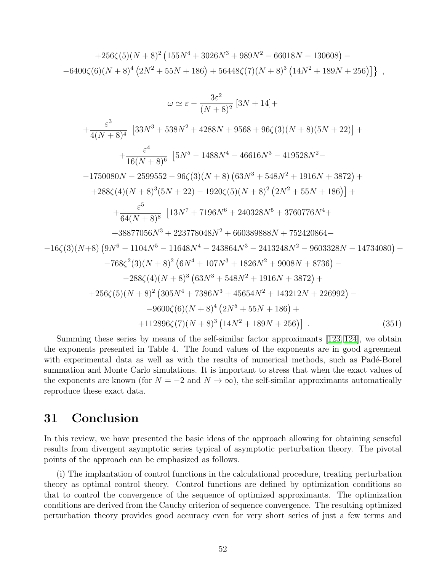+256ζ(5)(N + 8)<sup>2</sup> 155N <sup>4</sup> + 3026N <sup>3</sup> + 989N <sup>2</sup> <sup>−</sup> <sup>66018</sup><sup>N</sup> <sup>−</sup> <sup>130608</sup> − <sup>−</sup>6400ζ(6)(<sup>N</sup> + 8)<sup>4</sup> 2N <sup>2</sup> + 55N + 186 + 56448ζ(7)(N + 8)<sup>3</sup> 14N <sup>2</sup> + 189N + 256 ,

$$
\omega \simeq \varepsilon - \frac{3\varepsilon^2}{(N+8)^2} \left[ 3N + 14 \right] +
$$
  
+  $\frac{\varepsilon^3}{4(N+8)^4} \left[ 33N^3 + 538N^2 + 4288N + 9568 + 96\zeta(3)(N+8)(5N+22) \right] +$   
+  $\frac{\varepsilon^4}{16(N+8)^6} \left[ 5N^5 - 1488N^4 - 46616N^3 - 419528N^2 -$   
- 1750080N - 2599552 - 96 $\zeta(3)(N+8) (63N^3 + 548N^2 + 1916N + 3872) +$   
+ 288 $\zeta(4)(N+8)^3(5N+22) - 1920\zeta(5)(N+8)^2(2N^2 + 55N + 186) \right] +$   
+  $\frac{\varepsilon^5}{64(N+8)^8} \left[ 13N^7 + 7196N^6 + 240328N^5 + 3760776N^4 +$   
+ 38877056N<sup>3</sup> + 223778048N<sup>2</sup> + 660389888N + 752420864 -  
- 16 $\zeta(3)(N+8) (9N^6 - 1104N^5 - 11648N^4 - 243864N^3 - 2413248N^2 - 9603328N - 14734080) -$   
- 768 $\zeta^2(3)(N+8)^2 (6N^4 + 107N^3 + 1826N^2 + 9008N + 8736) -$   
- 288 $\zeta(4)(N+8)^3 (63N^3 + 548N^2 + 1916N + 3872) +$   
+ 256 $\zeta(5)(N+8)^2 (305N^4 + 7386N^3 + 45654N^2 + 143212N + 226992) -$   
- 9600 $\zeta(6)(N+8)^4 (2N^5 + 55N + 186) +$   
+ 1

Summing these series by means of the self-similar factor approximants [\[123,](#page-60-6) [124\]](#page-60-7), we obtain the exponents presented in Table 4. The found values of the exponents are in good agreement with experimental data as well as with the results of numerical methods, such as Padé-Borel summation and Monte Carlo simulations. It is important to stress that when the exact values of the exponents are known (for  $N = -2$  and  $N \to \infty$ ), the self-similar approximants automatically reproduce these exact data.

## 31 Conclusion

In this review, we have presented the basic ideas of the approach allowing for obtaining senseful results from divergent asymptotic series typical of asymptotic perturbation theory. The pivotal points of the approach can be emphasized as follows.

(i) The implantation of control functions in the calculational procedure, treating perturbation theory as optimal control theory. Control functions are defined by optimization conditions so that to control the convergence of the sequence of optimized approximants. The optimization conditions are derived from the Cauchy criterion of sequence convergence. The resulting optimized perturbation theory provides good accuracy even for very short series of just a few terms and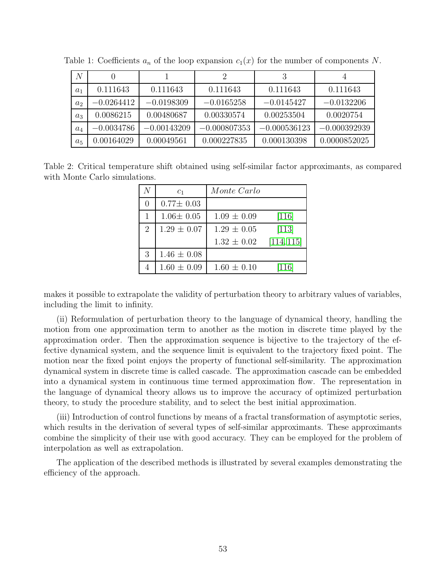| $\overline{N}$ |              |               | $\overline{2}$ | 3              | 4              |
|----------------|--------------|---------------|----------------|----------------|----------------|
| $a_1$          | 0.111643     | 0.111643      | 0.111643       | 0.111643       | 0.111643       |
| a <sub>2</sub> | $-0.0264412$ | $-0.0198309$  | $-0.0165258$   | $-0.0145427$   | $-0.0132206$   |
| $a_3$          | 0.0086215    | 0.00480687    | 0.00330574     | 0.00253504     | 0.0020754      |
| $a_4$          | $-0.0034786$ | $-0.00143209$ | $-0.000807353$ | $-0.000536123$ | $-0.000392939$ |
| $a_5$          | 0.00164029   | 0.00049561    | 0.000227835    | 0.000130398    | 0.0000852025   |

Table 1: Coefficients  $a_n$  of the loop expansion  $c_1(x)$  for the number of components N.

Table 2: Critical temperature shift obtained using self-similar factor approximants, as compared with Monte Carlo simulations.

|                | c <sub>1</sub>  | Monte Carlo     |            |
|----------------|-----------------|-----------------|------------|
|                | $0.77 \pm 0.03$ |                 |            |
|                | $1.06 \pm 0.05$ | $1.09 \pm 0.09$ | $[116]$    |
| $\overline{2}$ | $1.29 \pm 0.07$ | $1.29 \pm 0.05$ | $[113]$    |
|                |                 | $1.32 \pm 0.02$ | [114, 115] |
| 3              | $1.46 \pm 0.08$ |                 |            |
|                | $1.60 \pm 0.09$ | $1.60 \pm 0.10$ | [116]      |

makes it possible to extrapolate the validity of perturbation theory to arbitrary values of variables, including the limit to infinity.

(ii) Reformulation of perturbation theory to the language of dynamical theory, handling the motion from one approximation term to another as the motion in discrete time played by the approximation order. Then the approximation sequence is bijective to the trajectory of the effective dynamical system, and the sequence limit is equivalent to the trajectory fixed point. The motion near the fixed point enjoys the property of functional self-similarity. The approximation dynamical system in discrete time is called cascade. The approximation cascade can be embedded into a dynamical system in continuous time termed approximation flow. The representation in the language of dynamical theory allows us to improve the accuracy of optimized perturbation theory, to study the procedure stability, and to select the best initial approximation.

(iii) Introduction of control functions by means of a fractal transformation of asymptotic series, which results in the derivation of several types of self-similar approximants. These approximants combine the simplicity of their use with good accuracy. They can be employed for the problem of interpolation as well as extrapolation.

The application of the described methods is illustrated by several examples demonstrating the efficiency of the approach.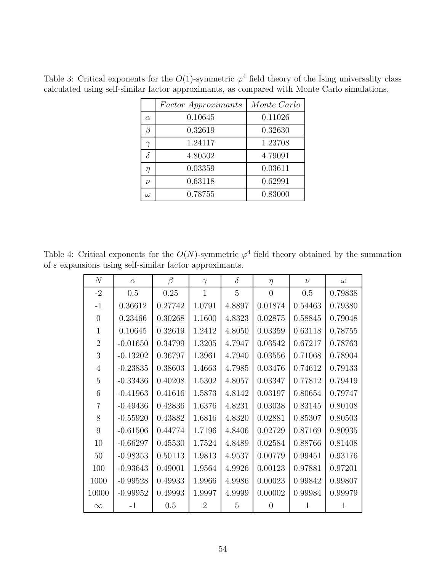|                  | <i>Factor Approximants</i> | Monte Carlo |
|------------------|----------------------------|-------------|
| $\alpha$         | 0.10645                    | 0.11026     |
|                  | 0.32619                    | 0.32630     |
|                  | 1.24117                    | 1.23708     |
| δ                | 4.80502                    | 4.79091     |
| η                | 0.03359                    | 0.03611     |
| $\overline{\nu}$ | 0.63118                    | 0.62991     |
| ω                | 0.78755                    | 0.83000     |

Table 3: Critical exponents for the  $O(1)$ -symmetric  $\varphi^4$  field theory of the Ising universality class calculated using self-similar factor approximants, as compared with Monte Carlo simulations.

Table 4: Critical exponents for the  $O(N)$ -symmetric  $\varphi^4$  field theory obtained by the summation of  $\varepsilon$  expansions using self-similar factor approximants.

| N              | $\alpha$   | $\beta$ | $\gamma$       | $\delta$ | $\eta$         | $\nu$   | $\omega$ |
|----------------|------------|---------|----------------|----------|----------------|---------|----------|
| $-2$           | 0.5        | 0.25    | $\mathbf{1}$   | 5        | $\overline{0}$ | 0.5     | 0.79838  |
| $-1$           | 0.36612    | 0.27742 | 1.0791         | 4.8897   | 0.01874        | 0.54463 | 0.79380  |
| $\theta$       | 0.23466    | 0.30268 | 1.1600         | 4.8323   | 0.02875        | 0.58845 | 0.79048  |
| $\mathbf{1}$   | 0.10645    | 0.32619 | 1.2412         | 4.8050   | 0.03359        | 0.63118 | 0.78755  |
| $\overline{2}$ | $-0.01650$ | 0.34799 | 1.3205         | 4.7947   | 0.03542        | 0.67217 | 0.78763  |
| 3              | $-0.13202$ | 0.36797 | 1.3961         | 4.7940   | 0.03556        | 0.71068 | 0.78904  |
| $\overline{4}$ | $-0.23835$ | 0.38603 | 1.4663         | 4.7985   | 0.03476        | 0.74612 | 0.79133  |
| 5              | $-0.33436$ | 0.40208 | 1.5302         | 4.8057   | 0.03347        | 0.77812 | 0.79419  |
| 6              | $-0.41963$ | 0.41616 | 1.5873         | 4.8142   | 0.03197        | 0.80654 | 0.79747  |
| 7              | $-0.49436$ | 0.42836 | 1.6376         | 4.8231   | 0.03038        | 0.83145 | 0.80108  |
| 8              | $-0.55920$ | 0.43882 | 1.6816         | 4.8320   | 0.02881        | 0.85307 | 0.80503  |
| 9              | $-0.61506$ | 0.44774 | 1.7196         | 4.8406   | 0.02729        | 0.87169 | 0.80935  |
| 10             | $-0.66297$ | 0.45530 | 1.7524         | 4.8489   | 0.02584        | 0.88766 | 0.81408  |
| 50             | $-0.98353$ | 0.50113 | 1.9813         | 4.9537   | 0.00779        | 0.99451 | 0.93176  |
| 100            | $-0.93643$ | 0.49001 | 1.9564         | 4.9926   | 0.00123        | 0.97881 | 0.97201  |
| 1000           | $-0.99528$ | 0.49933 | 1.9966         | 4.9986   | 0.00023        | 0.99842 | 0.99807  |
| 10000          | $-0.99952$ | 0.49993 | 1.9997         | 4.9999   | 0.00002        | 0.99984 | 0.99979  |
| $\infty$       | $-1$       | 0.5     | $\overline{2}$ | 5        | 0              | 1       | 1        |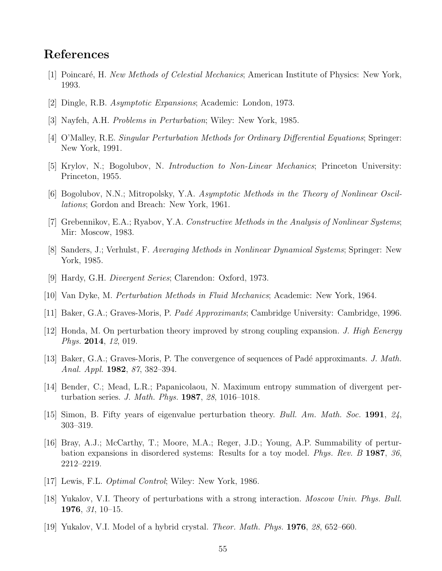# <span id="page-54-0"></span>References

- <span id="page-54-1"></span>[1] Poincaré, H. New Methods of Celestial Mechanics; American Institute of Physics: New York, 1993.
- <span id="page-54-2"></span>[2] Dingle, R.B. Asymptotic Expansions; Academic: London, 1973.
- <span id="page-54-3"></span>[3] Nayfeh, A.H. Problems in Perturbation; Wiley: New York, 1985.
- <span id="page-54-4"></span>[4] O'Malley, R.E. Singular Perturbation Methods for Ordinary Differential Equations; Springer: New York, 1991.
- [5] Krylov, N.; Bogolubov, N. Introduction to Non-Linear Mechanics; Princeton University: Princeton, 1955.
- [6] Bogolubov, N.N.; Mitropolsky, Y.A. Asymptotic Methods in the Theory of Nonlinear Oscillations; Gordon and Breach: New York, 1961.
- <span id="page-54-5"></span>[7] Grebennikov, E.A.; Ryabov, Y.A. Constructive Methods in the Analysis of Nonlinear Systems; Mir: Moscow, 1983.
- <span id="page-54-6"></span>[8] Sanders, J.; Verhulst, F. Averaging Methods in Nonlinear Dynamical Systems; Springer: New York, 1985.
- <span id="page-54-7"></span>[9] Hardy, G.H. Divergent Series; Clarendon: Oxford, 1973.
- <span id="page-54-8"></span>[10] Van Dyke, M. Perturbation Methods in Fluid Mechanics; Academic: New York, 1964.
- <span id="page-54-9"></span>[11] Baker, G.A.; Graves-Moris, P. Padé Approximants; Cambridge University: Cambridge, 1996.
- <span id="page-54-10"></span>[12] Honda, M. On perturbation theory improved by strong coupling expansion. J. High Eenergy Phys. 2014, 12, 019.
- <span id="page-54-11"></span>[13] Baker, G.A.; Graves-Moris, P. The convergence of sequences of Padé approximants. J. Math. Anal. Appl. 1982, 87, 382–394.
- <span id="page-54-12"></span>[14] Bender, C.; Mead, L.R.; Papanicolaou, N. Maximum entropy summation of divergent perturbation series. J. Math. Phys. 1987, 28, 1016–1018.
- <span id="page-54-13"></span>[15] Simon, B. Fifty years of eigenvalue perturbation theory. Bull. Am. Math. Soc. 1991, 24, 303–319.
- [16] Bray, A.J.; McCarthy, T.; Moore, M.A.; Reger, J.D.; Young, A.P. Summability of perturbation expansions in disordered systems: Results for a toy model. Phys. Rev. B 1987, 36, 2212–2219.
- <span id="page-54-15"></span><span id="page-54-14"></span>[17] Lewis, F.L. Optimal Control; Wiley: New York, 1986.
- <span id="page-54-16"></span>[18] Yukalov, V.I. Theory of perturbations with a strong interaction. Moscow Univ. Phys. Bull. 1976, 31, 10–15.
- [19] Yukalov, V.I. Model of a hybrid crystal. Theor. Math. Phys. 1976, 28, 652–660.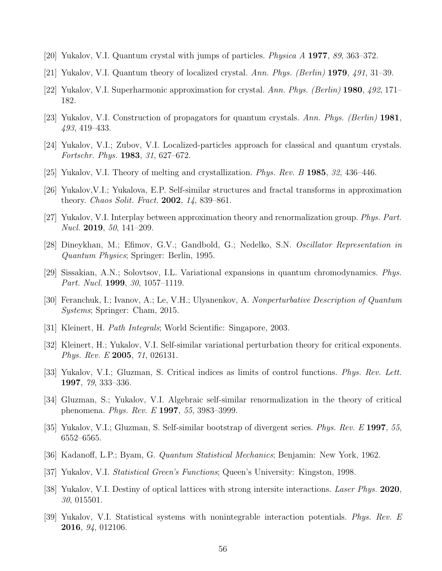- <span id="page-55-0"></span>[20] Yukalov, V.I. Quantum crystal with jumps of particles. Physica A 1977, 89, 363–372.
- [21] Yukalov, V.I. Quantum theory of localized crystal. Ann. Phys. (Berlin) 1979, 491, 31–39.
- <span id="page-55-11"></span>[22] Yukalov, V.I. Superharmonic approximation for crystal. Ann. Phys. (Berlin) **1980**,  $492$ , 171– 182.
- <span id="page-55-1"></span>[23] Yukalov, V.I. Construction of propagators for quantum crystals. Ann. Phys. (Berlin) 1981, 493, 419–433.
- <span id="page-55-2"></span>[24] Yukalov, V.I.; Zubov, V.I. Localized-particles approach for classical and quantum crystals. Fortschr. Phys. 1983, 31, 627–672.
- <span id="page-55-3"></span>[25] Yukalov, V.I. Theory of melting and crystallization. Phys. Rev. B 1985, 32, 436–446.
- <span id="page-55-4"></span>[26] Yukalov,V.I.; Yukalova, E.P. Self-similar structures and fractal transforms in approximation theory. Chaos Solit. Fract. 2002, 14, 839–861.
- <span id="page-55-5"></span>[27] Yukalov, V.I. Interplay between approximation theory and renormalization group. Phys. Part. Nucl. **2019**, 50, 141–209.
- [28] Dineykhan, M.; Efimov, G.V.; Gandbold, G.; Nedelko, S.N. Oscillator Representation in Quantum Physics; Springer: Berlin, 1995.
- <span id="page-55-6"></span>[29] Sissakian, A.N.; Solovtsov, I.L. Variational expansions in quantum chromodynamics. Phys. Part. Nucl. **1999**, 30, 1057-1119.
- <span id="page-55-7"></span>[30] Feranchuk, I.; Ivanov, A.; Le, V.H.; Ulyanenkov, A. Nonperturbative Description of Quantum Systems; Springer: Cham, 2015.
- <span id="page-55-8"></span>[31] Kleinert, H. Path Integrals; World Scientific: Singapore, 2003.
- <span id="page-55-9"></span>[32] Kleinert, H.; Yukalov, V.I. Self-similar variational perturbation theory for critical exponents. Phys. Rev. E 2005, 71, 026131.
- [33] Yukalov, V.I.; Gluzman, S. Critical indices as limits of control functions. Phys. Rev. Lett. 1997, 79, 333–336.
- <span id="page-55-10"></span>[34] Gluzman, S.; Yukalov, V.I. Algebraic self-similar renormalization in the theory of critical phenomena. Phys. Rev. E 1997, 55, 3983–3999.
- <span id="page-55-12"></span>[35] Yukalov, V.I.; Gluzman, S. Self-similar bootstrap of divergent series. Phys. Rev. E 1997, 55, 6552–6565.
- <span id="page-55-13"></span>[36] Kadanoff, L.P.; Byam, G. Quantum Statistical Mechanics; Benjamin: New York, 1962.
- <span id="page-55-14"></span>[37] Yukalov, V.I. Statistical Green's Functions; Queen's University: Kingston, 1998.
- [38] Yukalov, V.I. Destiny of optical lattices with strong intersite interactions. Laser Phys. 2020, 30, 015501.
- <span id="page-55-15"></span>[39] Yukalov, V.I. Statistical systems with nonintegrable interaction potentials. Phys. Rev. E 2016, 94, 012106.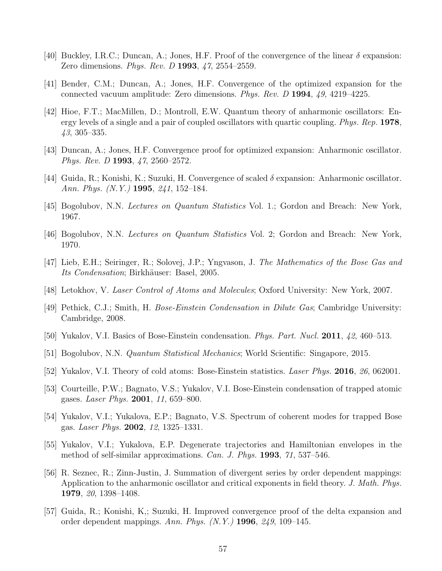- <span id="page-56-1"></span><span id="page-56-0"></span>[40] Buckley, I.R.C.; Duncan, A.; Jones, H.F. Proof of the convergence of the linear  $\delta$  expansion: Zero dimensions. *Phys. Rev. D* 1993, 47, 2554–2559.
- <span id="page-56-2"></span>[41] Bender, C.M.; Duncan, A.; Jones, H.F. Convergence of the optimized expansion for the connected vacuum amplitude: Zero dimensions. Phys. Rev. D 1994, 49, 4219–4225.
- [42] Hioe, F.T.; MacMillen, D.; Montroll, E.W. Quantum theory of anharmonic oscillators: Energy levels of a single and a pair of coupled oscillators with quartic coupling. Phys. Rep. 1978, 43, 305–335.
- <span id="page-56-4"></span><span id="page-56-3"></span>[43] Duncan, A.; Jones, H.F. Convergence proof for optimized expansion: Anharmonic oscillator. Phys. Rev. D 1993, 47, 2560–2572.
- <span id="page-56-5"></span>[44] Guida, R.; Konishi, K.; Suzuki, H. Convergence of scaled  $\delta$  expansion: Anharmonic oscillator. Ann. Phys. (N.Y.) 1995, 241, 152–184.
- [45] Bogolubov, N.N. Lectures on Quantum Statistics Vol. 1.; Gordon and Breach: New York, 1967.
- [46] Bogolubov, N.N. Lectures on Quantum Statistics Vol. 2; Gordon and Breach: New York, 1970.
- [47] Lieb, E.H.; Seiringer, R.; Solovej, J.P.; Yngvason, J. The Mathematics of the Bose Gas and Its Condensation; Birkhäuser: Basel, 2005.
- [48] Letokhov, V. Laser Control of Atoms and Molecules; Oxford University: New York, 2007.
- [49] Pethick, C.J.; Smith, H. Bose-Einstein Condensation in Dilute Gas; Cambridge University: Cambridge, 2008.
- [50] Yukalov, V.I. Basics of Bose-Einstein condensation. Phys. Part. Nucl. 2011, 42, 460–513.
- <span id="page-56-6"></span>[51] Bogolubov, N.N. Quantum Statistical Mechanics; World Scientific: Singapore, 2015.
- <span id="page-56-7"></span>[52] Yukalov, V.I. Theory of cold atoms: Bose-Einstein statistics. Laser Phys. 2016, 26, 062001.
- <span id="page-56-8"></span>[53] Courteille, P.W.; Bagnato, V.S.; Yukalov, V.I. Bose-Einstein condensation of trapped atomic gases. Laser Phys. 2001, 11, 659–800.
- <span id="page-56-9"></span>[54] Yukalov, V.I.; Yukalova, E.P.; Bagnato, V.S. Spectrum of coherent modes for trapped Bose gas. Laser Phys. 2002, 12, 1325–1331.
- <span id="page-56-10"></span>[55] Yukalov, V.I.; Yukalova, E.P. Degenerate trajectories and Hamiltonian envelopes in the method of self-similar approximations. Can. J. Phys. 1993, 71, 537–546.
- [56] R. Seznec, R.; Zinn-Justin, J. Summation of divergent series by order dependent mappings: Application to the anharmonic oscillator and critical exponents in field theory. J. Math. Phys. 1979, 20, 1398–1408.
- <span id="page-56-11"></span>[57] Guida, R.; Konishi, K,; Suzuki, H. Improved convergence proof of the delta expansion and order dependent mappings. Ann. Phys.  $(N. Y. )$  1996, 249, 109–145.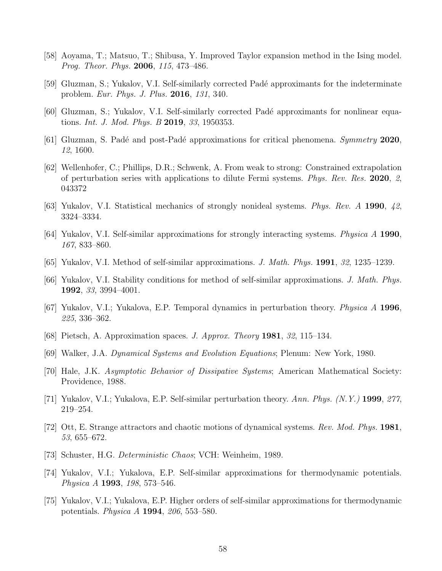- <span id="page-57-1"></span><span id="page-57-0"></span>[58] Aoyama, T.; Matsuo, T.; Shibusa, Y. Improved Taylor expansion method in the Ising model. Prog. Theor. Phys. 2006, 115, 473–486.
- [59] Gluzman, S.; Yukalov, V.I. Self-similarly corrected Padé approximants for the indeterminate problem. Eur. Phys. J. Plus. 2016, 131, 340.
- <span id="page-57-13"></span>[60] Gluzman, S.; Yukalov, V.I. Self-similarly corrected Padé approximants for nonlinear equations. Int. J. Mod. Phys. B 2019, 33, 1950353.
- <span id="page-57-2"></span>[61] Gluzman, S. Padé and post-Padé approximations for critical phenomena. Symmetry 2020, 12, 1600.
- [62] Wellenhofer, C.; Phillips, D.R.; Schwenk, A. From weak to strong: Constrained extrapolation of perturbation series with applications to dilute Fermi systems. Phys. Rev. Res. 2020, 2, 043372
- <span id="page-57-3"></span>[63] Yukalov, V.I. Statistical mechanics of strongly nonideal systems. Phys. Rev. A 1990, 42, 3324–3334.
- [64] Yukalov, V.I. Self-similar approximations for strongly interacting systems. Physica A 1990, 167, 833–860.
- [65] Yukalov, V.I. Method of self-similar approximations. J. Math. Phys. 1991, 32, 1235–1239.
- <span id="page-57-4"></span>[66] Yukalov, V.I. Stability conditions for method of self-similar approximations. J. Math. Phys. 1992, 33, 3994–4001.
- <span id="page-57-5"></span>[67] Yukalov, V.I.; Yukalova, E.P. Temporal dynamics in perturbation theory. Physica A 1996, 225, 336–362.
- <span id="page-57-6"></span>[68] Pietsch, A. Approximation spaces. J. Approx. Theory 1981, 32, 115–134.
- <span id="page-57-7"></span>[69] Walker, J.A. Dynamical Systems and Evolution Equations; Plenum: New York, 1980.
- <span id="page-57-8"></span>[70] Hale, J.K. Asymptotic Behavior of Dissipative Systems; American Mathematical Society: Providence, 1988.
- <span id="page-57-9"></span>[71] Yukalov, V.I.; Yukalova, E.P. Self-similar perturbation theory. Ann. Phys. (N.Y.) 1999, 277, 219–254.
- [72] Ott, E. Strange attractors and chaotic motions of dynamical systems. Rev. Mod. Phys. 1981, 53, 655–672.
- <span id="page-57-11"></span><span id="page-57-10"></span>[73] Schuster, H.G. Deterministic Chaos; VCH: Weinheim, 1989.
- [74] Yukalov, V.I.; Yukalova, E.P. Self-similar approximations for thermodynamic potentials. Physica A 1993, 198, 573–546.
- <span id="page-57-12"></span>[75] Yukalov, V.I.; Yukalova, E.P. Higher orders of self-similar approximations for thermodynamic potentials. Physica A 1994, 206, 553–580.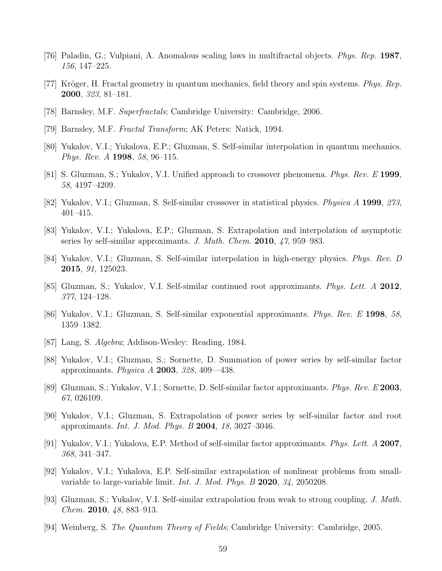- <span id="page-58-0"></span>[76] Paladin, G.; Vulpiani, A. Anomalous scaling laws in multifractal objects. Phys. Rep. 1987, 156, 147–225.
- <span id="page-58-1"></span>[77] Kröger, H. Fractal geometry in quantum mechanics, field theory and spin systems. Phys. Rep. 2000, 323, 81–181.
- <span id="page-58-2"></span>[78] Barnsley, M.F. Superfractals; Cambridge University: Cambridge, 2006.
- <span id="page-58-3"></span>[79] Barnsley, M.F. Fractal Transform; AK Peters: Natick, 1994.
- [80] Yukalov, V.I.; Yukalova, E.P.; Gluzman, S. Self-similar interpolation in quantum mechanics. Phys. Rev. A 1998, 58, 96–115.
- [81] S. Gluzman, S.; Yukalov, V.I. Unified approach to crossover phenomena. *Phys. Rev. E* 1999, 58, 4197–4209.
- <span id="page-58-14"></span>[82] Yukalov, V.I.; Gluzman, S. Self-similar crossover in statistical physics. Physica A 1999, 273, 401–415.
- <span id="page-58-4"></span>[83] Yukalov, V.I.; Yukalova, E.P.; Gluzman, S. Extrapolation and interpolation of asymptotic series by self-similar approximants. J. Math. Chem. 2010, 47, 959–983.
- <span id="page-58-5"></span>[84] Yukalov, V.I.; Gluzman, S. Self-similar interpolation in high-energy physics. Phys. Rev. D 2015, 91, 125023.
- <span id="page-58-6"></span>[85] Gluzman, S.; Yukalov, V.I. Self-similar continued root approximants. Phys. Lett. A 2012, 377, 124–128.
- <span id="page-58-7"></span>[86] Yukalov, V.I.; Gluzman, S. Self-similar exponential approximants. Phys. Rev. E 1998, 58, 1359–1382.
- <span id="page-58-8"></span>[87] Lang, S. Algebra; Addison-Wesley: Reading, 1984.
- [88] Yukalov, V.I.; Gluzman, S.; Sornette, D. Summation of power series by self-similar factor approximants. *Physica A* **2003**, 328, 409—438.
- <span id="page-58-9"></span>[89] Gluzman, S.; Yukalov, V.I.; Sornette, D. Self-similar factor approximants. Phys. Rev. E 2003, 67, 026109.
- [90] Yukalov, V.I.; Gluzman, S. Extrapolation of power series by self-similar factor and root approximants. Int. J. Mod. Phys. B 2004, 18, 3027–3046.
- <span id="page-58-10"></span>[91] Yukalov, V.I.; Yukalova, E.P. Method of self-similar factor approximants. Phys. Lett. A 2007, 368, 341–347.
- <span id="page-58-11"></span>[92] Yukalov, V.I.; Yukalova, E.P. Self-similar extrapolation of nonlinear problems from smallvariable to large-variable limit. Int. J. Mod. Phys. B 2020, 34, 2050208.
- <span id="page-58-12"></span>[93] Gluzman, S.; Yukalov, V.I. Self-similar extrapolation from weak to strong coupling. J. Math. Chem. 2010, 48, 883–913.
- <span id="page-58-13"></span>[94] Weinberg, S. The Quantum Theory of Fields; Cambridge University: Cambridge, 2005.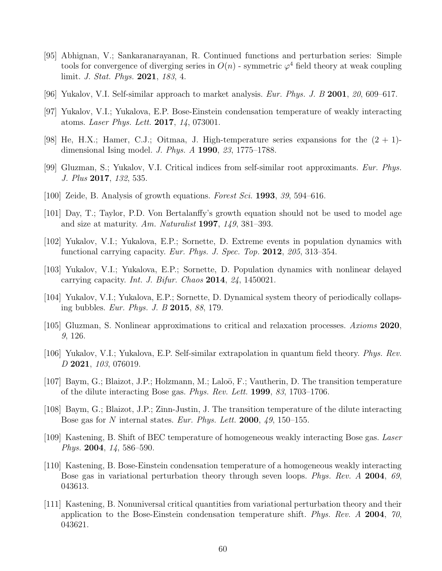- <span id="page-59-0"></span>[95] Abhignan, V.; Sankaranarayanan, R. Continued functions and perturbation series: Simple tools for convergence of diverging series in  $O(n)$  - symmetric  $\varphi^4$  field theory at weak coupling limit. J. Stat. Phys. 2021, 183, 4.
- <span id="page-59-2"></span><span id="page-59-1"></span>[96] Yukalov, V.I. Self-similar approach to market analysis. *Eur. Phys. J. B* 2001, 20, 609–617.
- <span id="page-59-3"></span>[97] Yukalov, V.I.; Yukalova, E.P. Bose-Einstein condensation temperature of weakly interacting atoms. Laser Phys. Lett. 2017, 14, 073001.
- <span id="page-59-4"></span>[98] He, H.X.; Hamer, C.J.; Oitmaa, J. High-temperature series expansions for the  $(2 + 1)$ dimensional Ising model. J. Phys. A 1990, 23, 1775–1788.
- <span id="page-59-5"></span>[99] Gluzman, S.; Yukalov, V.I. Critical indices from self-similar root approximants. Eur. Phys. J. Plus 2017, 132, 535.
- [100] Zeide, B. Analysis of growth equations. Forest Sci. 1993, 39, 594–616.
- [101] Day, T.; Taylor, P.D. Von Bertalanffy's growth equation should not be used to model age and size at maturity. Am. Naturalist 1997, 149, 381–393.
- [102] Yukalov, V.I.; Yukalova, E.P.; Sornette, D. Extreme events in population dynamics with functional carrying capacity. Eur. Phys. J. Spec. Top. 2012, 205, 313–354.
- [103] Yukalov, V.I.; Yukalova, E.P.; Sornette, D. Population dynamics with nonlinear delayed carrying capacity. Int. J. Bifur. Chaos 2014, 24, 1450021.
- <span id="page-59-6"></span>[104] Yukalov, V.I.; Yukalova, E.P.; Sornette, D. Dynamical system theory of periodically collapsing bubbles. Eur. Phys. J. B 2015, 88, 179.
- <span id="page-59-7"></span>[105] Gluzman, S. Nonlinear approximations to critical and relaxation processes. Axioms 2020, 9, 126.
- <span id="page-59-8"></span>[106] Yukalov, V.I.; Yukalova, E.P. Self-similar extrapolation in quantum field theory. Phys. Rev. D 2021, 103, 076019.
- <span id="page-59-9"></span>[107] Baym, G.; Blaizot, J.P.; Holzmann, M.; Laloö, F.; Vautherin, D. The transition temperature of the dilute interacting Bose gas. Phys. Rev. Lett. 1999, 83, 1703–1706.
- [108] Baym, G.; Blaizot, J.P.; Zinn-Justin, J. The transition temperature of the dilute interacting Bose gas for N internal states. Eur. Phys. Lett. 2000,  $49$ , 150–155.
- <span id="page-59-10"></span>[109] Kastening, B. Shift of BEC temperature of homogeneous weakly interacting Bose gas. Laser Phys. 2004, 14, 586–590.
- [110] Kastening, B. Bose-Einstein condensation temperature of a homogeneous weakly interacting Bose gas in variational perturbation theory through seven loops. Phys. Rev. A 2004, 69, 043613.
- <span id="page-59-11"></span>[111] Kastening, B. Nonuniversal critical quantities from variational perturbation theory and their application to the Bose-Einstein condensation temperature shift. Phys. Rev.  $\Lambda$  2004, 70, 043621.